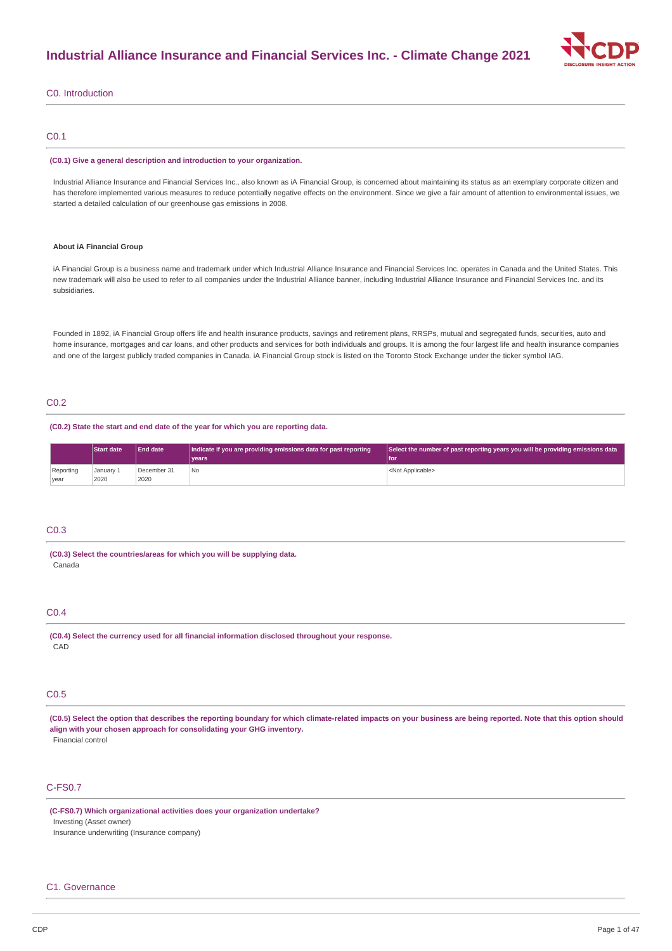

### C0. Introduction

### C0.1

#### **(C0.1) Give a general description and introduction to your organization.**

Industrial Alliance Insurance and Financial Services Inc., also known as iA Financial Group, is concerned about maintaining its status as an exemplary corporate citizen and has therefore implemented various measures to reduce potentially negative effects on the environment. Since we give a fair amount of attention to environmental issues, we started a detailed calculation of our greenhouse gas emissions in 2008.

#### **About iA Financial Group**

iA Financial Group is a business name and trademark under which Industrial Alliance Insurance and Financial Services Inc. operates in Canada and the United States. This new trademark will also be used to refer to all companies under the Industrial Alliance banner, including Industrial Alliance Insurance and Financial Services Inc. and its subsidiaries.

Founded in 1892, iA Financial Group offers life and health insurance products, savings and retirement plans, RRSPs, mutual and segregated funds, securities, auto and home insurance, mortgages and car loans, and other products and services for both individuals and groups. It is among the four largest life and health insurance companies and one of the largest publicly traded companies in Canada. iA Financial Group stock is listed on the Toronto Stock Exchange under the ticker symbol IAG.

# C0.2

### **(C0.2) State the start and end date of the year for which you are reporting data.**

|                   | <b>Start date</b> | <b>End date</b>     | Indicate if you are providing emissions data for past reporting | $\sqrt{\frac{1}{1}}$ Select the number of past reporting years you will be providing emissions data |
|-------------------|-------------------|---------------------|-----------------------------------------------------------------|-----------------------------------------------------------------------------------------------------|
|                   |                   |                     | vears                                                           | 'l foi                                                                                              |
| Reporting<br>vear | January 1<br>2020 | December 31<br>2020 | 'No                                                             | <not applicable=""></not>                                                                           |
|                   |                   |                     |                                                                 |                                                                                                     |

### C0.3

**(C0.3) Select the countries/areas for which you will be supplying data.** Canada

### C0.4

**(C0.4) Select the currency used for all financial information disclosed throughout your response.** CAD

### C0.5

(C0.5) Select the option that describes the reporting boundary for which climate-related impacts on your business are being reported. Note that this option should **align with your chosen approach for consolidating your GHG inventory.** Financial control

## C-FS0.7

**(C-FS0.7) Which organizational activities does your organization undertake?** Investing (Asset owner) Insurance underwriting (Insurance company)

#### C1. Governance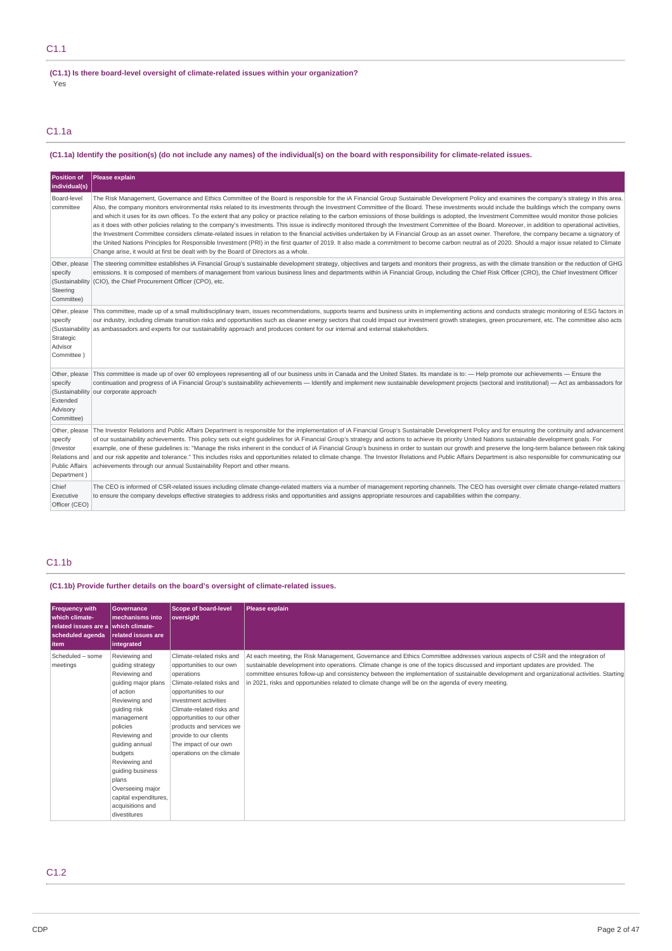### **(C1.1) Is there board-level oversight of climate-related issues within your organization?**

Yes

C1.1a

### (C1.1a) Identify the position(s) (do not include any names) of the individual(s) on the board with responsibility for climate-related issues.

| <b>Position of</b><br>individual(s)                                                            | Please explain                                                                                                                                                                                                                                                                                                                                                                                                                                                                                                                                                                                                                                                                                                                                                                                                                                                                                                                                                                                                                                                                                                                                                                                                                                                                                                          |
|------------------------------------------------------------------------------------------------|-------------------------------------------------------------------------------------------------------------------------------------------------------------------------------------------------------------------------------------------------------------------------------------------------------------------------------------------------------------------------------------------------------------------------------------------------------------------------------------------------------------------------------------------------------------------------------------------------------------------------------------------------------------------------------------------------------------------------------------------------------------------------------------------------------------------------------------------------------------------------------------------------------------------------------------------------------------------------------------------------------------------------------------------------------------------------------------------------------------------------------------------------------------------------------------------------------------------------------------------------------------------------------------------------------------------------|
| Board-level<br>committee                                                                       | The Risk Management, Governance and Ethics Committee of the Board is responsible for the iA Financial Group Sustainable Development Policy and examines the company's strategy in this area.<br>Also, the company monitors environmental risks related to its investments through the Investment Committee of the Board. These investments would include the buildings which the company owns<br>and which it uses for its own offices. To the extent that any policy or practice relating to the carbon emissions of those buildings is adopted, the Investment Committee would monitor those policies<br>as it does with other policies relating to the company's investments. This issue is indirectly monitored through the Investment Committee of the Board. Moreover, in addition to operational activities,<br>the Investment Committee considers climate-related issues in relation to the financial activities undertaken by iA Financial Group as an asset owner. Therefore, the company became a signatory of<br>the United Nations Principles for Responsible Investment (PRI) in the first quarter of 2019. It also made a commitment to become carbon neutral as of 2020. Should a major issue related to Climate<br>Change arise, it would at first be dealt with by the Board of Directors as a whole. |
| Other, please<br>specify<br>(Sustainability<br>Steering<br>Committee)                          | The steering committee establishes iA Financial Group's sustainable development strategy, objectives and targets and monitors their progress, as with the climate transition or the reduction of GHG<br>emissions. It is composed of members of management from various business lines and departments within iA Financial Group, including the Chief Risk Officer (CRO), the Chief Investment Officer<br>(CIO), the Chief Procurement Officer (CPO), etc.                                                                                                                                                                                                                                                                                                                                                                                                                                                                                                                                                                                                                                                                                                                                                                                                                                                              |
| Other, please<br>specify<br>Strategic<br>Advisor<br>Committee )                                | This committee, made up of a small multidisciplinary team, issues recommendations, supports teams and business units in implementing actions and conducts strategic monitoring of ESG factors in<br>our industry, including climate transition risks and opportunities such as cleaner energy sectors that could impact our investment growth strategies, green procurement, etc. The committee also acts<br>(Sustainability as ambassadors and experts for our sustainability approach and produces content for our internal and external stakeholders.                                                                                                                                                                                                                                                                                                                                                                                                                                                                                                                                                                                                                                                                                                                                                                |
| Other, please<br>specify<br>Extended<br>Advisory<br>Committee)                                 | This committee is made up of over 60 employees representing all of our business units in Canada and the United States. Its mandate is to: - Help promote our achievements - Ensure the<br>continuation and progress of iA Financial Group's sustainability achievements - Identify and implement new sustainable development projects (sectoral and institutional) - Act as ambassadors for<br>(Sustainability our corporate approach                                                                                                                                                                                                                                                                                                                                                                                                                                                                                                                                                                                                                                                                                                                                                                                                                                                                                   |
| Other, please<br>specify<br>(Investor<br>Relations and<br><b>Public Affairs</b><br>Department) | The Investor Relations and Public Affairs Department is responsible for the implementation of iA Financial Group's Sustainable Development Policy and for ensuring the continuity and advancement<br>of our sustainability achievements. This policy sets out eight quidelines for iA Financial Group's strategy and actions to achieve its priority United Nations sustainable development goals. For<br>example, one of these guidelines is: "Manage the risks inherent in the conduct of iA Financial Group's business in order to sustain our growth and preserve the long-term balance between risk taking<br>and our risk appetite and tolerance." This includes risks and opportunities related to climate change. The Investor Relations and Public Affairs Department is also responsible for communicating our<br>achievements through our annual Sustainability Report and other means.                                                                                                                                                                                                                                                                                                                                                                                                                      |
| Chief<br>Executive<br>Officer (CEO)                                                            | The CEO is informed of CSR-related issues including climate change-related matters via a number of management reporting channels. The CEO has oversight over climate change-related matters<br>to ensure the company develops effective strategies to address risks and opportunities and assigns appropriate resources and capabilities within the company.                                                                                                                                                                                                                                                                                                                                                                                                                                                                                                                                                                                                                                                                                                                                                                                                                                                                                                                                                            |

# C1.1b

### **(C1.1b) Provide further details on the board's oversight of climate-related issues.**

| <b>Frequency with</b><br>which climate-<br>related issues are a which climate-<br>scheduled agenda<br><b>item</b> | <b>Governance</b><br>lmechanisms into<br><b>related issues are</b><br>integrated                                                                                                                                                                                                                                               | <b>Scope of board-level</b><br>oversight                                                                                                                                                                                                                                                                                 | Please explain                                                                                                                                                                                                                                                                                                                                                                                                                                                                                                     |
|-------------------------------------------------------------------------------------------------------------------|--------------------------------------------------------------------------------------------------------------------------------------------------------------------------------------------------------------------------------------------------------------------------------------------------------------------------------|--------------------------------------------------------------------------------------------------------------------------------------------------------------------------------------------------------------------------------------------------------------------------------------------------------------------------|--------------------------------------------------------------------------------------------------------------------------------------------------------------------------------------------------------------------------------------------------------------------------------------------------------------------------------------------------------------------------------------------------------------------------------------------------------------------------------------------------------------------|
| Scheduled - some<br>meetings                                                                                      | Reviewing and<br>quiding strategy<br>Reviewing and<br>guiding major plans<br>of action<br>Reviewing and<br>quiding risk<br>management<br>policies<br>Reviewing and<br>quiding annual<br>budgets<br>Reviewing and<br>guiding business<br>plans<br>Overseeing major<br>capital expenditures,<br>acquisitions and<br>divestitures | Climate-related risks and<br>opportunities to our own<br>operations<br>Climate-related risks and<br>opportunities to our<br>investment activities<br>Climate-related risks and<br>opportunities to our other<br>products and services we<br>provide to our clients<br>The impact of our own<br>operations on the climate | At each meeting, the Risk Management, Governance and Ethics Committee addresses various aspects of CSR and the integration of<br>sustainable development into operations. Climate change is one of the topics discussed and important updates are provided. The<br>committee ensures follow-up and consistency between the implementation of sustainable development and organizational activities. Starting<br>in 2021, risks and opportunities related to climate change will be on the agenda of every meeting. |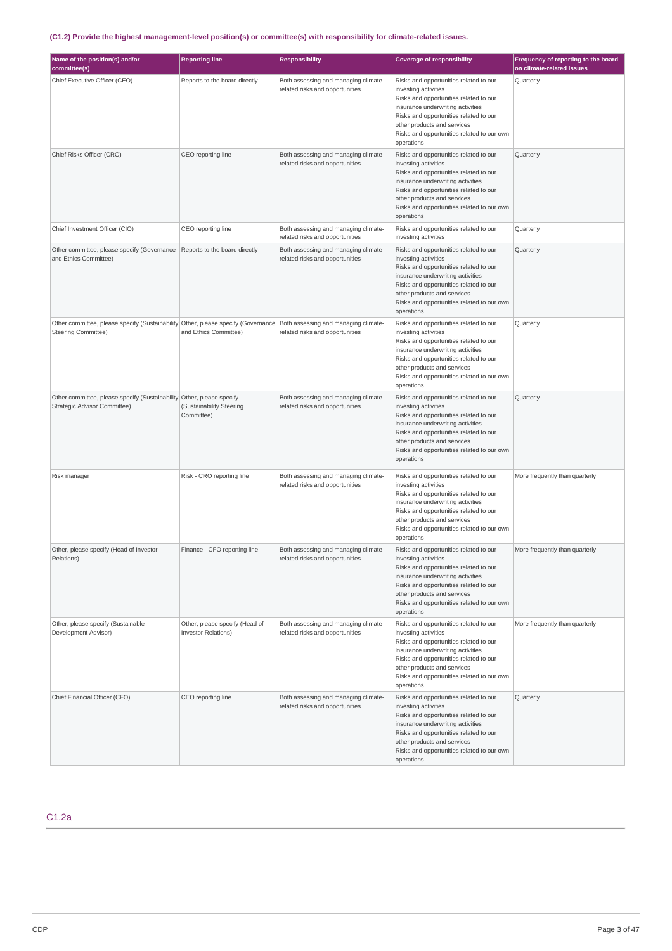# **(C1.2) Provide the highest management-level position(s) or committee(s) with responsibility for climate-related issues.**

| Name of the position(s) and/or<br>committee(s)                                                                                                         | <b>Reporting line</b>                                        | <b>Responsibility</b>                                                   | <b>Coverage of responsibility</b>                                                                                                                                                                                                                                                  | Frequency of reporting to the board<br>on climate-related issues |
|--------------------------------------------------------------------------------------------------------------------------------------------------------|--------------------------------------------------------------|-------------------------------------------------------------------------|------------------------------------------------------------------------------------------------------------------------------------------------------------------------------------------------------------------------------------------------------------------------------------|------------------------------------------------------------------|
| Chief Executive Officer (CEO)                                                                                                                          | Reports to the board directly                                | Both assessing and managing climate-<br>related risks and opportunities | Risks and opportunities related to our<br>investing activities<br>Risks and opportunities related to our<br>insurance underwriting activities<br>Risks and opportunities related to our<br>other products and services<br>Risks and opportunities related to our own<br>operations | Quarterly                                                        |
| Chief Risks Officer (CRO)                                                                                                                              | CEO reporting line                                           | Both assessing and managing climate-<br>related risks and opportunities | Risks and opportunities related to our<br>investing activities<br>Risks and opportunities related to our<br>insurance underwriting activities<br>Risks and opportunities related to our<br>other products and services<br>Risks and opportunities related to our own<br>operations | Quarterly                                                        |
| Chief Investment Officer (CIO)                                                                                                                         | CEO reporting line                                           | Both assessing and managing climate-<br>related risks and opportunities | Risks and opportunities related to our<br>investing activities                                                                                                                                                                                                                     | Quarterly                                                        |
| Other committee, please specify (Governance<br>and Ethics Committee)                                                                                   | Reports to the board directly                                | Both assessing and managing climate-<br>related risks and opportunities | Risks and opportunities related to our<br>investing activities<br>Risks and opportunities related to our<br>insurance underwriting activities<br>Risks and opportunities related to our<br>other products and services<br>Risks and opportunities related to our own<br>operations | Quarterly                                                        |
| Other committee, please specify (Sustainability Other, please specify (Governance   Both assessing and managing climate-<br><b>Steering Committee)</b> | and Ethics Committee)                                        | related risks and opportunities                                         | Risks and opportunities related to our<br>investing activities<br>Risks and opportunities related to our<br>insurance underwriting activities<br>Risks and opportunities related to our<br>other products and services<br>Risks and opportunities related to our own<br>operations | Quarterly                                                        |
| Other committee, please specify (Sustainability Other, please specify<br>Strategic Advisor Committee)                                                  | (Sustainability Steering<br>Committee)                       | Both assessing and managing climate-<br>related risks and opportunities | Risks and opportunities related to our<br>investing activities<br>Risks and opportunities related to our<br>insurance underwriting activities<br>Risks and opportunities related to our<br>other products and services<br>Risks and opportunities related to our own<br>operations | Quarterly                                                        |
| Risk manager                                                                                                                                           | Risk - CRO reporting line                                    | Both assessing and managing climate-<br>related risks and opportunities | Risks and opportunities related to our<br>investing activities<br>Risks and opportunities related to our<br>insurance underwriting activities<br>Risks and opportunities related to our<br>other products and services<br>Risks and opportunities related to our own<br>operations | More frequently than quarterly                                   |
| Other, please specify (Head of Investor<br>Relations)                                                                                                  | Finance - CFO reporting line                                 | Both assessing and managing climate-<br>related risks and opportunities | Risks and opportunities related to our<br>investing activities<br>Risks and opportunities related to our<br>insurance underwriting activities<br>Risks and opportunities related to our<br>other products and services<br>Risks and opportunities related to our own<br>operations | More frequently than quarterly                                   |
| Other, please specify (Sustainable<br>Development Advisor)                                                                                             | Other, please specify (Head of<br><b>Investor Relations)</b> | Both assessing and managing climate-<br>related risks and opportunities | Risks and opportunities related to our<br>investing activities<br>Risks and opportunities related to our<br>insurance underwriting activities<br>Risks and opportunities related to our<br>other products and services<br>Risks and opportunities related to our own<br>operations | More frequently than quarterly                                   |
| Chief Financial Officer (CFO)                                                                                                                          | CEO reporting line                                           | Both assessing and managing climate-<br>related risks and opportunities | Risks and opportunities related to our<br>investing activities<br>Risks and opportunities related to our<br>insurance underwriting activities<br>Risks and opportunities related to our<br>other products and services<br>Risks and opportunities related to our own<br>operations | Quarterly                                                        |

# C1.2a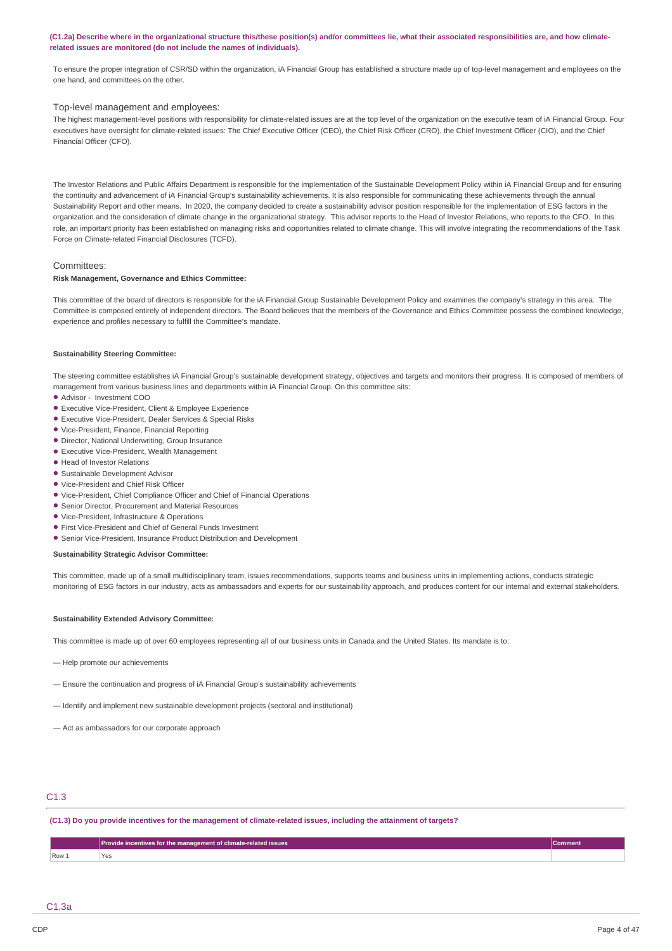### (C1.2a) Describe where in the organizational structure this/these position(s) and/or committees lie, what their associated responsibilities are, and how climate**related issues are monitored (do not include the names of individuals).**

To ensure the proper integration of CSR/SD within the organization, iA Financial Group has established a structure made up of top-level management and employees on the one hand, and committees on the other.

#### Top-level management and employees:

The highest management-level positions with responsibility for climate-related issues are at the top level of the organization on the executive team of iA Financial Group. Four executives have oversight for climate-related issues: The Chief Executive Officer (CEO), the Chief Risk Officer (CRO), the Chief Investment Officer (CIO), and the Chief Financial Officer (CFO).

The Investor Relations and Public Affairs Department is responsible for the implementation of the Sustainable Development Policy within iA Financial Group and for ensuring the continuity and advancement of iA Financial Group's sustainability achievements. It is also responsible for communicating these achievements through the annual Sustainability Report and other means. In 2020, the company decided to create a sustainability advisor position responsible for the implementation of ESG factors in the organization and the consideration of climate change in the organizational strategy. This advisor reports to the Head of Investor Relations, who reports to the CFO. In this role, an important priority has been established on managing risks and opportunities related to climate change. This will involve integrating the recommendations of the Task Force on Climate-related Financial Disclosures (TCFD).

### Committees:

### **Risk Management, Governance and Ethics Committee:**

This committee of the board of directors is responsible for the iA Financial Group Sustainable Development Policy and examines the company's strategy in this area. The Committee is composed entirely of independent directors. The Board believes that the members of the Governance and Ethics Committee possess the combined knowledge, experience and profiles necessary to fulfill the Committee's mandate.

#### **Sustainability Steering Committee:**

The steering committee establishes iA Financial Group's sustainable development strategy, objectives and targets and monitors their progress. It is composed of members of management from various business lines and departments within iA Financial Group. On this committee sits:

- Advisor Investment COO •
- Executive Vice-President, Client & Employee Experience •
- Executive Vice-President, Dealer Services & Special Risks •
- Vice-President, Finance, Financial Reporting •
- Director, National Underwriting, Group Insurance
- Executive Vice-President, Wealth Management •
- Head of Investor Relations •
- · Sustainable Development Advisor
- Vice-President and Chief Risk Officer •
- Vice-President, Chief Compliance Officer and Chief of Financial Operations •
- Senior Director, Procurement and Material Resources
- Vice-President, Infrastructure & Operations •
- First Vice-President and Chief of General Funds Investment
- Senior Vice-President, Insurance Product Distribution and Development

#### **Sustainability Strategic Advisor Committee:**

This committee, made up of a small multidisciplinary team, issues recommendations, supports teams and business units in implementing actions, conducts strategic monitoring of ESG factors in our industry, acts as ambassadors and experts for our sustainability approach, and produces content for our internal and external stakeholders.

#### **Sustainability Extended Advisory Committee:**

This committee is made up of over 60 employees representing all of our business units in Canada and the United States. Its mandate is to:

— Help promote our achievements

- Ensure the continuation and progress of iA Financial Group's sustainability achievements
- Identify and implement new sustainable development projects (sectoral and institutional)
- Act as ambassadors for our corporate approach

# C1.3

(C1.3) Do you provide incentives for the management of climate-related issues, including the attainment of targets?

|     | <b>Provide incentives for the management of climate-related issues</b> |  |
|-----|------------------------------------------------------------------------|--|
| Row |                                                                        |  |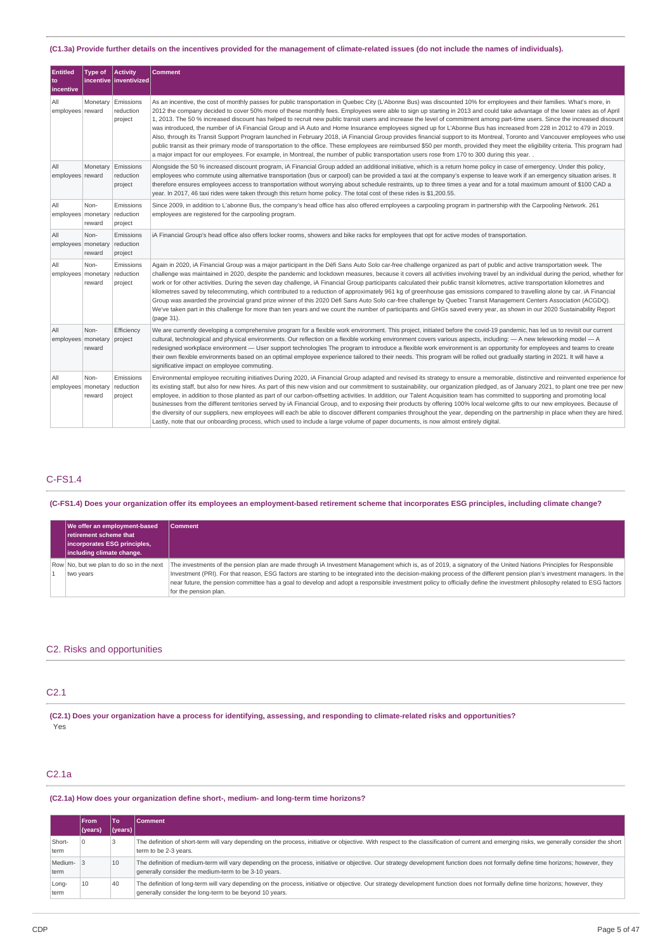### (C1.3a) Provide further details on the incentives provided for the management of climate-related issues (do not include the names of individuals).

| <b>Entitled</b><br>to<br>incentive | <b>Type of</b> | Activity<br>incentive linventivized | <b>Comment</b>                                                                                                                                                                                                                                                                                                                                                                                                                                                                                                                                                                                                                                                                                                                                                                                                                                                                                                                                                                                                                                                                                                                                                                                                                      |
|------------------------------------|----------------|-------------------------------------|-------------------------------------------------------------------------------------------------------------------------------------------------------------------------------------------------------------------------------------------------------------------------------------------------------------------------------------------------------------------------------------------------------------------------------------------------------------------------------------------------------------------------------------------------------------------------------------------------------------------------------------------------------------------------------------------------------------------------------------------------------------------------------------------------------------------------------------------------------------------------------------------------------------------------------------------------------------------------------------------------------------------------------------------------------------------------------------------------------------------------------------------------------------------------------------------------------------------------------------|
| All<br>employees reward            | Monetary       | Emissions<br>reduction<br>project   | As an incentive, the cost of monthly passes for public transportation in Quebec City (L'Abonne Bus) was discounted 10% for employees and their families. What's more, in<br>2012 the company decided to cover 50% more of these monthly fees. Employees were able to sign up starting in 2013 and could take advantage of the lower rates as of April<br>1, 2013. The 50 % increased discount has helped to recruit new public transit users and increase the level of commitment among part-time users. Since the increased discount<br>was introduced, the number of iA Financial Group and iA Auto and Home Insurance employees signed up for L'Abonne Bus has increased from 228 in 2012 to 479 in 2019.<br>Also, through its Transit Support Program launched in February 2018, iA Financial Group provides financial support to its Montreal, Toronto and Vancouver employees who use<br>public transit as their primary mode of transportation to the office. These employees are reimbursed \$50 per month, provided they meet the eligibility criteria. This program had<br>a major impact for our employees. For example, in Montreal, the number of public transportation users rose from 170 to 300 during this year. . |
| All<br>employees reward            | Monetary       | Emissions<br>reduction<br>project   | Alongside the 50 % increased discount program, iA Financial Group added an additional initiative, which is a return home policy in case of emergency. Under this policy,<br>employees who commute using alternative transportation (bus or carpool) can be provided a taxi at the company's expense to leave work if an emergency situation arises. It<br>therefore ensures employees access to transportation without worrying about schedule restraints, up to three times a year and for a total maximum amount of \$100 CAD a<br>year. In 2017, 46 taxi rides were taken through this return home policy. The total cost of these rides is \$1,200.55.                                                                                                                                                                                                                                                                                                                                                                                                                                                                                                                                                                          |
| All<br>employees monetary          | Non-<br>reward | Emissions<br>reduction<br>project   | Since 2009, in addition to L'abonne Bus, the company's head office has also offered employees a carpooling program in partnership with the Carpooling Network. 261<br>employees are registered for the carpooling program.                                                                                                                                                                                                                                                                                                                                                                                                                                                                                                                                                                                                                                                                                                                                                                                                                                                                                                                                                                                                          |
| All<br>employees monetary          | Non-<br>reward | Emissions<br>reduction<br>project   | iA Financial Group's head office also offers locker rooms, showers and bike racks for employees that opt for active modes of transportation.                                                                                                                                                                                                                                                                                                                                                                                                                                                                                                                                                                                                                                                                                                                                                                                                                                                                                                                                                                                                                                                                                        |
| All<br>employees monetary          | Non-<br>reward | Emissions<br>reduction<br>project   | Again in 2020, iA Financial Group was a major participant in the Défi Sans Auto Solo car-free challenge organized as part of public and active transportation week. The<br>challenge was maintained in 2020, despite the pandemic and lockdown measures, because it covers all activities involving travel by an individual during the period, whether for<br>work or for other activities. During the seven day challenge, iA Financial Group participants calculated their public transit kilometres, active transportation kilometres and<br>kilometres saved by telecommuting, which contributed to a reduction of approximately 961 kg of greenhouse gas emissions compared to travelling alone by car. iA Financial<br>Group was awarded the provincial grand prize winner of this 2020 Défi Sans Auto Solo car-free challenge by Quebec Transit Management Centers Association (ACGDQ).<br>We've taken part in this challenge for more than ten years and we count the number of participants and GHGs saved every year, as shown in our 2020 Sustainability Report<br>(page 31).                                                                                                                                            |
| All<br>employees monetary          | Non-<br>reward | Efficiency<br>project               | We are currently developing a comprehensive program for a flexible work environment. This project, initiated before the covid-19 pandemic, has led us to revisit our current<br>cultural, technological and physical environments. Our reflection on a flexible working environment covers various aspects, including: - A new teleworking model - A<br>redesigned workplace environment — User support technologies The program to introduce a flexible work environment is an opportunity for employees and teams to create<br>their own flexible environments based on an optimal employee experience tailored to their needs. This program will be rolled out gradually starting in 2021. It will have a<br>significative impact on employee commuting.                                                                                                                                                                                                                                                                                                                                                                                                                                                                         |
| All<br>employees monetary          | Non-<br>reward | Emissions<br>reduction<br>project   | Environmental employee recruiting initiatives During 2020, iA Financial Group adapted and revised its strategy to ensure a memorable, distinctive and reinvented experience for<br>its existing staff, but also for new hires. As part of this new vision and our commitment to sustainability, our organization pledged, as of January 2021, to plant one tree per new<br>employee, in addition to those planted as part of our carbon-offsetting activities. In addition, our Talent Acquisition team has committed to supporting and promoting local<br>businesses from the different territories served by iA Financial Group, and to exposing their products by offering 100% local welcome gifts to our new employees. Because of<br>the diversity of our suppliers, new employees will each be able to discover different companies throughout the year, depending on the partnership in place when they are hired.<br>Lastly, note that our onboarding process, which used to include a large volume of paper documents, is now almost entirely digital.                                                                                                                                                                    |

## C-FS1.4

(C-FS1.4) Does your organization offer its employees an employment-based retirement scheme that incorporates ESG principles, including climate change?

| We offer an employment-based<br>retirement scheme that<br>incorporates ESG principles,<br>including climate change. | <b>Comment</b>                                                                                                                                                                                                                                                                                                                                                                                                                                                                                                                                     |
|---------------------------------------------------------------------------------------------------------------------|----------------------------------------------------------------------------------------------------------------------------------------------------------------------------------------------------------------------------------------------------------------------------------------------------------------------------------------------------------------------------------------------------------------------------------------------------------------------------------------------------------------------------------------------------|
| Row No, but we plan to do so in the next<br>two years                                                               | The investments of the pension plan are made through iA Investment Management which is, as of 2019, a signatory of the United Nations Principles for Responsible<br>Investment (PRI). For that reason, ESG factors are starting to be integrated into the decision-making process of the different pension plan's investment managers. In the<br>near future, the pension committee has a goal to develop and adopt a responsible investment policy to officially define the investment philosophy related to ESG factors<br>for the pension plan. |

### C2. Risks and opportunities

## C2.1

(C2.1) Does your organization have a process for identifying, assessing, and responding to climate-related risks and opportunities? Yes

# C2.1a

**(C2.1a) How does your organization define short-, medium- and long-term time horizons?**

|                 | <b>From</b> | что.        | <b>Comment</b>                                                                                                                                                                                                                              |
|-----------------|-------------|-------------|---------------------------------------------------------------------------------------------------------------------------------------------------------------------------------------------------------------------------------------------|
|                 | (vears)     | $ $ (years) |                                                                                                                                                                                                                                             |
| Short-<br>term  |             |             | The definition of short-term will vary depending on the process, initiative or objective. With respect to the classification of current and emerging risks, we generally consider the short<br>term to be 2-3 years.                        |
| Medium-<br>term |             | 10          | The definition of medium-term will vary depending on the process, initiative or objective. Our strategy development function does not formally define time horizons; however, they<br>generally consider the medium-term to be 3-10 years.  |
| Long-<br>term   | 10          | 40          | The definition of long-term will vary depending on the process, initiative or objective. Our strategy development function does not formally define time horizons; however, they<br>generally consider the long-term to be beyond 10 years. |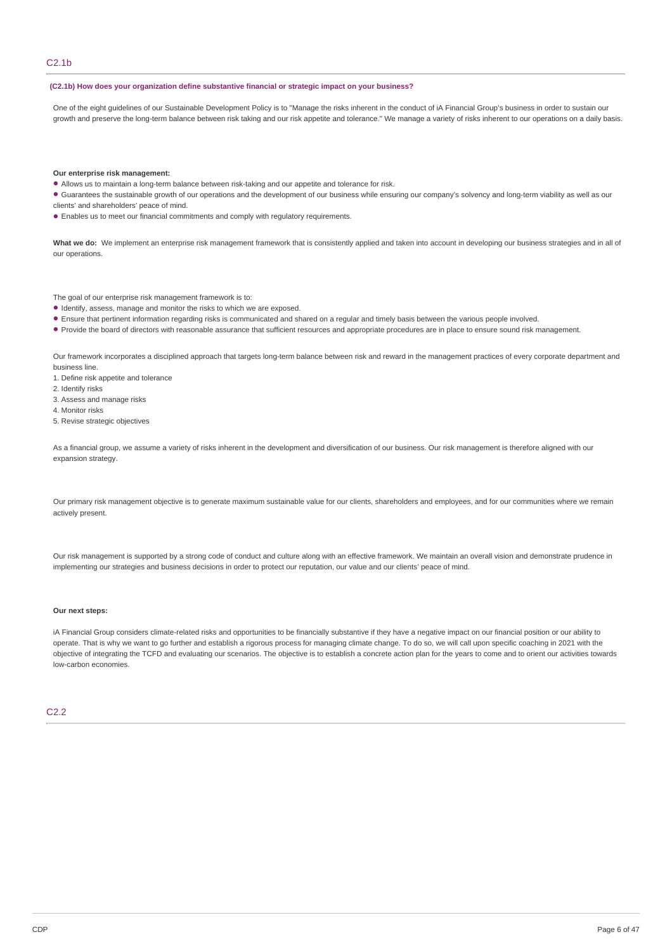### **(C2.1b) How does your organization define substantive financial or strategic impact on your business?**

One of the eight guidelines of our Sustainable Development Policy is to "Manage the risks inherent in the conduct of iA Financial Group's business in order to sustain our growth and preserve the long-term balance between risk taking and our risk appetite and tolerance." We manage a variety of risks inherent to our operations on a daily basis.

#### **Our enterprise risk management:**

- Allows us to maintain a long-term balance between risk-taking and our appetite and tolerance for risk.
- Guarantees the sustainable growth of our operations and the development of our business while ensuring our company's solvency and long-term viability as well as our clients' and shareholders' peace of mind.
- Enables us to meet our financial commitments and comply with regulatory requirements. •

What we do: We implement an enterprise risk management framework that is consistently applied and taken into account in developing our business strategies and in all of our operations.

The goal of our enterprise risk management framework is to:

- $\bullet$  Identify, assess, manage and monitor the risks to which we are exposed.
- Ensure that pertinent information regarding risks is communicated and shared on a regular and timely basis between the various people involved. •
- Provide the board of directors with reasonable assurance that sufficient resources and appropriate procedures are in place to ensure sound risk management.

Our framework incorporates a disciplined approach that targets long-term balance between risk and reward in the management practices of every corporate department and business line.

- 1. Define risk appetite and tolerance
- 2. Identify risks
- 3. Assess and manage risks
- 4. Monitor risks
- 5. Revise strategic objectives

As a financial group, we assume a variety of risks inherent in the development and diversification of our business. Our risk management is therefore aligned with our expansion strategy.

Our primary risk management objective is to generate maximum sustainable value for our clients, shareholders and employees, and for our communities where we remain actively present.

Our risk management is supported by a strong code of conduct and culture along with an effective framework. We maintain an overall vision and demonstrate prudence in implementing our strategies and business decisions in order to protect our reputation, our value and our clients' peace of mind.

#### **Our next steps:**

iA Financial Group considers climate-related risks and opportunities to be financially substantive if they have a negative impact on our financial position or our ability to operate. That is why we want to go further and establish a rigorous process for managing climate change. To do so, we will call upon specific coaching in 2021 with the objective of integrating the TCFD and evaluating our scenarios. The objective is to establish a concrete action plan for the years to come and to orient our activities towards low-carbon economies.

### C<sub>2.2</sub>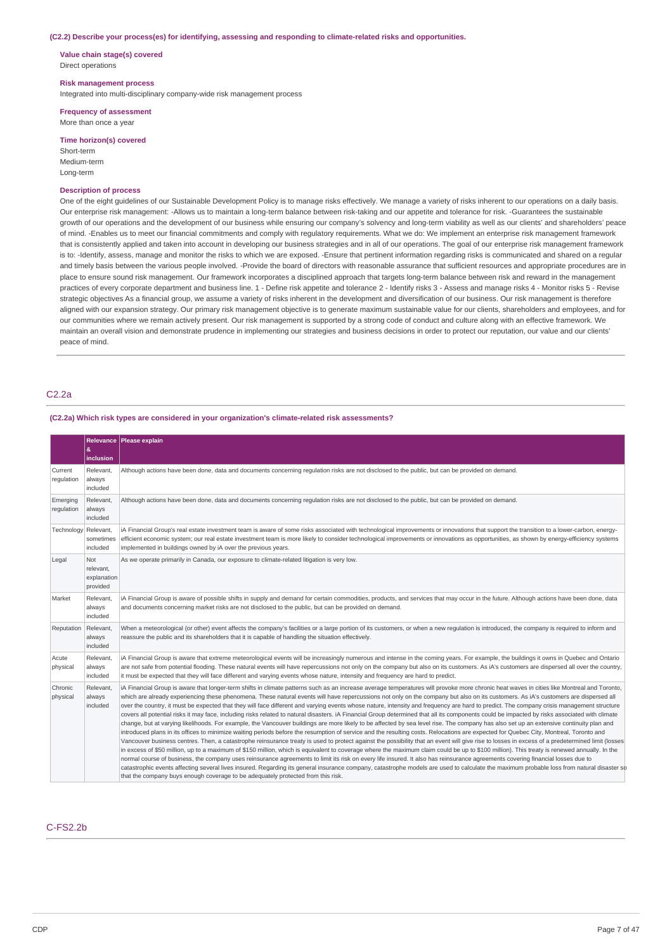#### **(C2.2) Describe your process(es) for identifying, assessing and responding to climate-related risks and opportunities.**

**Value chain stage(s) covered** Direct operations

#### **Risk management process**

Integrated into multi-disciplinary company-wide risk management process

**Frequency of assessment** More than once a year

#### **Time horizon(s) covered**

Short-term Medium-term Long-term

### **Description of process**

One of the eight guidelines of our Sustainable Development Policy is to manage risks effectively. We manage a variety of risks inherent to our operations on a daily basis. Our enterprise risk management: -Allows us to maintain a long-term balance between risk-taking and our appetite and tolerance for risk. -Guarantees the sustainable growth of our operations and the development of our business while ensuring our company's solvency and long-term viability as well as our clients' and shareholders' peace of mind. -Enables us to meet our financial commitments and comply with regulatory requirements. What we do: We implement an enterprise risk management framework that is consistently applied and taken into account in developing our business strategies and in all of our operations. The goal of our enterprise risk management framework is to: -Identify, assess, manage and monitor the risks to which we are exposed. -Ensure that pertinent information regarding risks is communicated and shared on a regular and timely basis between the various people involved. -Provide the board of directors with reasonable assurance that sufficient resources and appropriate procedures are in place to ensure sound risk management. Our framework incorporates a disciplined approach that targets long-term balance between risk and reward in the management practices of every corporate department and business line. 1 - Define risk appetite and tolerance 2 - Identify risks 3 - Assess and manage risks 4 - Monitor risks 5 - Revise strategic objectives As a financial group, we assume a variety of risks inherent in the development and diversification of our business. Our risk management is therefore aligned with our expansion strategy. Our primary risk management objective is to generate maximum sustainable value for our clients, shareholders and employees, and for our communities where we remain actively present. Our risk management is supported by a strong code of conduct and culture along with an effective framework. We maintain an overall vision and demonstrate prudence in implementing our strategies and business decisions in order to protect our reputation, our value and our clients' peace of mind.

### C2.2a

#### **(C2.2a) Which risk types are considered in your organization's climate-related risk assessments?**

|                        | æ.                                                 | Relevance Please explain                                                                                                                                                                                                                                                                                                                                                                                                                                                                                                                                                                                                                                                                                                                                                                                                                                                                                                                                                                                                                                                                                                                                                                                                                                                                                                                                                                                                                                                                                                                                                                                                                                                                                                                                                                                                                                                                                                                                                                                                                   |
|------------------------|----------------------------------------------------|--------------------------------------------------------------------------------------------------------------------------------------------------------------------------------------------------------------------------------------------------------------------------------------------------------------------------------------------------------------------------------------------------------------------------------------------------------------------------------------------------------------------------------------------------------------------------------------------------------------------------------------------------------------------------------------------------------------------------------------------------------------------------------------------------------------------------------------------------------------------------------------------------------------------------------------------------------------------------------------------------------------------------------------------------------------------------------------------------------------------------------------------------------------------------------------------------------------------------------------------------------------------------------------------------------------------------------------------------------------------------------------------------------------------------------------------------------------------------------------------------------------------------------------------------------------------------------------------------------------------------------------------------------------------------------------------------------------------------------------------------------------------------------------------------------------------------------------------------------------------------------------------------------------------------------------------------------------------------------------------------------------------------------------------|
| Current<br>regulation  | inclusion<br>Relevant<br>always<br>included        | Although actions have been done, data and documents concerning regulation risks are not disclosed to the public, but can be provided on demand.                                                                                                                                                                                                                                                                                                                                                                                                                                                                                                                                                                                                                                                                                                                                                                                                                                                                                                                                                                                                                                                                                                                                                                                                                                                                                                                                                                                                                                                                                                                                                                                                                                                                                                                                                                                                                                                                                            |
| Emerging<br>regulation | Relevant,<br>always<br>included                    | Although actions have been done, data and documents concerning regulation risks are not disclosed to the public, but can be provided on demand.                                                                                                                                                                                                                                                                                                                                                                                                                                                                                                                                                                                                                                                                                                                                                                                                                                                                                                                                                                                                                                                                                                                                                                                                                                                                                                                                                                                                                                                                                                                                                                                                                                                                                                                                                                                                                                                                                            |
| Technology Relevant,   | sometimes<br>included                              | iA Financial Group's real estate investment team is aware of some risks associated with technological improvements or innovations that support the transition to a lower-carbon, energy-<br>efficient economic system; our real estate investment team is more likely to consider technological improvements or innovations as opportunities, as shown by energy-efficiency systems<br>implemented in buildings owned by iA over the previous years.                                                                                                                                                                                                                                                                                                                                                                                                                                                                                                                                                                                                                                                                                                                                                                                                                                                                                                                                                                                                                                                                                                                                                                                                                                                                                                                                                                                                                                                                                                                                                                                       |
| Legal                  | <b>Not</b><br>relevant,<br>explanation<br>provided | As we operate primarily in Canada, our exposure to climate-related litigation is very low.                                                                                                                                                                                                                                                                                                                                                                                                                                                                                                                                                                                                                                                                                                                                                                                                                                                                                                                                                                                                                                                                                                                                                                                                                                                                                                                                                                                                                                                                                                                                                                                                                                                                                                                                                                                                                                                                                                                                                 |
| Market                 | Relevant,<br>always<br>included                    | iA Financial Group is aware of possible shifts in supply and demand for certain commodities, products, and services that may occur in the future. Although actions have been done, data<br>and documents concerning market risks are not disclosed to the public, but can be provided on demand.                                                                                                                                                                                                                                                                                                                                                                                                                                                                                                                                                                                                                                                                                                                                                                                                                                                                                                                                                                                                                                                                                                                                                                                                                                                                                                                                                                                                                                                                                                                                                                                                                                                                                                                                           |
| Reputation             | Relevant,<br>always<br>included                    | When a meteorological (or other) event affects the company's facilities or a large portion of its customers, or when a new regulation is introduced, the company is required to inform and<br>reassure the public and its shareholders that it is capable of handling the situation effectively.                                                                                                                                                                                                                                                                                                                                                                                                                                                                                                                                                                                                                                                                                                                                                                                                                                                                                                                                                                                                                                                                                                                                                                                                                                                                                                                                                                                                                                                                                                                                                                                                                                                                                                                                           |
| Acute<br>physical      | Relevant,<br>always<br>included                    | iA Financial Group is aware that extreme meteorological events will be increasingly numerous and intense in the coming years. For example, the buildings it owns in Quebec and Ontario<br>are not safe from potential flooding. These natural events will have repercussions not only on the company but also on its customers. As iA's customers are dispersed all over the country,<br>it must be expected that they will face different and varying events whose nature, intensity and frequency are hard to predict.                                                                                                                                                                                                                                                                                                                                                                                                                                                                                                                                                                                                                                                                                                                                                                                                                                                                                                                                                                                                                                                                                                                                                                                                                                                                                                                                                                                                                                                                                                                   |
| Chronic<br>physical    | Relevant.<br>always<br>included                    | iA Financial Group is aware that longer-term shifts in climate patterns such as an increase average temperatures will provoke more chronic heat waves in cities like Montreal and Toronto,<br>which are already experiencing these phenomena. These natural events will have repercussions not only on the company but also on its customers. As iA's customers are dispersed all<br>over the country, it must be expected that they will face different and varying events whose nature, intensity and frequency are hard to predict. The company crisis management structure<br>covers all potential risks it may face, including risks related to natural disasters. iA Financial Group determined that all its components could be impacted by risks associated with climate<br>change, but at varying likelihoods. For example, the Vancouver buildings are more likely to be affected by sea level rise. The company has also set up an extensive continuity plan and<br>introduced plans in its offices to minimize waiting periods before the resumption of service and the resulting costs. Relocations are expected for Quebec City, Montreal, Toronto and<br>Vancouver business centres. Then, a catastrophe reinsurance treaty is used to protect against the possibility that an event will give rise to losses in excess of a predetermined limit (losses<br>in excess of \$50 million, up to a maximum of \$150 million, which is equivalent to coverage where the maximum claim could be up to \$100 million). This treaty is renewed annually. In the<br>normal course of business, the company uses reinsurance agreements to limit its risk on every life insured. It also has reinsurance agreements covering financial losses due to<br>catastrophic events affecting several lives insured. Regarding its general insurance company, catastrophe models are used to calculate the maximum probable loss from natural disaster so<br>that the company buys enough coverage to be adequately protected from this risk. |

### C-FS2.2b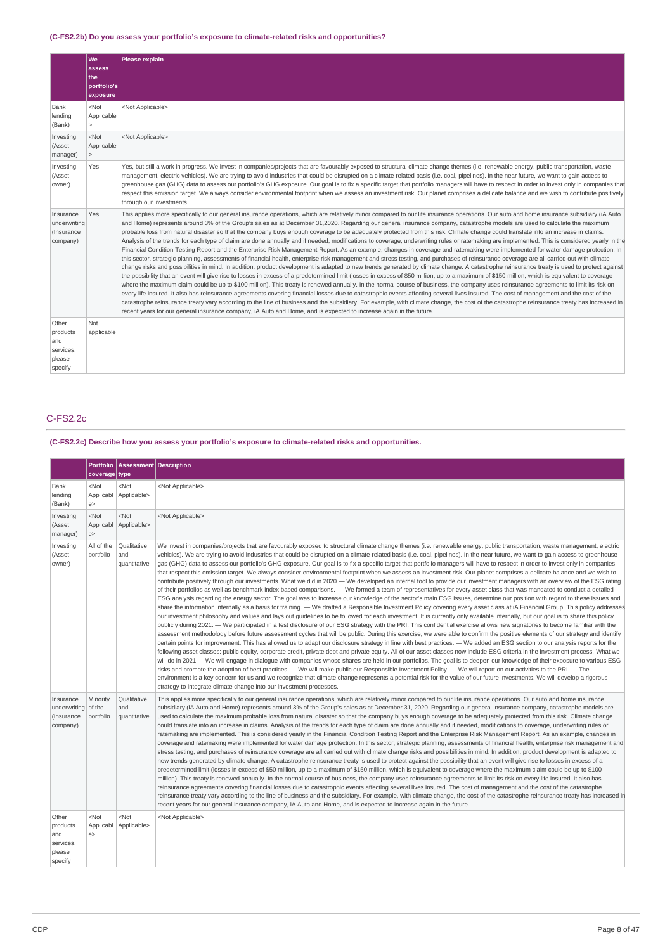### **(C-FS2.2b) Do you assess your portfolio's exposure to climate-related risks and opportunities?**

|                                                            | We<br>assess<br>the<br>portfolio's<br>exposure | Please explain                                                                                                                                                                                                                                                                                                                                                                                                                                                                                                                                                                                                                                                                                                                                                                                                                                                                                                                                                                                                                                                                                                                                                                                                                                                                                                                                                                                                                                                                                                                                                                                                                                                                                                                                                                                                                                                                                                                                                                                                                                                                                                                                                                                                                                        |
|------------------------------------------------------------|------------------------------------------------|-------------------------------------------------------------------------------------------------------------------------------------------------------------------------------------------------------------------------------------------------------------------------------------------------------------------------------------------------------------------------------------------------------------------------------------------------------------------------------------------------------------------------------------------------------------------------------------------------------------------------------------------------------------------------------------------------------------------------------------------------------------------------------------------------------------------------------------------------------------------------------------------------------------------------------------------------------------------------------------------------------------------------------------------------------------------------------------------------------------------------------------------------------------------------------------------------------------------------------------------------------------------------------------------------------------------------------------------------------------------------------------------------------------------------------------------------------------------------------------------------------------------------------------------------------------------------------------------------------------------------------------------------------------------------------------------------------------------------------------------------------------------------------------------------------------------------------------------------------------------------------------------------------------------------------------------------------------------------------------------------------------------------------------------------------------------------------------------------------------------------------------------------------------------------------------------------------------------------------------------------------|
| Bank<br>lending<br>(Bank)                                  | $<$ Not<br>Applicable<br>$\geq$                | <not applicable=""></not>                                                                                                                                                                                                                                                                                                                                                                                                                                                                                                                                                                                                                                                                                                                                                                                                                                                                                                                                                                                                                                                                                                                                                                                                                                                                                                                                                                                                                                                                                                                                                                                                                                                                                                                                                                                                                                                                                                                                                                                                                                                                                                                                                                                                                             |
| Investing<br>(Asset<br>manager)                            | $<$ Not<br>Applicable<br>$\geq$                | <not applicable=""></not>                                                                                                                                                                                                                                                                                                                                                                                                                                                                                                                                                                                                                                                                                                                                                                                                                                                                                                                                                                                                                                                                                                                                                                                                                                                                                                                                                                                                                                                                                                                                                                                                                                                                                                                                                                                                                                                                                                                                                                                                                                                                                                                                                                                                                             |
| Investing<br>(Asset<br>owner)                              | Yes                                            | Yes, but still a work in progress. We invest in companies/projects that are favourably exposed to structural climate change themes (i.e. renewable energy, public transportation, waste<br>management, electric vehicles). We are trying to avoid industries that could be disrupted on a climate-related basis (i.e. coal, pipelines). In the near future, we want to gain access to<br>greenhouse gas (GHG) data to assess our portfolio's GHG exposure. Our goal is to fix a specific target that portfolio managers will have to respect in order to invest only in companies that<br>respect this emission target. We always consider environmental footprint when we assess an investment risk. Our planet comprises a delicate balance and we wish to contribute positively<br>through our investments.                                                                                                                                                                                                                                                                                                                                                                                                                                                                                                                                                                                                                                                                                                                                                                                                                                                                                                                                                                                                                                                                                                                                                                                                                                                                                                                                                                                                                                        |
| Insurance<br>underwriting<br>(Insurance<br>company)        | Yes                                            | This applies more specifically to our general insurance operations, which are relatively minor compared to our life insurance operations. Our auto and home insurance subsidiary (iA Auto<br>and Home) represents around 3% of the Group's sales as at December 31,2020. Regarding our general insurance company, catastrophe models are used to calculate the maximum<br>probable loss from natural disaster so that the company buys enough coverage to be adequately protected from this risk. Climate change could translate into an increase in claims.<br>Analysis of the trends for each type of claim are done annually and if needed, modifications to coverage, underwriting rules or ratemaking are implemented. This is considered yearly in the<br>Financial Condition Testing Report and the Enterprise Risk Management Report. As an example, changes in coverage and ratemaking were implemented for water damage protection. In<br>this sector, strategic planning, assessments of financial health, enterprise risk management and stress testing, and purchases of reinsurance coverage are all carried out with climate<br>change risks and possibilities in mind. In addition, product development is adapted to new trends generated by climate change. A catastrophe reinsurance treaty is used to protect against<br>the possibility that an event will give rise to losses in excess of a predetermined limit (losses in excess of \$50 million, up to a maximum of \$150 million, which is equivalent to coverage<br>where the maximum claim could be up to \$100 million). This treaty is renewed annually. In the normal course of business, the company uses reinsurance agreements to limit its risk on<br>every life insured. It also has reinsurance agreements covering financial losses due to catastrophic events affecting several lives insured. The cost of management and the cost of the<br>catastrophe reinsurance treaty vary according to the line of business and the subsidiary. For example, with climate change, the cost of the catastrophe reinsurance treaty has increased in<br>recent years for our general insurance company, iA Auto and Home, and is expected to increase again in the future. |
| Other<br>products<br>and<br>services,<br>please<br>specify | Not<br>applicable                              |                                                                                                                                                                                                                                                                                                                                                                                                                                                                                                                                                                                                                                                                                                                                                                                                                                                                                                                                                                                                                                                                                                                                                                                                                                                                                                                                                                                                                                                                                                                                                                                                                                                                                                                                                                                                                                                                                                                                                                                                                                                                                                                                                                                                                                                       |

# C-FS2.2c

**(C-FS2.2c) Describe how you assess your portfolio's exposure to climate-related risks and opportunities.**

|                                                            | <b>Portfolio</b><br>coverage type | Assessment Description             |                                                                                                                                                                                                                                                                                                                                                                                                                                                                                                                                                                                                                                                                                                                                                                                                                                                                                                                                                                                                                                                                                                                                                                                                                                                                                                                                                                                                                                                                                                                                                                                                                                                                                                                                                                                                                                                                                                                                                                                                                                                                                                                                                                                                                                                                                                                                                                                                                                                                                                                                                                                                                                                                                                                                                                                                                                                                                                                                                                       |
|------------------------------------------------------------|-----------------------------------|------------------------------------|-----------------------------------------------------------------------------------------------------------------------------------------------------------------------------------------------------------------------------------------------------------------------------------------------------------------------------------------------------------------------------------------------------------------------------------------------------------------------------------------------------------------------------------------------------------------------------------------------------------------------------------------------------------------------------------------------------------------------------------------------------------------------------------------------------------------------------------------------------------------------------------------------------------------------------------------------------------------------------------------------------------------------------------------------------------------------------------------------------------------------------------------------------------------------------------------------------------------------------------------------------------------------------------------------------------------------------------------------------------------------------------------------------------------------------------------------------------------------------------------------------------------------------------------------------------------------------------------------------------------------------------------------------------------------------------------------------------------------------------------------------------------------------------------------------------------------------------------------------------------------------------------------------------------------------------------------------------------------------------------------------------------------------------------------------------------------------------------------------------------------------------------------------------------------------------------------------------------------------------------------------------------------------------------------------------------------------------------------------------------------------------------------------------------------------------------------------------------------------------------------------------------------------------------------------------------------------------------------------------------------------------------------------------------------------------------------------------------------------------------------------------------------------------------------------------------------------------------------------------------------------------------------------------------------------------------------------------------------|
| Bank<br>lending<br>(Bank)                                  | $<$ Not<br>Applicabl<br>e         | $<$ Not<br>Applicable>             | <not applicable=""></not>                                                                                                                                                                                                                                                                                                                                                                                                                                                                                                                                                                                                                                                                                                                                                                                                                                                                                                                                                                                                                                                                                                                                                                                                                                                                                                                                                                                                                                                                                                                                                                                                                                                                                                                                                                                                                                                                                                                                                                                                                                                                                                                                                                                                                                                                                                                                                                                                                                                                                                                                                                                                                                                                                                                                                                                                                                                                                                                                             |
| Investing<br>(Asset<br>manager)                            | $<$ Not<br>Applicabl<br>e         | $<$ Not<br>Applicable>             | <not applicable=""></not>                                                                                                                                                                                                                                                                                                                                                                                                                                                                                                                                                                                                                                                                                                                                                                                                                                                                                                                                                                                                                                                                                                                                                                                                                                                                                                                                                                                                                                                                                                                                                                                                                                                                                                                                                                                                                                                                                                                                                                                                                                                                                                                                                                                                                                                                                                                                                                                                                                                                                                                                                                                                                                                                                                                                                                                                                                                                                                                                             |
| Investing<br>(Asset<br>owner)                              | All of the<br>portfolio           | Qualitative<br>and<br>quantitative | We invest in companies/projects that are favourably exposed to structural climate change themes (i.e. renewable energy, public transportation, waste management, electric<br>vehicles). We are trying to avoid industries that could be disrupted on a climate-related basis (i.e. coal, pipelines). In the near future, we want to gain access to greenhouse<br>gas (GHG) data to assess our portfolio's GHG exposure. Our goal is to fix a specific target that portfolio managers will have to respect in order to invest only in companies<br>that respect this emission target. We always consider environmental footprint when we assess an investment risk. Our planet comprises a delicate balance and we wish to<br>contribute positively through our investments. What we did in 2020 - We developed an internal tool to provide our investment managers with an overview of the ESG rating<br>of their portfolios as well as benchmark index based comparisons. — We formed a team of representatives for every asset class that was mandated to conduct a detailed<br>ESG analysis regarding the energy sector. The goal was to increase our knowledge of the sector's main ESG issues, determine our position with regard to these issues and<br>share the information internally as a basis for training. — We drafted a Responsible Investment Policy covering every asset class at iA Financial Group. This policy addresses<br>our investment philosophy and values and lays out quidelines to be followed for each investment. It is currently only available internally, but our goal is to share this policy<br>publicly during 2021. — We participated in a test disclosure of our ESG strategy with the PRI. This confidential exercise allows new signatories to become familiar with the<br>assessment methodology before future assessment cycles that will be public. During this exercise, we were able to confirm the positive elements of our strategy and identify<br>certain points for improvement. This has allowed us to adapt our disclosure strategy in line with best practices. — We added an ESG section to our analysis reports for the<br>following asset classes: public equity, corporate credit, private debt and private equity. All of our asset classes now include ESG criteria in the investment process. What we<br>will do in 2021 - We will engage in dialogue with companies whose shares are held in our portfolios. The goal is to deepen our knowledge of their exposure to various ESG<br>risks and promote the adoption of best practices. - We will make public our Responsible Investment Policy. - We will report on our activities to the PRI. - The<br>environment is a key concern for us and we recognize that climate change represents a potential risk for the value of our future investments. We will develop a rigorous<br>strategy to integrate climate change into our investment processes. |
| Insurance<br>underwriting of the<br>(Insurance<br>company) | Minority<br>portfolio             | Qualitative<br>and<br>quantitative | This applies more specifically to our general insurance operations, which are relatively minor compared to our life insurance operations. Our auto and home insurance<br>subsidiary (iA Auto and Home) represents around 3% of the Group's sales as at December 31, 2020. Regarding our general insurance company, catastrophe models are<br>used to calculate the maximum probable loss from natural disaster so that the company buys enough coverage to be adequately protected from this risk. Climate change<br>could translate into an increase in claims. Analysis of the trends for each type of claim are done annually and if needed, modifications to coverage, underwriting rules or<br>ratemaking are implemented. This is considered yearly in the Financial Condition Testing Report and the Enterprise Risk Management Report. As an example, changes in<br>coverage and ratemaking were implemented for water damage protection. In this sector, strategic planning, assessments of financial health, enterprise risk management and<br>stress testing, and purchases of reinsurance coverage are all carried out with climate change risks and possibilities in mind. In addition, product development is adapted to<br>new trends generated by climate change. A catastrophe reinsurance treaty is used to protect against the possibility that an event will give rise to losses in excess of a<br>predetermined limit (losses in excess of \$50 million, up to a maximum of \$150 million, which is equivalent to coverage where the maximum claim could be up to \$100<br>million). This treaty is renewed annually. In the normal course of business, the company uses reinsurance agreements to limit its risk on every life insured. It also has<br>reinsurance agreements covering financial losses due to catastrophic events affecting several lives insured. The cost of management and the cost of the catastrophe<br>reinsurance treaty vary according to the line of business and the subsidiary. For example, with climate change, the cost of the catastrophe reinsurance treaty has increased in<br>recent years for our general insurance company, iA Auto and Home, and is expected to increase again in the future.                                                                                                                                                                                                                                                                                                                                                                                                                                                                                                                                                                                                                                                                                                             |
| Other<br>products<br>and<br>services,<br>please<br>specify | $<$ Not<br>Applicabl<br>e >       | $<$ Not<br>Applicable>             | <not applicable=""></not>                                                                                                                                                                                                                                                                                                                                                                                                                                                                                                                                                                                                                                                                                                                                                                                                                                                                                                                                                                                                                                                                                                                                                                                                                                                                                                                                                                                                                                                                                                                                                                                                                                                                                                                                                                                                                                                                                                                                                                                                                                                                                                                                                                                                                                                                                                                                                                                                                                                                                                                                                                                                                                                                                                                                                                                                                                                                                                                                             |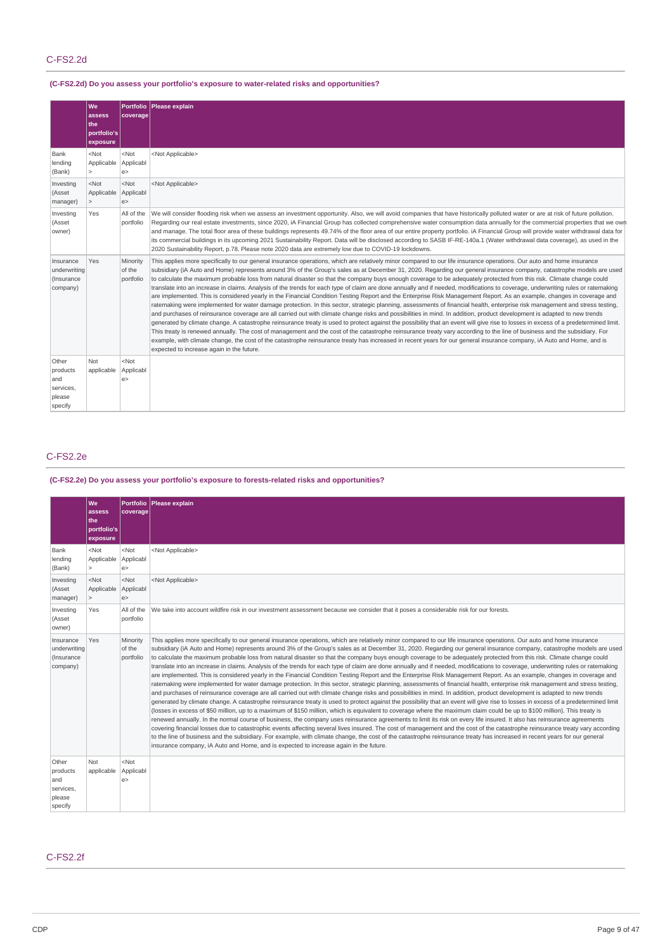# **(C-FS2.2d) Do you assess your portfolio's exposure to water-related risks and opportunities?**

|                                                            | We<br>assess<br>the<br>portfolio's<br>exposure | <b>Portfolio</b><br>coverage    | Please explain                                                                                                                                                                                                                                                                                                                                                                                                                                                                                                                                                                                                                                                                                                                                                                                                                                                                                                                                                                                                                                                                                                                                                                                                                                                                                                                                                                                                                                                                                                                                                                                                                                                                                                                                                                                                                               |
|------------------------------------------------------------|------------------------------------------------|---------------------------------|----------------------------------------------------------------------------------------------------------------------------------------------------------------------------------------------------------------------------------------------------------------------------------------------------------------------------------------------------------------------------------------------------------------------------------------------------------------------------------------------------------------------------------------------------------------------------------------------------------------------------------------------------------------------------------------------------------------------------------------------------------------------------------------------------------------------------------------------------------------------------------------------------------------------------------------------------------------------------------------------------------------------------------------------------------------------------------------------------------------------------------------------------------------------------------------------------------------------------------------------------------------------------------------------------------------------------------------------------------------------------------------------------------------------------------------------------------------------------------------------------------------------------------------------------------------------------------------------------------------------------------------------------------------------------------------------------------------------------------------------------------------------------------------------------------------------------------------------|
| Bank<br>lending<br>(Bank)                                  | $<$ Not<br>Applicable<br>$\mathbf{r}$          | $<$ Not<br>Applicabl<br>e       | <not applicable=""></not>                                                                                                                                                                                                                                                                                                                                                                                                                                                                                                                                                                                                                                                                                                                                                                                                                                                                                                                                                                                                                                                                                                                                                                                                                                                                                                                                                                                                                                                                                                                                                                                                                                                                                                                                                                                                                    |
| Investing<br>(Asset<br>manager)                            | $<$ Not<br>Applicable<br>$\geq$                | $<$ Not<br>Applicabl<br>e       | <not applicable=""></not>                                                                                                                                                                                                                                                                                                                                                                                                                                                                                                                                                                                                                                                                                                                                                                                                                                                                                                                                                                                                                                                                                                                                                                                                                                                                                                                                                                                                                                                                                                                                                                                                                                                                                                                                                                                                                    |
| Investing<br>(Asset<br>owner)                              | Yes                                            | All of the<br>portfolio         | We will consider flooding risk when we assess an investment opportunity. Also, we will avoid companies that have historically polluted water or are at risk of future pollution.<br>Regarding our real estate investments, since 2020, iA Financial Group has collected comprehensive water consumption data annually for the commercial properties that we own<br>and manage. The total floor area of these buildings represents 49.74% of the floor area of our entire property portfolio. iA Financial Group will provide water withdrawal data for<br>its commercial buildings in its upcoming 2021 Sustainability Report. Data will be disclosed according to SASB IF-RE-140a.1 (Water withdrawal data coverage), as used in the<br>2020 Sustainability Report, p.78. Please note 2020 data are extremely low due to COVID-19 lockdowns.                                                                                                                                                                                                                                                                                                                                                                                                                                                                                                                                                                                                                                                                                                                                                                                                                                                                                                                                                                                                |
| Insurance<br>underwriting<br>(Insurance<br>company)        | Yes                                            | Minority<br>of the<br>portfolio | This applies more specifically to our general insurance operations, which are relatively minor compared to our life insurance operations. Our auto and home insurance<br>subsidiary (iA Auto and Home) represents around 3% of the Group's sales as at December 31, 2020. Regarding our general insurance company, catastrophe models are used<br>to calculate the maximum probable loss from natural disaster so that the company buys enough coverage to be adequately protected from this risk. Climate change could<br>translate into an increase in claims. Analysis of the trends for each type of claim are done annually and if needed, modifications to coverage, underwriting rules or ratemaking<br>are implemented. This is considered yearly in the Financial Condition Testing Report and the Enterprise Risk Management Report. As an example, changes in coverage and<br>ratemaking were implemented for water damage protection. In this sector, strategic planning, assessments of financial health, enterprise risk management and stress testing,<br>and purchases of reinsurance coverage are all carried out with climate change risks and possibilities in mind. In addition, product development is adapted to new trends<br>generated by climate change. A catastrophe reinsurance treaty is used to protect against the possibility that an event will give rise to losses in excess of a predetermined limit.<br>This treaty is renewed annually. The cost of management and the cost of the catastrophe reinsurance treaty vary according to the line of business and the subsidiary. For<br>example, with climate change, the cost of the catastrophe reinsurance treaty has increased in recent years for our general insurance company, iA Auto and Home, and is<br>expected to increase again in the future. |
| Other<br>products<br>and<br>services,<br>please<br>specify | Not<br>applicable                              | $<$ Not<br>Applicabl<br>e       |                                                                                                                                                                                                                                                                                                                                                                                                                                                                                                                                                                                                                                                                                                                                                                                                                                                                                                                                                                                                                                                                                                                                                                                                                                                                                                                                                                                                                                                                                                                                                                                                                                                                                                                                                                                                                                              |

## C-FS2.2e

# **(C-FS2.2e) Do you assess your portfolio's exposure to forests-related risks and opportunities?**

|                                                            | We<br>assess<br>lthe:<br>portfolio's<br>exposure | coverage                        | Portfolio   Please explain                                                                                                                                                                                                                                                                                                                                                                                                                                                                                                                                                                                                                                                                                                                                                                                                                                                                                                                                                                                                                                                                                                                                                                                                                                                                                                                                                                                                                                                                                                                                                                                                                                                                                                                                                                                                                                                                                                                                                                                                                                                                                                                                                                                                                                |
|------------------------------------------------------------|--------------------------------------------------|---------------------------------|-----------------------------------------------------------------------------------------------------------------------------------------------------------------------------------------------------------------------------------------------------------------------------------------------------------------------------------------------------------------------------------------------------------------------------------------------------------------------------------------------------------------------------------------------------------------------------------------------------------------------------------------------------------------------------------------------------------------------------------------------------------------------------------------------------------------------------------------------------------------------------------------------------------------------------------------------------------------------------------------------------------------------------------------------------------------------------------------------------------------------------------------------------------------------------------------------------------------------------------------------------------------------------------------------------------------------------------------------------------------------------------------------------------------------------------------------------------------------------------------------------------------------------------------------------------------------------------------------------------------------------------------------------------------------------------------------------------------------------------------------------------------------------------------------------------------------------------------------------------------------------------------------------------------------------------------------------------------------------------------------------------------------------------------------------------------------------------------------------------------------------------------------------------------------------------------------------------------------------------------------------------|
| Bank<br>lending<br>(Bank)                                  | $<$ Not<br>Applicable<br>1>                      | $<$ Not<br>Applicabl<br>e       | <not applicable=""></not>                                                                                                                                                                                                                                                                                                                                                                                                                                                                                                                                                                                                                                                                                                                                                                                                                                                                                                                                                                                                                                                                                                                                                                                                                                                                                                                                                                                                                                                                                                                                                                                                                                                                                                                                                                                                                                                                                                                                                                                                                                                                                                                                                                                                                                 |
| Investing<br>(Asset<br>manager)                            | $<$ Not<br>Applicable<br>$\geq$                  | $<$ Not<br>Applicabl<br>e       | <not applicable=""></not>                                                                                                                                                                                                                                                                                                                                                                                                                                                                                                                                                                                                                                                                                                                                                                                                                                                                                                                                                                                                                                                                                                                                                                                                                                                                                                                                                                                                                                                                                                                                                                                                                                                                                                                                                                                                                                                                                                                                                                                                                                                                                                                                                                                                                                 |
| Investing<br>(Asset<br>owner)                              | Yes                                              | All of the<br>portfolio         | We take into account wildfire risk in our investment assessment because we consider that it poses a considerable risk for our forests.                                                                                                                                                                                                                                                                                                                                                                                                                                                                                                                                                                                                                                                                                                                                                                                                                                                                                                                                                                                                                                                                                                                                                                                                                                                                                                                                                                                                                                                                                                                                                                                                                                                                                                                                                                                                                                                                                                                                                                                                                                                                                                                    |
| Insurance<br>underwriting<br>(Insurance<br>company)        | Yes                                              | Minority<br>of the<br>portfolio | This applies more specifically to our general insurance operations, which are relatively minor compared to our life insurance operations. Our auto and home insurance<br>subsidiary (iA Auto and Home) represents around 3% of the Group's sales as at December 31, 2020. Regarding our general insurance company, catastrophe models are used<br>to calculate the maximum probable loss from natural disaster so that the company buys enough coverage to be adequately protected from this risk. Climate change could<br>translate into an increase in claims. Analysis of the trends for each type of claim are done annually and if needed, modifications to coverage, underwriting rules or ratemaking<br>are implemented. This is considered yearly in the Financial Condition Testing Report and the Enterprise Risk Management Report. As an example, changes in coverage and<br>ratemaking were implemented for water damage protection. In this sector, strategic planning, assessments of financial health, enterprise risk management and stress testing,<br>and purchases of reinsurance coverage are all carried out with climate change risks and possibilities in mind. In addition, product development is adapted to new trends<br>generated by climate change. A catastrophe reinsurance treaty is used to protect against the possibility that an event will give rise to losses in excess of a predetermined limit<br>(losses in excess of \$50 million, up to a maximum of \$150 million, which is equivalent to coverage where the maximum claim could be up to \$100 million). This treaty is<br>renewed annually. In the normal course of business, the company uses reinsurance agreements to limit its risk on every life insured. It also has reinsurance agreements<br>covering financial losses due to catastrophic events affecting several lives insured. The cost of management and the cost of the catastrophe reinsurance treaty vary according<br>to the line of business and the subsidiary. For example, with climate change, the cost of the catastrophe reinsurance treaty has increased in recent years for our general<br>insurance company, iA Auto and Home, and is expected to increase again in the future. |
| Other<br>products<br>and<br>services,<br>please<br>specify | Not<br>applicable                                | $<$ Not<br>Applicabl<br>e       |                                                                                                                                                                                                                                                                                                                                                                                                                                                                                                                                                                                                                                                                                                                                                                                                                                                                                                                                                                                                                                                                                                                                                                                                                                                                                                                                                                                                                                                                                                                                                                                                                                                                                                                                                                                                                                                                                                                                                                                                                                                                                                                                                                                                                                                           |

### C-FS2.2f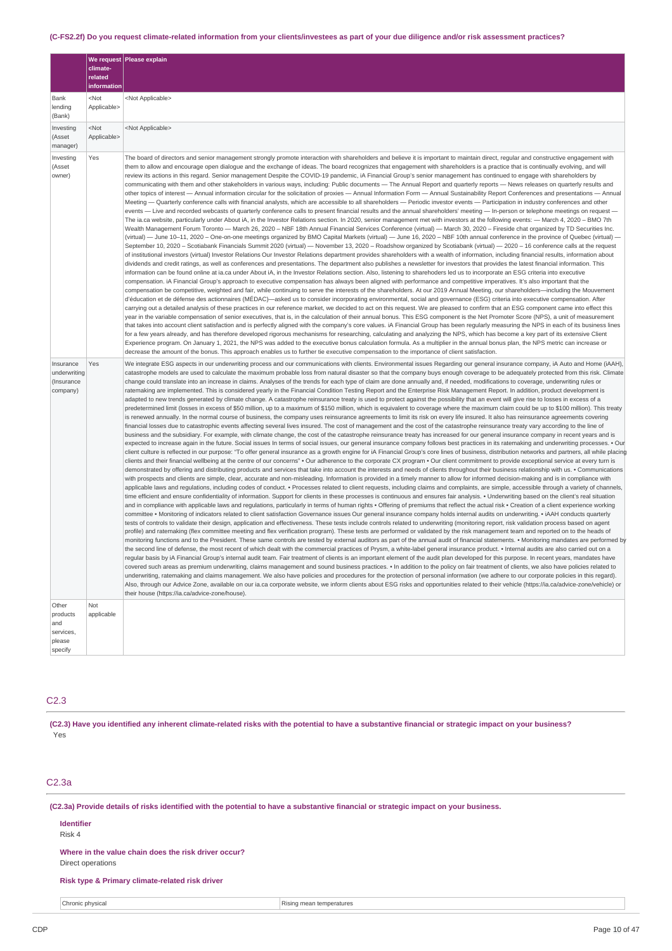### (C-FS2.2f) Do you request climate-related information from your clients/investees as part of your due diligence and/or risk assessment practices?

|                                                     | climate-<br>related             | We request Please explain                                                                                                                                                                                                                                                                                                                                                                                                                                                                                                                                                                                                                                                                                                                                                                                                                                                                                                                                                                                                                                                                                                                                                                                                                                                                                                                                                                                                                                                                                                                                                                                                                                                                                                                                                                                                                                                                                                                                                                                                                                                                                                                                                                                                                                                                                                                                                                                                                                                                                                                                                                                                                                                                                                                                                                                                                                                                                                                                                                                                                                                                                                                                                                                                                                                                                                                                                                                                                                                                                                                                                                                                                                                                                                                                                                                                                                                                                                                                                                                                                                                                                                                                                                                                                                                                                                                                                                                                                                                                                                                                                                                                                                                                                                                                                                                                                                                                                                                                                                                                                                                                                    |
|-----------------------------------------------------|---------------------------------|--------------------------------------------------------------------------------------------------------------------------------------------------------------------------------------------------------------------------------------------------------------------------------------------------------------------------------------------------------------------------------------------------------------------------------------------------------------------------------------------------------------------------------------------------------------------------------------------------------------------------------------------------------------------------------------------------------------------------------------------------------------------------------------------------------------------------------------------------------------------------------------------------------------------------------------------------------------------------------------------------------------------------------------------------------------------------------------------------------------------------------------------------------------------------------------------------------------------------------------------------------------------------------------------------------------------------------------------------------------------------------------------------------------------------------------------------------------------------------------------------------------------------------------------------------------------------------------------------------------------------------------------------------------------------------------------------------------------------------------------------------------------------------------------------------------------------------------------------------------------------------------------------------------------------------------------------------------------------------------------------------------------------------------------------------------------------------------------------------------------------------------------------------------------------------------------------------------------------------------------------------------------------------------------------------------------------------------------------------------------------------------------------------------------------------------------------------------------------------------------------------------------------------------------------------------------------------------------------------------------------------------------------------------------------------------------------------------------------------------------------------------------------------------------------------------------------------------------------------------------------------------------------------------------------------------------------------------------------------------------------------------------------------------------------------------------------------------------------------------------------------------------------------------------------------------------------------------------------------------------------------------------------------------------------------------------------------------------------------------------------------------------------------------------------------------------------------------------------------------------------------------------------------------------------------------------------------------------------------------------------------------------------------------------------------------------------------------------------------------------------------------------------------------------------------------------------------------------------------------------------------------------------------------------------------------------------------------------------------------------------------------------------------------------------------------------------------------------------------------------------------------------------------------------------------------------------------------------------------------------------------------------------------------------------------------------------------------------------------------------------------------------------------------------------------------------------------------------------------------------------------------------------------------------------------------------------------------------------------------------------------------------------------------------------------------------------------------------------------------------------------------------------------------------------------------------------------------------------------------------------------------------------------------------------------------------------------------------------------------------------------------------------------------------------------------------------------------------------------------|
|                                                     | information                     |                                                                                                                                                                                                                                                                                                                                                                                                                                                                                                                                                                                                                                                                                                                                                                                                                                                                                                                                                                                                                                                                                                                                                                                                                                                                                                                                                                                                                                                                                                                                                                                                                                                                                                                                                                                                                                                                                                                                                                                                                                                                                                                                                                                                                                                                                                                                                                                                                                                                                                                                                                                                                                                                                                                                                                                                                                                                                                                                                                                                                                                                                                                                                                                                                                                                                                                                                                                                                                                                                                                                                                                                                                                                                                                                                                                                                                                                                                                                                                                                                                                                                                                                                                                                                                                                                                                                                                                                                                                                                                                                                                                                                                                                                                                                                                                                                                                                                                                                                                                                                                                                                                              |
| Bank<br>lending<br>(Bank)                           | <not<br>Applicable&gt;</not<br> | <not applicable=""></not>                                                                                                                                                                                                                                                                                                                                                                                                                                                                                                                                                                                                                                                                                                                                                                                                                                                                                                                                                                                                                                                                                                                                                                                                                                                                                                                                                                                                                                                                                                                                                                                                                                                                                                                                                                                                                                                                                                                                                                                                                                                                                                                                                                                                                                                                                                                                                                                                                                                                                                                                                                                                                                                                                                                                                                                                                                                                                                                                                                                                                                                                                                                                                                                                                                                                                                                                                                                                                                                                                                                                                                                                                                                                                                                                                                                                                                                                                                                                                                                                                                                                                                                                                                                                                                                                                                                                                                                                                                                                                                                                                                                                                                                                                                                                                                                                                                                                                                                                                                                                                                                                                    |
| Investing<br>(Asset<br>manager)                     | <not<br>Applicable&gt;</not<br> | <not applicable=""></not>                                                                                                                                                                                                                                                                                                                                                                                                                                                                                                                                                                                                                                                                                                                                                                                                                                                                                                                                                                                                                                                                                                                                                                                                                                                                                                                                                                                                                                                                                                                                                                                                                                                                                                                                                                                                                                                                                                                                                                                                                                                                                                                                                                                                                                                                                                                                                                                                                                                                                                                                                                                                                                                                                                                                                                                                                                                                                                                                                                                                                                                                                                                                                                                                                                                                                                                                                                                                                                                                                                                                                                                                                                                                                                                                                                                                                                                                                                                                                                                                                                                                                                                                                                                                                                                                                                                                                                                                                                                                                                                                                                                                                                                                                                                                                                                                                                                                                                                                                                                                                                                                                    |
| Investing<br>(Asset<br>owner)                       | Yes                             | The board of directors and senior management strongly promote interaction with shareholders and believe it is important to maintain direct, regular and constructive engagement with<br>them to allow and encourage open dialogue and the exchange of ideas. The board recognizes that engagement with shareholders is a practice that is continually evolving, and will<br>review its actions in this regard. Senior management Despite the COVID-19 pandemic, iA Financial Group's senior management has continued to engage with shareholders by<br>communicating with them and other stakeholders in various ways, including: Public documents - The Annual Report and quarterly reports - News releases on quarterly results and<br>other topics of interest - Annual information circular for the solicitation of proxies - Annual Information Form - Annual Sustainability Report Conferences and presentations - Annual<br>Meeting — Quarterly conference calls with financial analysts, which are accessible to all shareholders — Periodic investor events — Participation in industry conferences and other<br>events - Live and recorded webcasts of quarterly conference calls to present financial results and the annual shareholders' meeting - In-person or telephone meetings on request -<br>The ia.ca website, particularly under About iA, in the Investor Relations section. In 2020, senior management met with investors at the following events: - March 4, 2020 - BMO 7th<br>Wealth Management Forum Toronto - March 26, 2020 - NBF 18th Annual Financial Services Conference (virtual) - March 30, 2020 - Fireside chat organized by TD Securities Inc.<br>(virtual) - June 10-11, 2020 - One-on-one meetings organized by BMO Capital Markets (virtual) - June 16, 2020 - NBF 10th annual conference in the province of Quebec (virtual) -<br>September 10, 2020 - Scotiabank Financials Summit 2020 (virtual) - November 13, 2020 - Roadshow organized by Scotiabank (virtual) - 2020 - 16 conference calls at the request<br>of institutional investors (virtual) Investor Relations Our Investor Relations department provides shareholders with a wealth of information, including financial results, information about<br>dividends and credit ratings, as well as conferences and presentations. The department also publishes a newsletter for investors that provides the latest financial information. This<br>information can be found online at ia.ca under About iA, in the Investor Relations section. Also, listening to sharehoders led us to incorporate an ESG criteria into executive<br>compensation. iA Financial Group's approach to executive compensation has always been aligned with performance and competitive imperatives. It's also important that the<br>compensation be competitive, weighted and fair, while continuing to serve the interests of the shareholders. At our 2019 Annual Meeting, our shareholders—including the Mouvement<br>d'éducation et de défense des actionnaires (MÉDAC)—asked us to consider incorporating environmental, social and governance (ESG) criteria into executive compensation. After<br>carrying out a detailed analysis of these practices in our reference market, we decided to act on this request. We are pleased to confirm that an ESG component came into effect this<br>year in the variable compensation of senior executives, that is, in the calculation of their annual bonus. This ESG component is the Net Promoter Score (NPS), a unit of measurement<br>that takes into account client satisfaction and is perfectly aligned with the company's core values. iA Financial Group has been regularly measuring the NPS in each of its business lines<br>for a few years already, and has therefore developed rigorous mechanisms for researching, calculating and analyzing the NPS, which has become a key part of its extensive Client<br>Experience program. On January 1, 2021, the NPS was added to the executive bonus calculation formula. As a multiplier in the annual bonus plan, the NPS metric can increase or<br>decrease the amount of the bonus. This approach enables us to further tie executive compensation to the importance of client satisfaction.                                                                                                                                                                                                                                                                                                                                                                                                                                                                                                                                                                                                                                                                                                                                                                                                                      |
| Insurance<br>underwriting<br>(Insurance<br>company) | Yes                             | We integrate ESG aspects in our underwriting process and our communications with clients. Environmental issues Regarding our general insurance company, iA Auto and Home (iAAH),<br>catastrophe models are used to calculate the maximum probable loss from natural disaster so that the company buys enough coverage to be adequately protected from this risk. Climate<br>change could translate into an increase in claims. Analyses of the trends for each type of claim are done annually and, if needed, modifications to coverage, underwriting rules or<br>ratemaking are implemented. This is considered yearly in the Financial Condition Testing Report and the Enterprise Risk Management Report. In addition, product development is<br>adapted to new trends generated by climate change. A catastrophe reinsurance treaty is used to protect against the possibility that an event will give rise to losses in excess of a<br>predetermined limit (losses in excess of \$50 million, up to a maximum of \$150 million, which is equivalent to coverage where the maximum claim could be up to \$100 million). This treaty<br>is renewed annually. In the normal course of business, the company uses reinsurance agreements to limit its risk on every life insured. It also has reinsurance agreements covering<br>financial losses due to catastrophic events affecting several lives insured. The cost of management and the cost of the catastrophe reinsurance treaty vary according to the line of<br>business and the subsidiary. For example, with climate change, the cost of the catastrophe reinsurance treaty has increased for our general insurance company in recent years and is<br>expected to increase again in the future. Social issues In terms of social issues, our general insurance company follows best practices in its ratemaking and underwriting processes. . Our<br>client culture is reflected in our purpose: "To offer general insurance as a growth engine for iA Financial Group's core lines of business, distribution networks and partners, all while placing<br>clients and their financial wellbeing at the centre of our concerns" • Our adherence to the corporate CX program • Our client commitment to provide exceptional service at every turn is<br>demonstrated by offering and distributing products and services that take into account the interests and needs of clients throughout their business relationship with us. . Communications<br>with prospects and clients are simple, clear, accurate and non-misleading. Information is provided in a timely manner to allow for informed decision-making and is in compliance with<br>applicable laws and regulations, including codes of conduct. • Processes related to client requests, including claims and complaints, are simple, accessible through a variety of channels,<br>time efficient and ensure confidentiality of information. Support for clients in these processes is continuous and ensures fair analysis. • Underwriting based on the client's real situation<br>and in compliance with applicable laws and regulations, particularly in terms of human rights . Offering of premiums that reflect the actual risk . Creation of a client experience working<br>committee • Monitoring of indicators related to client satisfaction Governance issues Our general insurance company holds internal audits on underwriting. • iAAH conducts quarterly<br>tests of controls to validate their design, application and effectiveness. These tests include controls related to underwriting (monitoring report, risk validation process based on agent<br>profile) and ratemaking (flex committee meeting and flex verification program). These tests are performed or validated by the risk management team and reported on to the heads of<br>monitoring functions and to the President. These same controls are tested by external auditors as part of the annual audit of financial statements. • Monitoring mandates are performed by<br>the second line of defense, the most recent of which dealt with the commercial practices of Prysm, a white-label general insurance product. • Internal audits are also carried out on a<br>regular basis by iA Financial Group's internal audit team. Fair treatment of clients is an important element of the audit plan developed for this purpose. In recent years, mandates have<br>covered such areas as premium underwriting, claims management and sound business practices. . In addition to the policy on fair treatment of clients, we also have policies related to<br>underwriting, ratemaking and claims management. We also have policies and procedures for the protection of personal information (we adhere to our corporate policies in this regard).<br>Also, through our Advice Zone, available on our ia.ca corporate website, we inform clients about ESG risks and opportunities related to their vehicle (https://ia.ca/advice-zone/vehicle) or<br>their house (https://ia.ca/advice-zone/house). |
| Other<br>products<br>and<br>services,<br>please     | Not<br>applicable               |                                                                                                                                                                                                                                                                                                                                                                                                                                                                                                                                                                                                                                                                                                                                                                                                                                                                                                                                                                                                                                                                                                                                                                                                                                                                                                                                                                                                                                                                                                                                                                                                                                                                                                                                                                                                                                                                                                                                                                                                                                                                                                                                                                                                                                                                                                                                                                                                                                                                                                                                                                                                                                                                                                                                                                                                                                                                                                                                                                                                                                                                                                                                                                                                                                                                                                                                                                                                                                                                                                                                                                                                                                                                                                                                                                                                                                                                                                                                                                                                                                                                                                                                                                                                                                                                                                                                                                                                                                                                                                                                                                                                                                                                                                                                                                                                                                                                                                                                                                                                                                                                                                              |
| specify                                             |                                 |                                                                                                                                                                                                                                                                                                                                                                                                                                                                                                                                                                                                                                                                                                                                                                                                                                                                                                                                                                                                                                                                                                                                                                                                                                                                                                                                                                                                                                                                                                                                                                                                                                                                                                                                                                                                                                                                                                                                                                                                                                                                                                                                                                                                                                                                                                                                                                                                                                                                                                                                                                                                                                                                                                                                                                                                                                                                                                                                                                                                                                                                                                                                                                                                                                                                                                                                                                                                                                                                                                                                                                                                                                                                                                                                                                                                                                                                                                                                                                                                                                                                                                                                                                                                                                                                                                                                                                                                                                                                                                                                                                                                                                                                                                                                                                                                                                                                                                                                                                                                                                                                                                              |

### C2.3

(C2.3) Have you identified any inherent climate-related risks with the potential to have a substantive financial or strategic impact on your business? Yes

## C2.3a

(C2.3a) Provide details of risks identified with the potential to have a substantive financial or strategic impact on your business.

### **Identifier**

Risk 4

#### **Where in the value chain does the risk driver occur?**

Direct operations

### **Risk type & Primary climate-related risk driver**

**Chronic physical** Rising mean temperatures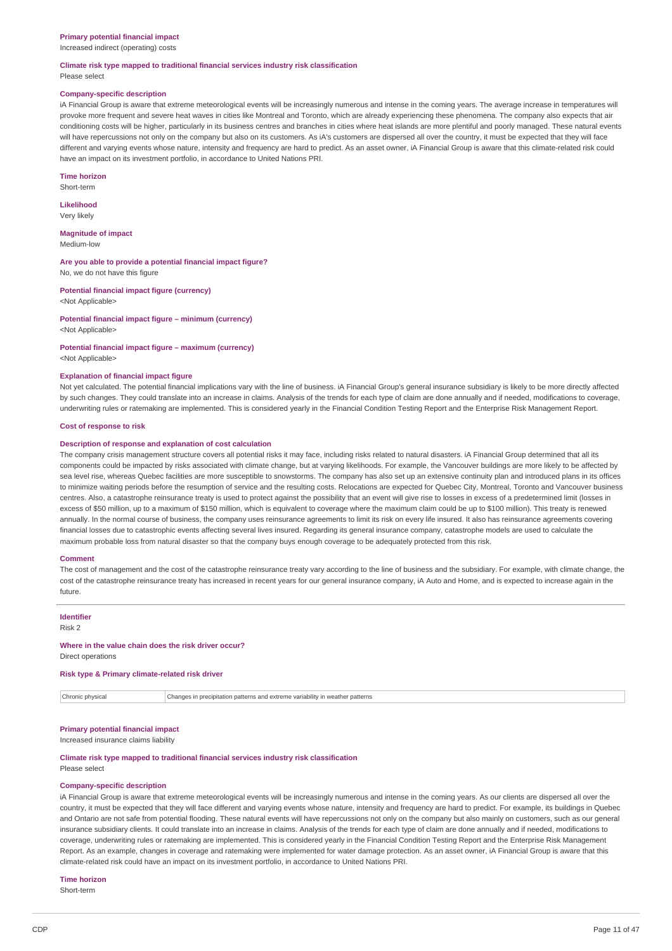#### **Primary potential financial impact**

Increased indirect (operating) costs

#### **Climate risk type mapped to traditional financial services industry risk classification** Please select

# **Company-specific description**

iA Financial Group is aware that extreme meteorological events will be increasingly numerous and intense in the coming years. The average increase in temperatures will provoke more frequent and severe heat waves in cities like Montreal and Toronto, which are already experiencing these phenomena. The company also expects that air conditioning costs will be higher, particularly in its business centres and branches in cities where heat islands are more plentiful and poorly managed. These natural events will have repercussions not only on the company but also on its customers. As iA's customers are dispersed all over the country, it must be expected that they will face different and varying events whose nature, intensity and frequency are hard to predict. As an asset owner, iA Financial Group is aware that this climate-related risk could have an impact on its investment portfolio, in accordance to United Nations PRI.

**Time horizon**

Short-term **Likelihood**

Very likely

**Magnitude of impact** Medium-low

**Are you able to provide a potential financial impact figure?** No, we do not have this figure

**Potential financial impact figure (currency)** <Not Applicable>

**Potential financial impact figure – minimum (currency)** <Not Applicable>

**Potential financial impact figure – maximum (currency)** <Not Applicable>

#### **Explanation of financial impact figure**

Not yet calculated. The potential financial implications vary with the line of business. iA Financial Group's general insurance subsidiary is likely to be more directly affected by such changes. They could translate into an increase in claims. Analysis of the trends for each type of claim are done annually and if needed, modifications to coverage, underwriting rules or ratemaking are implemented. This is considered yearly in the Financial Condition Testing Report and the Enterprise Risk Management Report.

#### **Cost of response to risk**

#### **Description of response and explanation of cost calculation**

The company crisis management structure covers all potential risks it may face, including risks related to natural disasters. iA Financial Group determined that all its components could be impacted by risks associated with climate change, but at varying likelihoods. For example, the Vancouver buildings are more likely to be affected by sea level rise, whereas Quebec facilities are more susceptible to snowstorms. The company has also set up an extensive continuity plan and introduced plans in its offices to minimize waiting periods before the resumption of service and the resulting costs. Relocations are expected for Quebec City, Montreal, Toronto and Vancouver business centres. Also, a catastrophe reinsurance treaty is used to protect against the possibility that an event will give rise to losses in excess of a predetermined limit (losses in excess of \$50 million, up to a maximum of \$150 million, which is equivalent to coverage where the maximum claim could be up to \$100 million). This treaty is renewed annually. In the normal course of business, the company uses reinsurance agreements to limit its risk on every life insured. It also has reinsurance agreements covering financial losses due to catastrophic events affecting several lives insured. Regarding its general insurance company, catastrophe models are used to calculate the maximum probable loss from natural disaster so that the company buys enough coverage to be adequately protected from this risk.

#### **Comment**

The cost of management and the cost of the catastrophe reinsurance treaty vary according to the line of business and the subsidiary. For example, with climate change, the cost of the catastrophe reinsurance treaty has increased in recent years for our general insurance company, iA Auto and Home, and is expected to increase again in the future.

**Identifier**

Risk 2

#### **Where in the value chain does the risk driver occur?**

Direct operations

#### **Risk type & Primary climate-related risk driver**

Chronic physical Changes in precipitation patterns and extreme variability in weather patterns

### **Primary potential financial impact**

Increased insurance claims liability

#### **Climate risk type mapped to traditional financial services industry risk classification** Please select

#### **Company-specific description**

iA Financial Group is aware that extreme meteorological events will be increasingly numerous and intense in the coming years. As our clients are dispersed all over the country, it must be expected that they will face different and varying events whose nature, intensity and frequency are hard to predict. For example, its buildings in Quebec and Ontario are not safe from potential flooding. These natural events will have repercussions not only on the company but also mainly on customers, such as our general insurance subsidiary clients. It could translate into an increase in claims. Analysis of the trends for each type of claim are done annually and if needed, modifications to coverage, underwriting rules or ratemaking are implemented. This is considered yearly in the Financial Condition Testing Report and the Enterprise Risk Management Report. As an example, changes in coverage and ratemaking were implemented for water damage protection. As an asset owner, iA Financial Group is aware that this climate-related risk could have an impact on its investment portfolio, in accordance to United Nations PRI.

#### **Time horizon**

Short-term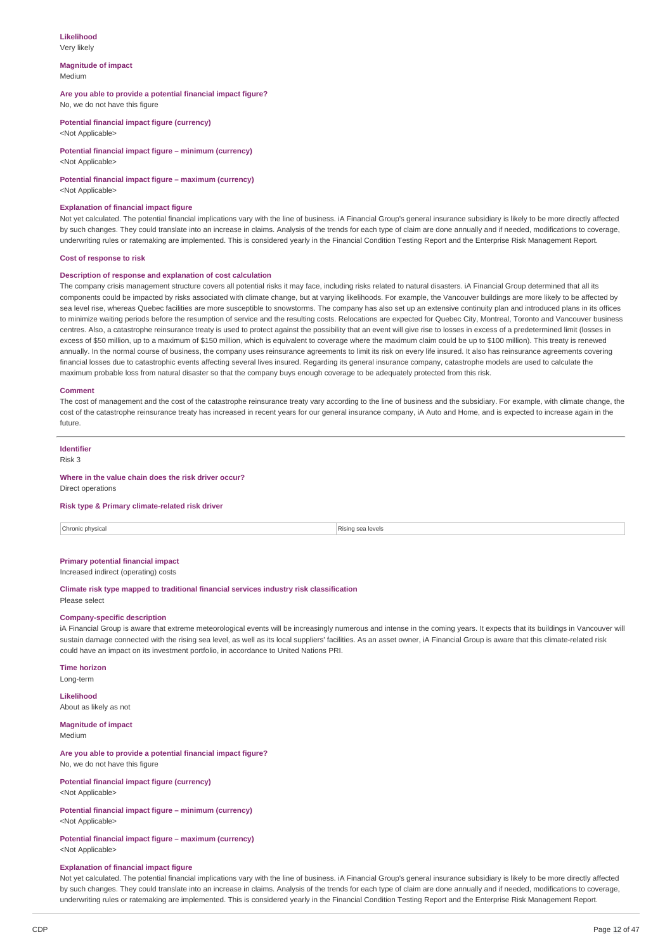# **Likelihood**

Very likely

#### **Magnitude of impact** Medium

### **Are you able to provide a potential financial impact figure?**

No, we do not have this figure

**Potential financial impact figure (currency)** <Not Applicable>

**Potential financial impact figure – minimum (currency)** <Not Applicable>

### **Potential financial impact figure – maximum (currency)**

<Not Applicable>

#### **Explanation of financial impact figure**

Not yet calculated. The potential financial implications vary with the line of business. iA Financial Group's general insurance subsidiary is likely to be more directly affected by such changes. They could translate into an increase in claims. Analysis of the trends for each type of claim are done annually and if needed, modifications to coverage, underwriting rules or ratemaking are implemented. This is considered yearly in the Financial Condition Testing Report and the Enterprise Risk Management Report.

#### **Cost of response to risk**

### **Description of response and explanation of cost calculation**

The company crisis management structure covers all potential risks it may face, including risks related to natural disasters. iA Financial Group determined that all its components could be impacted by risks associated with climate change, but at varying likelihoods. For example, the Vancouver buildings are more likely to be affected by sea level rise, whereas Quebec facilities are more susceptible to snowstorms. The company has also set up an extensive continuity plan and introduced plans in its offices to minimize waiting periods before the resumption of service and the resulting costs. Relocations are expected for Quebec City, Montreal, Toronto and Vancouver business centres. Also, a catastrophe reinsurance treaty is used to protect against the possibility that an event will give rise to losses in excess of a predetermined limit (losses in excess of \$50 million, up to a maximum of \$150 million, which is equivalent to coverage where the maximum claim could be up to \$100 million). This treaty is renewed annually. In the normal course of business, the company uses reinsurance agreements to limit its risk on every life insured. It also has reinsurance agreements covering financial losses due to catastrophic events affecting several lives insured. Regarding its general insurance company, catastrophe models are used to calculate the maximum probable loss from natural disaster so that the company buys enough coverage to be adequately protected from this risk.

#### **Comment**

The cost of management and the cost of the catastrophe reinsurance treaty vary according to the line of business and the subsidiary. For example, with climate change, the cost of the catastrophe reinsurance treaty has increased in recent years for our general insurance company, iA Auto and Home, and is expected to increase again in the future.

# **Identifier**

Risk 3

#### **Where in the value chain does the risk driver occur?**

Direct operations

#### **Risk type & Primary climate-related risk driver**

Chronic physical Rising sea levels and the control of the control of the control of the control of the control of the control of the control of the control of the control of the control of the control of the control of the

#### **Primary potential financial impact** Increased indirect (operating) costs

**Climate risk type mapped to traditional financial services industry risk classification**

Please select

### **Company-specific description**

iA Financial Group is aware that extreme meteorological events will be increasingly numerous and intense in the coming years. It expects that its buildings in Vancouver will sustain damage connected with the rising sea level, as well as its local suppliers' facilities. As an asset owner, iA Financial Group is aware that this climate-related risk could have an impact on its investment portfolio, in accordance to United Nations PRI.

### **Time horizon**

Long-term

# **Likelihood**

About as likely as not

# **Magnitude of impact**

Medium

#### **Are you able to provide a potential financial impact figure?** No, we do not have this figure

**Potential financial impact figure (currency)** <Not Applicable>

### **Potential financial impact figure – minimum (currency)** <Not Applicable>

**Potential financial impact figure – maximum (currency)** <Not Applicable>

### **Explanation of financial impact figure**

Not yet calculated. The potential financial implications vary with the line of business. iA Financial Group's general insurance subsidiary is likely to be more directly affected by such changes. They could translate into an increase in claims. Analysis of the trends for each type of claim are done annually and if needed, modifications to coverage, underwriting rules or ratemaking are implemented. This is considered yearly in the Financial Condition Testing Report and the Enterprise Risk Management Report.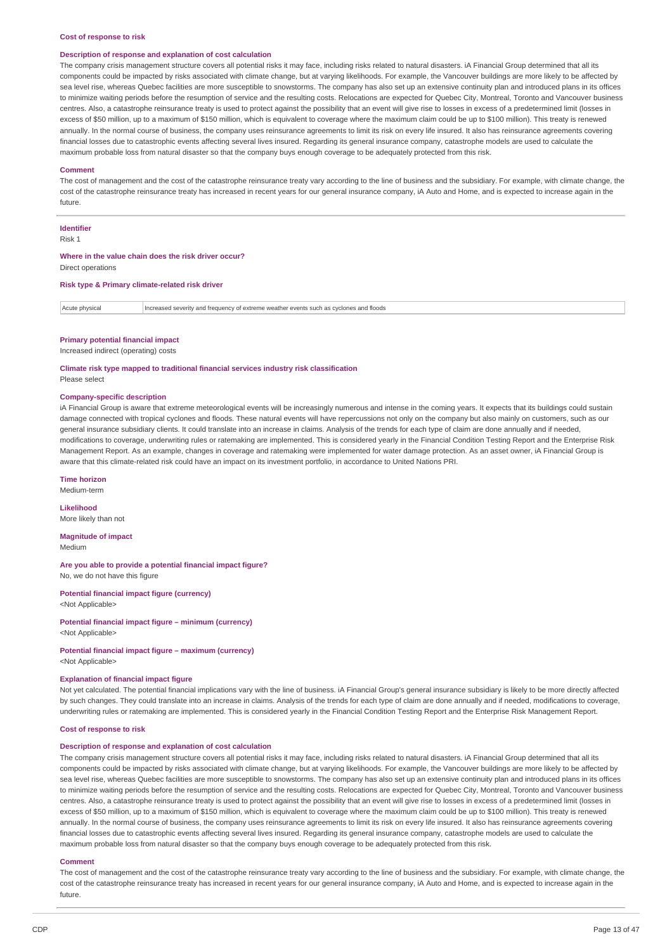#### **Cost of response to risk**

#### **Description of response and explanation of cost calculation**

The company crisis management structure covers all potential risks it may face, including risks related to natural disasters. iA Financial Group determined that all its components could be impacted by risks associated with climate change, but at varying likelihoods. For example, the Vancouver buildings are more likely to be affected by sea level rise, whereas Quebec facilities are more susceptible to snowstorms. The company has also set up an extensive continuity plan and introduced plans in its offices to minimize waiting periods before the resumption of service and the resulting costs. Relocations are expected for Quebec City, Montreal, Toronto and Vancouver business centres. Also, a catastrophe reinsurance treaty is used to protect against the possibility that an event will give rise to losses in excess of a predetermined limit (losses in excess of \$50 million, up to a maximum of \$150 million, which is equivalent to coverage where the maximum claim could be up to \$100 million). This treaty is renewed annually. In the normal course of business, the company uses reinsurance agreements to limit its risk on every life insured. It also has reinsurance agreements covering financial losses due to catastrophic events affecting several lives insured. Regarding its general insurance company, catastrophe models are used to calculate the maximum probable loss from natural disaster so that the company buys enough coverage to be adequately protected from this risk.

#### **Comment**

The cost of management and the cost of the catastrophe reinsurance treaty vary according to the line of business and the subsidiary. For example, with climate change, the cost of the catastrophe reinsurance treaty has increased in recent years for our general insurance company, iA Auto and Home, and is expected to increase again in the future.

## **Identifier**

Risk 1

#### **Where in the value chain does the risk driver occur?** Direct operations

### **Risk type & Primary climate-related risk driver**

| Acute physical | Increased severity and frequency of extreme weather events such as cyclones and floods |
|----------------|----------------------------------------------------------------------------------------|
|                |                                                                                        |

### **Primary potential financial impact**

Increased indirect (operating) costs

**Climate risk type mapped to traditional financial services industry risk classification** Please select

#### **Company-specific description**

iA Financial Group is aware that extreme meteorological events will be increasingly numerous and intense in the coming years. It expects that its buildings could sustain damage connected with tropical cyclones and floods. These natural events will have repercussions not only on the company but also mainly on customers, such as our general insurance subsidiary clients. It could translate into an increase in claims. Analysis of the trends for each type of claim are done annually and if needed modifications to coverage, underwriting rules or ratemaking are implemented. This is considered yearly in the Financial Condition Testing Report and the Enterprise Risk Management Report. As an example, changes in coverage and ratemaking were implemented for water damage protection. As an asset owner, iA Financial Group is aware that this climate-related risk could have an impact on its investment portfolio, in accordance to United Nations PRI.

#### **Time horizon**

Medium-term

#### **Likelihood**

More likely than not

**Magnitude of impact** Medium

**Are you able to provide a potential financial impact figure?** No, we do not have this figure

**Potential financial impact figure (currency)** <Not Applicable>

**Potential financial impact figure – minimum (currency)** <Not Applicable>

**Potential financial impact figure – maximum (currency)**

<Not Applicable>

### **Explanation of financial impact figure**

Not yet calculated. The potential financial implications vary with the line of business. iA Financial Group's general insurance subsidiary is likely to be more directly affected by such changes. They could translate into an increase in claims. Analysis of the trends for each type of claim are done annually and if needed, modifications to coverage, underwriting rules or ratemaking are implemented. This is considered yearly in the Financial Condition Testing Report and the Enterprise Risk Management Report.

#### **Cost of response to risk**

#### **Description of response and explanation of cost calculation**

The company crisis management structure covers all potential risks it may face, including risks related to natural disasters. iA Financial Group determined that all its components could be impacted by risks associated with climate change, but at varying likelihoods. For example, the Vancouver buildings are more likely to be affected by sea level rise, whereas Quebec facilities are more susceptible to snowstorms. The company has also set up an extensive continuity plan and introduced plans in its offices to minimize waiting periods before the resumption of service and the resulting costs. Relocations are expected for Quebec City, Montreal, Toronto and Vancouver business centres. Also, a catastrophe reinsurance treaty is used to protect against the possibility that an event will give rise to losses in excess of a predetermined limit (losses in excess of \$50 million, up to a maximum of \$150 million, which is equivalent to coverage where the maximum claim could be up to \$100 million). This treaty is renewed annually. In the normal course of business, the company uses reinsurance agreements to limit its risk on every life insured. It also has reinsurance agreements covering financial losses due to catastrophic events affecting several lives insured. Regarding its general insurance company, catastrophe models are used to calculate the maximum probable loss from natural disaster so that the company buys enough coverage to be adequately protected from this risk.

#### **Comment**

The cost of management and the cost of the catastrophe reinsurance treaty vary according to the line of business and the subsidiary. For example, with climate change, the cost of the catastrophe reinsurance treaty has increased in recent years for our general insurance company, iA Auto and Home, and is expected to increase again in the future.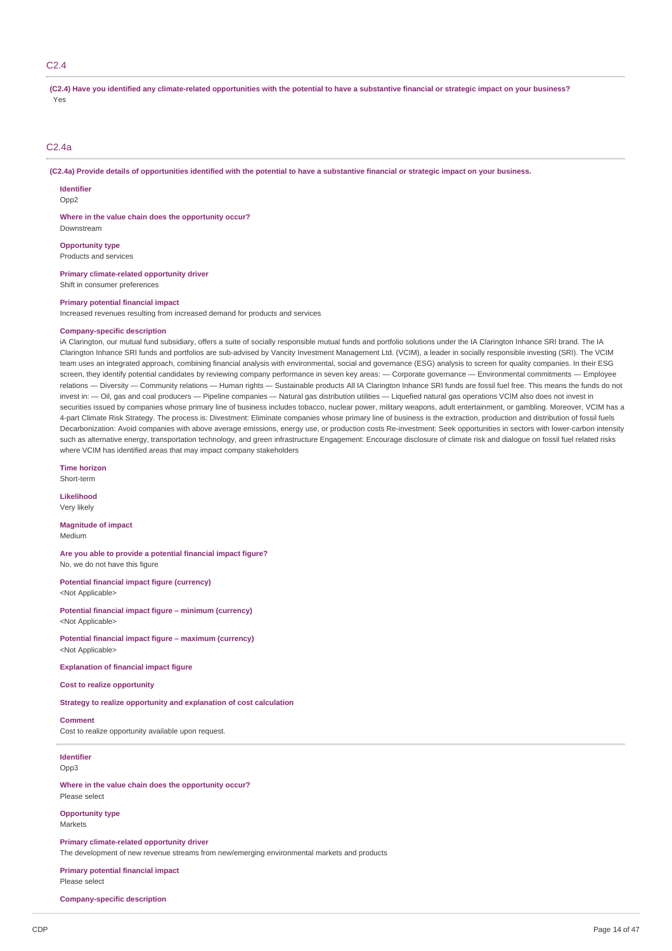#### $C<sub>2</sub>$  4

(C2.4) Have you identified any climate-related opportunities with the potential to have a substantive financial or strategic impact on your business? Yes

### C<sub>2</sub>.4a

(C2.4a) Provide details of opportunities identified with the potential to have a substantive financial or strategic impact on your business.

#### **Identifier**

Downstream

Opp<sub>2</sub>

**Where in the value chain does the opportunity occur?**

**Opportunity type**

Products and services

**Primary climate-related opportunity driver** Shift in consumer preferences

#### **Primary potential financial impact**

Increased revenues resulting from increased demand for products and services

#### **Company-specific description**

iA Clarington, our mutual fund subsidiary, offers a suite of socially responsible mutual funds and portfolio solutions under the IA Clarington Inhance SRI brand. The IA Clarington Inhance SRI funds and portfolios are sub-advised by Vancity Investment Management Ltd. (VCIM), a leader in socially responsible investing (SRI). The VCIM team uses an integrated approach, combining financial analysis with environmental, social and governance (ESG) analysis to screen for quality companies. In their ESG screen, they identify potential candidates by reviewing company performance in seven key areas: - Corporate governance - Environmental commitments - Employee relations — Diversity — Community relations — Human rights — Sustainable products All IA Clarington Inhance SRI funds are fossil fuel free. This means the funds do not invest in: — Oil, gas and coal producers — Pipeline companies — Natural gas distribution utilities — Liquefied natural gas operations VCIM also does not invest in securities issued by companies whose primary line of business includes tobacco, nuclear power, military weapons, adult entertainment, or gambling. Moreover, VCIM has a 4-part Climate Risk Strategy. The process is: Divestment: Eliminate companies whose primary line of business is the extraction, production and distribution of fossil fuels Decarbonization: Avoid companies with above average emissions, energy use, or production costs Re-investment: Seek opportunities in sectors with lower-carbon intensity such as alternative energy, transportation technology, and green infrastructure Engagement: Encourage disclosure of climate risk and dialogue on fossil fuel related risks where VCIM has identified areas that may impact company stakeholders

**Time horizon**

Short-term

**Likelihood** Very likely

**Magnitude of impact** Medium

**Are you able to provide a potential financial impact figure?** No, we do not have this figure

**Potential financial impact figure (currency)** <Not Applicable>

**Potential financial impact figure – minimum (currency)** <Not Applicable>

**Potential financial impact figure – maximum (currency)** <Not Applicable>

**Explanation of financial impact figure**

### **Cost to realize opportunity**

**Strategy to realize opportunity and explanation of cost calculation**

### **Comment**

Cost to realize opportunity available upon request.

#### **Identifier** Opp3

**Where in the value chain does the opportunity occur?** Please select

**Opportunity type** Markets

**Primary climate-related opportunity driver**

The development of new revenue streams from new/emerging environmental markets and products

**Primary potential financial impact** Please select

**Company-specific description**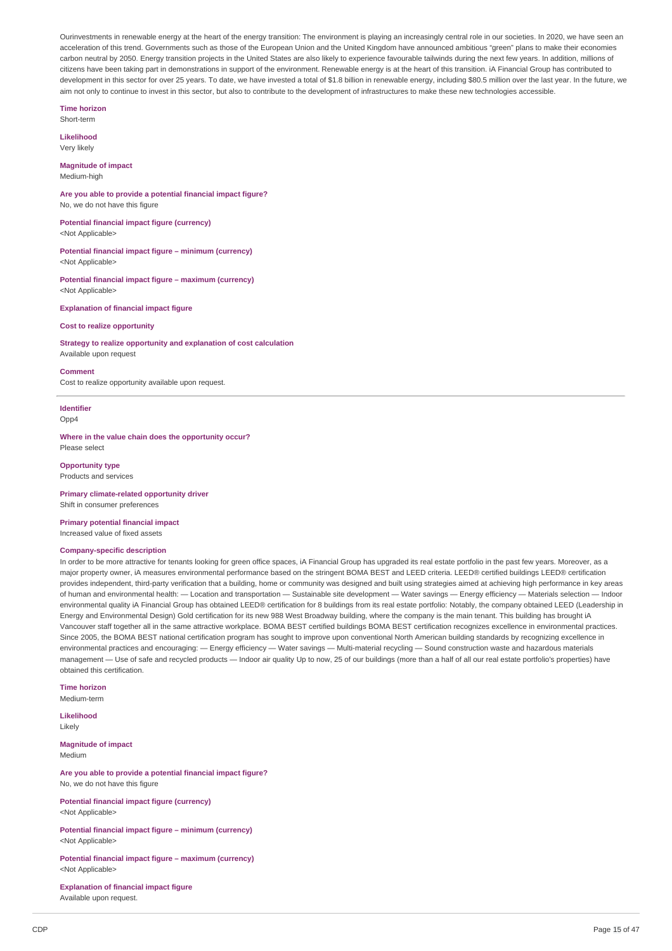Ourinvestments in renewable energy at the heart of the energy transition: The environment is playing an increasingly central role in our societies. In 2020, we have seen an acceleration of this trend. Governments such as those of the European Union and the United Kingdom have announced ambitious "green" plans to make their economies carbon neutral by 2050. Energy transition projects in the United States are also likely to experience favourable tailwinds during the next few years. In addition, millions of citizens have been taking part in demonstrations in support of the environment. Renewable energy is at the heart of this transition. iA Financial Group has contributed to development in this sector for over 25 years. To date, we have invested a total of \$1.8 billion in renewable energy, including \$80.5 million over the last year. In the future, we aim not only to continue to invest in this sector, but also to contribute to the development of infrastructures to make these new technologies accessible.

**Time horizon**

Short-term

**Likelihood** Very likely

### **Magnitude of impact** Medium-high

**Are you able to provide a potential financial impact figure?** No, we do not have this figure

**Potential financial impact figure (currency)** <Not Applicable>

**Potential financial impact figure – minimum (currency)** <Not Applicable>

**Potential financial impact figure – maximum (currency)** <Not Applicable>

**Explanation of financial impact figure**

### **Cost to realize opportunity**

**Strategy to realize opportunity and explanation of cost calculation** Available upon request

#### **Comment**

Cost to realize opportunity available upon request.

### **Identifier**

 $Onn4$ 

**Where in the value chain does the opportunity occur?** Please select

#### **Opportunity type**

Products and services

**Primary climate-related opportunity driver** Shift in consumer preferences

**Primary potential financial impact** Increased value of fixed assets

#### **Company-specific description**

In order to be more attractive for tenants looking for green office spaces, iA Financial Group has upgraded its real estate portfolio in the past few years. Moreover, as a major property owner, iA measures environmental performance based on the stringent BOMA BEST and LEED criteria. LEED® certified buildings LEED® certification provides independent, third-party verification that a building, home or community was designed and built using strategies aimed at achieving high performance in key areas of human and environmental health: — Location and transportation — Sustainable site development — Water savings — Energy efficiency — Materials selection — Indoor environmental quality iA Financial Group has obtained LEED® certification for 8 buildings from its real estate portfolio: Notably, the company obtained LEED (Leadership in Energy and Environmental Design) Gold certification for its new 988 West Broadway building, where the company is the main tenant. This building has brought iA Vancouver staff together all in the same attractive workplace. BOMA BEST certified buildings BOMA BEST certification recognizes excellence in environmental practices. Since 2005, the BOMA BEST national certification program has sought to improve upon conventional North American building standards by recognizing excellence in environmental practices and encouraging: — Energy efficiency — Water savings — Multi-material recycling — Sound construction waste and hazardous materials management — Use of safe and recycled products — Indoor air quality Up to now, 25 of our buildings (more than a half of all our real estate portfolio's properties) have obtained this certification.

**Time horizon**

Medium-term

**Likelihood** Likely

**Magnitude of impact** Medium

**Are you able to provide a potential financial impact figure?** No, we do not have this figure

**Potential financial impact figure (currency)** <Not Applicable>

**Potential financial impact figure – minimum (currency)** <Not Applicable>

**Potential financial impact figure – maximum (currency)** <Not Applicable>

**Explanation of financial impact figure** Available upon request.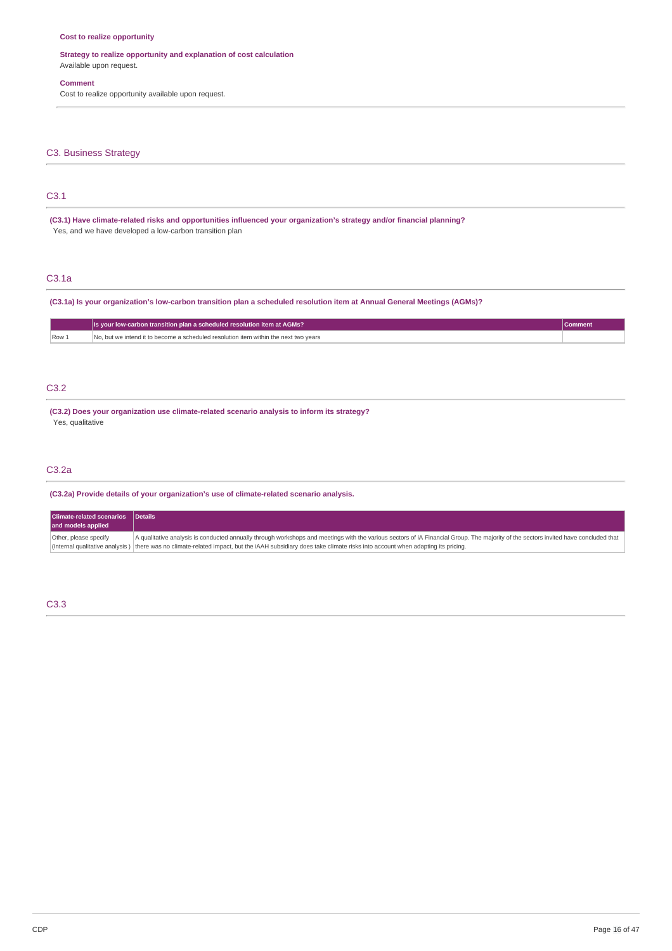### **Cost to realize opportunity**

### **Strategy to realize opportunity and explanation of cost calculation** Available upon request.

### **Comment**

Cost to realize opportunity available upon request.

### C3. Business Strategy

# C3.1

**(C3.1) Have climate-related risks and opportunities influenced your organization's strategy and/or financial planning?** Yes, and we have developed a low-carbon transition plan

### C3.1a

(C3.1a) Is your organization's low-carbon transition plan a scheduled resolution item at Annual General Meetings (AGMs)?

|      | Is your low-carbon transition plan a scheduled resolution item at AGMs?              | Comment |
|------|--------------------------------------------------------------------------------------|---------|
| Row: | No, but we intend it to become a scheduled resolution item within the next two years |         |

### C3.2

**(C3.2) Does your organization use climate-related scenario analysis to inform its strategy?** Yes, qualitative

### C3.2a

**(C3.2a) Provide details of your organization's use of climate-related scenario analysis.**

| <b>Climate-related scenarios</b><br>and models applied | <b>Details</b>                                                                                                                                                                      |
|--------------------------------------------------------|-------------------------------------------------------------------------------------------------------------------------------------------------------------------------------------|
| Other, please specify                                  | A qualitative analysis is conducted annually through workshops and meetings with the various sectors of iA Financial Group. The majority of the sectors invited have concluded that |
|                                                        | (Internal qualitative analysis) there was no climate-related impact, but the iAAH subsidiary does take climate risks into account when adapting its pricing.                        |

### C3.3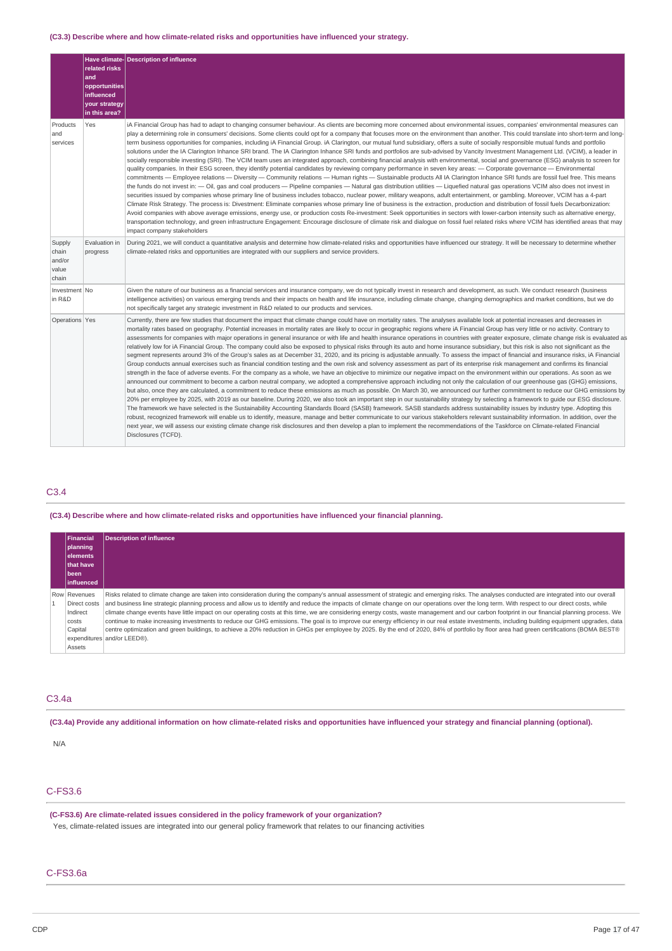### **(C3.3) Describe where and how climate-related risks and opportunities have influenced your strategy.**

|                                             | related risks<br>and<br>opportunities<br>influenced<br>your strategy | Have climate- Description of influence                                                                                                                                                                                                                                                                                                                                                                                                                                                                                                                                                                                                                                                                                                                                                                                                                                                                                                                                                                                                                                                                                                                                                                                                                                                                                                                                                                                                                                                                                                                                                                                                                                                                                                                                                                                                                                                                                                                                                                                                                                                                                                                                                                                                                                                                                                                                                                                                                                                 |
|---------------------------------------------|----------------------------------------------------------------------|----------------------------------------------------------------------------------------------------------------------------------------------------------------------------------------------------------------------------------------------------------------------------------------------------------------------------------------------------------------------------------------------------------------------------------------------------------------------------------------------------------------------------------------------------------------------------------------------------------------------------------------------------------------------------------------------------------------------------------------------------------------------------------------------------------------------------------------------------------------------------------------------------------------------------------------------------------------------------------------------------------------------------------------------------------------------------------------------------------------------------------------------------------------------------------------------------------------------------------------------------------------------------------------------------------------------------------------------------------------------------------------------------------------------------------------------------------------------------------------------------------------------------------------------------------------------------------------------------------------------------------------------------------------------------------------------------------------------------------------------------------------------------------------------------------------------------------------------------------------------------------------------------------------------------------------------------------------------------------------------------------------------------------------------------------------------------------------------------------------------------------------------------------------------------------------------------------------------------------------------------------------------------------------------------------------------------------------------------------------------------------------------------------------------------------------------------------------------------------------|
| Products<br>and<br>services                 | in this area?<br>Yes                                                 | iA Financial Group has had to adapt to changing consumer behaviour. As clients are becoming more concerned about environmental issues, companies' environmental measures can<br>play a determining role in consumers' decisions. Some clients could opt for a company that focuses more on the environment than another. This could translate into short-term and long-<br>term business opportunities for companies, including iA Financial Group. iA Clarington, our mutual fund subsidiary, offers a suite of socially responsible mutual funds and portfolio<br>solutions under the IA Clarington Inhance SRI brand. The IA Clarington Inhance SRI funds and portfolios are sub-advised by Vancity Investment Management Ltd. (VCIM), a leader in<br>socially responsible investing (SRI). The VCIM team uses an integrated approach, combining financial analysis with environmental, social and governance (ESG) analysis to screen for<br>quality companies. In their ESG screen, they identify potential candidates by reviewing company performance in seven key areas: - Corporate governance - Environmental<br>commitments - Employee relations - Diversity - Community relations - Human rights - Sustainable products All IA Clarington Inhance SRI funds are fossil fuel free. This means<br>the funds do not invest in: — Oil, gas and coal producers — Pipeline companies — Natural gas distribution utilities — Liquefied natural gas operations VCIM also does not invest in<br>securities issued by companies whose primary line of business includes tobacco, nuclear power, military weapons, adult entertainment, or gambling. Moreover, VCIM has a 4-part<br>Climate Risk Strategy. The process is: Divestment: Eliminate companies whose primary line of business is the extraction, production and distribution of fossil fuels Decarbonization:<br>Avoid companies with above average emissions, energy use, or production costs Re-investment: Seek opportunities in sectors with lower-carbon intensity such as alternative energy,<br>transportation technology, and green infrastructure Engagement: Encourage disclosure of climate risk and dialogue on fossil fuel related risks where VCIM has identified areas that may<br>impact company stakeholders                                                                                                                                                                                             |
| Supply<br>chain<br>and/or<br>value<br>chain | Evaluation in<br>progress                                            | During 2021, we will conduct a quantitative analysis and determine how climate-related risks and opportunities have influenced our strategy. It will be necessary to determine whether<br>climate-related risks and opportunities are integrated with our suppliers and service providers.                                                                                                                                                                                                                                                                                                                                                                                                                                                                                                                                                                                                                                                                                                                                                                                                                                                                                                                                                                                                                                                                                                                                                                                                                                                                                                                                                                                                                                                                                                                                                                                                                                                                                                                                                                                                                                                                                                                                                                                                                                                                                                                                                                                             |
| Investment No<br>in R&D                     |                                                                      | Given the nature of our business as a financial services and insurance company, we do not typically invest in research and development, as such. We conduct research (business<br>intelligence activities) on various emerging trends and their impacts on health and life insurance, including climate change, changing demographics and market conditions, but we do<br>not specifically target any strategic investment in R&D related to our products and services.                                                                                                                                                                                                                                                                                                                                                                                                                                                                                                                                                                                                                                                                                                                                                                                                                                                                                                                                                                                                                                                                                                                                                                                                                                                                                                                                                                                                                                                                                                                                                                                                                                                                                                                                                                                                                                                                                                                                                                                                                |
| Operations Yes                              |                                                                      | Currently, there are few studies that document the impact that climate change could have on mortality rates. The analyses available look at potential increases and decreases in<br>mortality rates based on geography. Potential increases in mortality rates are likely to occur in geographic regions where iA Financial Group has very little or no activity. Contrary to<br>assessments for companies with major operations in general insurance or with life and health insurance operations in countries with greater exposure, climate change risk is evaluated as<br>relatively low for iA Financial Group. The company could also be exposed to physical risks through its auto and home insurance subsidiary, but this risk is also not significant as the<br>segment represents around 3% of the Group's sales as at December 31, 2020, and its pricing is adjustable annually. To assess the impact of financial and insurance risks, iA Financial<br>Group conducts annual exercises such as financial condition testing and the own risk and solvency assessment as part of its enterprise risk management and confirms its financial<br>strength in the face of adverse events. For the company as a whole, we have an objective to minimize our negative impact on the environment within our operations. As soon as we<br>announced our commitment to become a carbon neutral company, we adopted a comprehensive approach including not only the calculation of our greenhouse gas (GHG) emissions,<br>but also, once they are calculated, a commitment to reduce these emissions as much as possible. On March 30, we announced our further commitment to reduce our GHG emissions by<br>20% per employee by 2025, with 2019 as our baseline. During 2020, we also took an important step in our sustainability strategy by selecting a framework to guide our ESG disclosure.<br>The framework we have selected is the Sustainability Accounting Standards Board (SASB) framework. SASB standards address sustainability issues by industry type. Adopting this<br>robust, recognized framework will enable us to identify, measure, manage and better communicate to our various stakeholders relevant sustainability information. In addition, over the<br>next year, we will assess our existing climate change risk disclosures and then develop a plan to implement the recommendations of the Taskforce on Climate-related Financial<br>Disclosures (TCFD). |

### C3.4

### **(C3.4) Describe where and how climate-related risks and opportunities have influenced your financial planning.**

| <b>Financial</b><br>  planning<br><b>elements</b><br><b>Ithat have</b> | <b>Description of influence</b>                                                                                                                                                                                                                                                                                                                                                                                                                                                                                                                                                                                                                                                                                                                                                                                                                                                                                                                                                                                            |
|------------------------------------------------------------------------|----------------------------------------------------------------------------------------------------------------------------------------------------------------------------------------------------------------------------------------------------------------------------------------------------------------------------------------------------------------------------------------------------------------------------------------------------------------------------------------------------------------------------------------------------------------------------------------------------------------------------------------------------------------------------------------------------------------------------------------------------------------------------------------------------------------------------------------------------------------------------------------------------------------------------------------------------------------------------------------------------------------------------|
| l been<br>linfluenced                                                  |                                                                                                                                                                                                                                                                                                                                                                                                                                                                                                                                                                                                                                                                                                                                                                                                                                                                                                                                                                                                                            |
| Row Revenues<br>Direct costs<br>Indirect<br>costs<br>Capital<br>Assets | Risks related to climate change are taken into consideration during the company's annual assessment of strategic and emerging risks. The analyses conducted are integrated into our overall<br>and business line strategic planning process and allow us to identify and reduce the impacts of climate change on our operations over the long term. With respect to our direct costs, while<br>climate change events have little impact on our operating costs at this time, we are considering energy costs, waste management and our carbon footprint in our financial planning process. We<br>continue to make increasing investments to reduce our GHG emissions. The goal is to improve our energy efficiency in our real estate investments, including building equipment upgrades, data<br>centre optimization and green buildings, to achieve a 20% reduction in GHGs per employee by 2025. By the end of 2020, 84% of portfolio by floor area had green certifications (BOMA BEST®<br>expenditures and/or LEED®). |

### C3.4a

(C3.4a) Provide any additional information on how climate-related risks and opportunities have influenced your strategy and financial planning (optional).

#### N/A

# C-FS3.6

### **(C-FS3.6) Are climate-related issues considered in the policy framework of your organization?** Yes, climate-related issues are integrated into our general policy framework that relates to our financing activities

# C-FS3.6a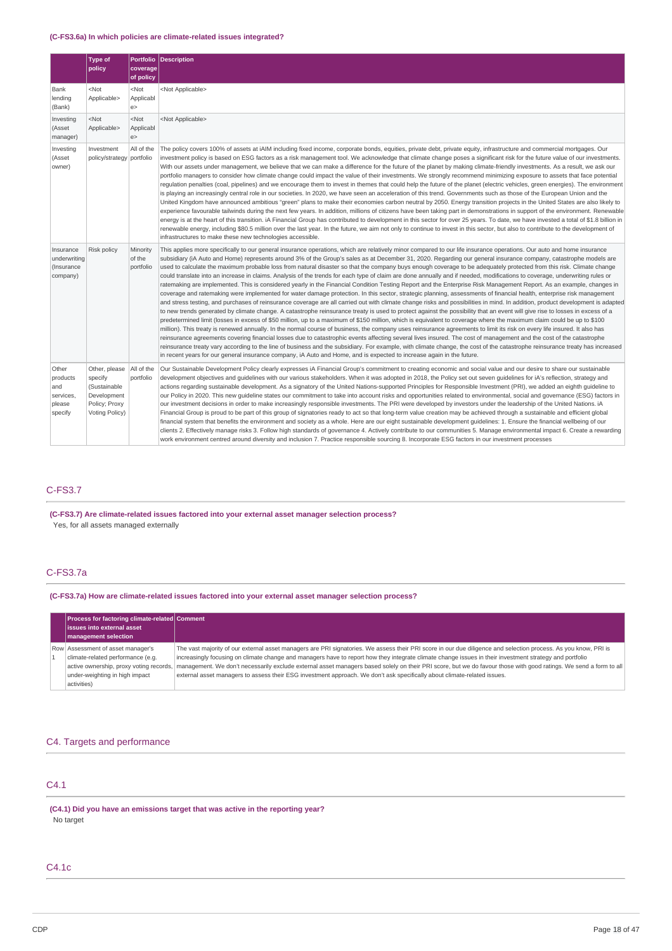### **(C-FS3.6a) In which policies are climate-related issues integrated?**

|                                                            | <b>Type of</b><br>policy                                                                   | coverage<br>of policy           | Portfolio Description                                                                                                                                                                                                                                                                                                                                                                                                                                                                                                                                                                                                                                                                                                                                                                                                                                                                                                                                                                                                                                                                                                                                                                                                                                                                                                                                                                                                                                                                                                                                                                                                                                                                                                                                                                                                                                                                                                                                                                                                                                                                                                                                                                                                                                     |  |
|------------------------------------------------------------|--------------------------------------------------------------------------------------------|---------------------------------|-----------------------------------------------------------------------------------------------------------------------------------------------------------------------------------------------------------------------------------------------------------------------------------------------------------------------------------------------------------------------------------------------------------------------------------------------------------------------------------------------------------------------------------------------------------------------------------------------------------------------------------------------------------------------------------------------------------------------------------------------------------------------------------------------------------------------------------------------------------------------------------------------------------------------------------------------------------------------------------------------------------------------------------------------------------------------------------------------------------------------------------------------------------------------------------------------------------------------------------------------------------------------------------------------------------------------------------------------------------------------------------------------------------------------------------------------------------------------------------------------------------------------------------------------------------------------------------------------------------------------------------------------------------------------------------------------------------------------------------------------------------------------------------------------------------------------------------------------------------------------------------------------------------------------------------------------------------------------------------------------------------------------------------------------------------------------------------------------------------------------------------------------------------------------------------------------------------------------------------------------------------|--|
| Bank<br>lending<br>(Bank)                                  | $<$ Not<br>Applicable>                                                                     | $<$ Not<br>Applicabl<br>e >     | <not applicable=""></not>                                                                                                                                                                                                                                                                                                                                                                                                                                                                                                                                                                                                                                                                                                                                                                                                                                                                                                                                                                                                                                                                                                                                                                                                                                                                                                                                                                                                                                                                                                                                                                                                                                                                                                                                                                                                                                                                                                                                                                                                                                                                                                                                                                                                                                 |  |
| Investing<br>(Asset<br>manager)                            | $<$ Not<br>Applicable>                                                                     | $<$ Not<br>Applicabl<br>e       | <not applicable=""></not>                                                                                                                                                                                                                                                                                                                                                                                                                                                                                                                                                                                                                                                                                                                                                                                                                                                                                                                                                                                                                                                                                                                                                                                                                                                                                                                                                                                                                                                                                                                                                                                                                                                                                                                                                                                                                                                                                                                                                                                                                                                                                                                                                                                                                                 |  |
| Investing<br>(Asset<br>owner)                              | Investment<br>policy/strategy portfolio                                                    | All of the                      | The policy covers 100% of assets at iAIM including fixed income, corporate bonds, equities, private debt, private equity, infrastructure and commercial mortgages. Our<br>investment policy is based on ESG factors as a risk management tool. We acknowledge that climate change poses a significant risk for the future value of our investments.<br>With our assets under management, we believe that we can make a difference for the future of the planet by making climate-friendly investments. As a result, we ask our<br>portfolio managers to consider how climate change could impact the value of their investments. We strongly recommend minimizing exposure to assets that face potential<br>regulation penalties (coal, pipelines) and we encourage them to invest in themes that could help the future of the planet (electric vehicles, green energies). The environment<br>is playing an increasingly central role in our societies. In 2020, we have seen an acceleration of this trend. Governments such as those of the European Union and the<br>United Kingdom have announced ambitious "green" plans to make their economies carbon neutral by 2050. Energy transition projects in the United States are also likely to<br>experience favourable tailwinds during the next few years. In addition, millions of citizens have been taking part in demonstrations in support of the environment. Renewable<br>energy is at the heart of this transition. iA Financial Group has contributed to development in this sector for over 25 years. To date, we have invested a total of \$1.8 billion in<br>renewable energy, including \$80.5 million over the last year. In the future, we aim not only to continue to invest in this sector, but also to contribute to the development of<br>infrastructures to make these new technologies accessible.                                                                                                                                                                                                                                                                                                                                                                               |  |
| Insurance<br>underwriting<br>(Insurance<br>company)        | Risk policy                                                                                | Minority<br>of the<br>portfolio | This applies more specifically to our general insurance operations, which are relatively minor compared to our life insurance operations. Our auto and home insurance<br>subsidiary (iA Auto and Home) represents around 3% of the Group's sales as at December 31, 2020. Regarding our general insurance company, catastrophe models are<br>used to calculate the maximum probable loss from natural disaster so that the company buys enough coverage to be adequately protected from this risk. Climate change<br>could translate into an increase in claims. Analysis of the trends for each type of claim are done annually and if needed, modifications to coverage, underwriting rules or<br>ratemaking are implemented. This is considered yearly in the Financial Condition Testing Report and the Enterprise Risk Management Report. As an example, changes in<br>coverage and ratemaking were implemented for water damage protection. In this sector, strategic planning, assessments of financial health, enterprise risk management<br>and stress testing, and purchases of reinsurance coverage are all carried out with climate change risks and possibilities in mind. In addition, product development is adapted<br>to new trends generated by climate change. A catastrophe reinsurance treaty is used to protect against the possibility that an event will give rise to losses in excess of a<br>predetermined limit (losses in excess of \$50 million, up to a maximum of \$150 million, which is equivalent to coverage where the maximum claim could be up to \$100<br>million). This treaty is renewed annually. In the normal course of business, the company uses reinsurance agreements to limit its risk on every life insured. It also has<br>reinsurance agreements covering financial losses due to catastrophic events affecting several lives insured. The cost of management and the cost of the catastrophe<br>reinsurance treaty vary according to the line of business and the subsidiary. For example, with climate change, the cost of the catastrophe reinsurance treaty has increased<br>in recent years for our general insurance company, iA Auto and Home, and is expected to increase again in the future. |  |
| Other<br>products<br>and<br>services,<br>please<br>specify | Other, please<br>specify<br>(Sustainable<br>Development<br>Policy; Proxy<br>Voting Policy) | All of the<br>portfolio         | Our Sustainable Development Policy clearly expresses iA Financial Group's commitment to creating economic and social value and our desire to share our sustainable<br>development objectives and quidelines with our various stakeholders. When it was adopted in 2018, the Policy set out seven quidelines for iA's reflection, strategy and<br>actions regarding sustainable development. As a signatory of the United Nations-supported Principles for Responsible Investment (PRI), we added an eighth quideline to<br>our Policy in 2020. This new guideline states our commitment to take into account risks and opportunities related to environmental, social and governance (ESG) factors in<br>our investment decisions in order to make increasingly responsible investments. The PRI were developed by investors under the leadership of the United Nations. iA<br>Financial Group is proud to be part of this group of signatories ready to act so that long-term value creation may be achieved through a sustainable and efficient global<br>financial system that benefits the environment and society as a whole. Here are our eight sustainable development quidelines: 1. Ensure the financial wellbeing of our<br>clients 2. Effectively manage risks 3. Follow high standards of governance 4. Actively contribute to our communities 5. Manage environmental impact 6. Create a rewarding<br>work environment centred around diversity and inclusion 7. Practice responsible sourcing 8. Incorporate ESG factors in our investment processes                                                                                                                                                                                                                                                                                                                                                                                                                                                                                                                                                                                                                                                                                        |  |

# C-FS3.7

**(C-FS3.7) Are climate-related issues factored into your external asset manager selection process?**

Yes, for all assets managed externally

### C-FS3.7a

**(C-FS3.7a) How are climate-related issues factored into your external asset manager selection process?**

| <b>Process for factoring climate-related Comment</b><br><b>lissues into external asset</b><br>management selection                                                 |                                                                                                                                                                                                                                                                                                                                                                                                                                                                                                                                                                                                                             |
|--------------------------------------------------------------------------------------------------------------------------------------------------------------------|-----------------------------------------------------------------------------------------------------------------------------------------------------------------------------------------------------------------------------------------------------------------------------------------------------------------------------------------------------------------------------------------------------------------------------------------------------------------------------------------------------------------------------------------------------------------------------------------------------------------------------|
| Row Assessment of asset manager's<br>climate-related performance (e.g.<br>active ownership, proxy voting records,<br>under-weighting in high impact<br>activities) | The vast majority of our external asset managers are PRI signatories. We assess their PRI score in our due diligence and selection process. As you know, PRI is<br>increasingly focusing on climate change and managers have to report how they integrate climate change issues in their investment strategy and portfolio<br>management. We don't necessarily exclude external asset managers based solely on their PRI score, but we do favour those with good ratings. We send a form to all<br>external asset managers to assess their ESG investment approach. We don't ask specifically about climate-related issues. |

### C4. Targets and performance

# C4.1

**(C4.1) Did you have an emissions target that was active in the reporting year?** No target

### C4.1c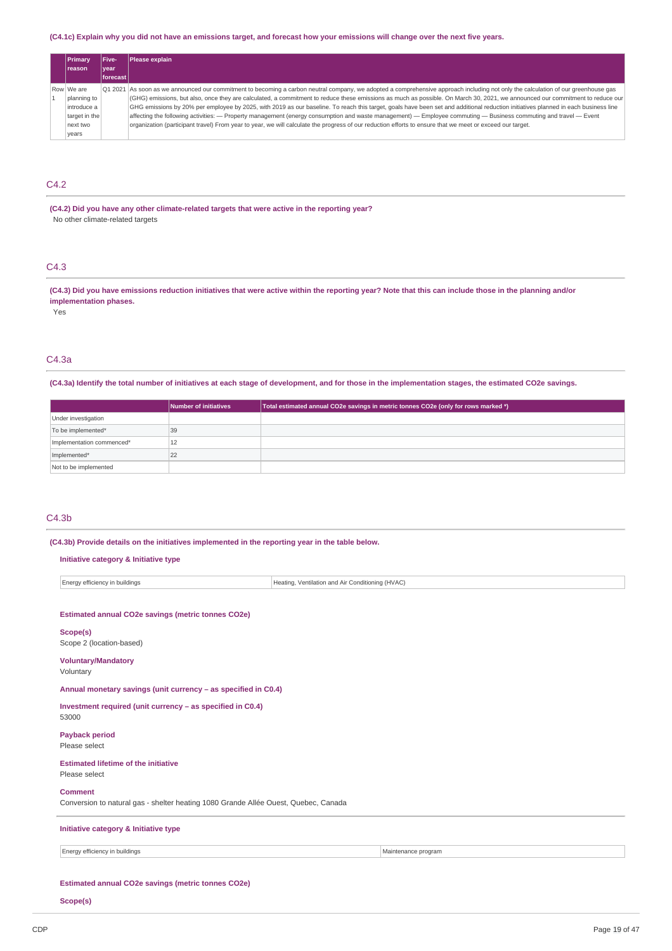### (C4.1c) Explain why you did not have an emissions target, and forecast how your emissions will change over the next five years.

| <b>Primary</b> | Five-    | Please explain                                                                                                                                                                     |
|----------------|----------|------------------------------------------------------------------------------------------------------------------------------------------------------------------------------------|
| <b>Ireason</b> | l vear   |                                                                                                                                                                                    |
|                | forecast |                                                                                                                                                                                    |
| Row We are     |          | O1 2021 As soon as we announced our commitment to becoming a carbon neutral company, we adopted a comprehensive approach including not only the calculation of our greenhouse gas  |
| planning to    |          | (GHG) emissions, but also, once they are calculated, a commitment to reduce these emissions as much as possible. On March 30, 2021, we announced our commitment to reduce our      |
| introduce a    |          | GHG emissions by 20% per employee by 2025, with 2019 as our baseline. To reach this target, goals have been set and additional reduction initiatives planned in each business line |
| target in the  |          | $f$ affecting the following activities: $-$ Property management (energy consumption and waste management) $-$ Employee commuting $-$ Business commuting and travel $-$ Event       |
| next two       |          | organization (participant travel) From year to year, we will calculate the progress of our reduction efforts to ensure that we meet or exceed our target.                          |
| vears          |          |                                                                                                                                                                                    |

# C4.2

**(C4.2) Did you have any other climate-related targets that were active in the reporting year?** No other climate-related targets

C4.3

(C4.3) Did you have emissions reduction initiatives that were active within the reporting year? Note that this can include those in the planning and/or **implementation phases.**

Yes

# C4.3a

(C4.3a) Identify the total number of initiatives at each stage of development, and for those in the implementation stages, the estimated CO2e savings.

|                           | Number of initiatives | Total estimated annual CO2e savings in metric tonnes CO2e (only for rows marked *) |
|---------------------------|-----------------------|------------------------------------------------------------------------------------|
| Under investigation       |                       |                                                                                    |
| To be implemented*        | 39                    |                                                                                    |
| Implementation commenced* | 12                    |                                                                                    |
| Implemented*              | 22                    |                                                                                    |
| Not to be implemented     |                       |                                                                                    |

### C4.3b

**(C4.3b) Provide details on the initiatives implemented in the reporting year in the table below.**

| Initiative category & Initiative type                                                                 |                                                  |                     |  |  |
|-------------------------------------------------------------------------------------------------------|--------------------------------------------------|---------------------|--|--|
| Energy efficiency in buildings                                                                        | Heating, Ventilation and Air Conditioning (HVAC) |                     |  |  |
|                                                                                                       |                                                  |                     |  |  |
| Estimated annual CO2e savings (metric tonnes CO2e)                                                    |                                                  |                     |  |  |
| Scope(s)<br>Scope 2 (location-based)                                                                  |                                                  |                     |  |  |
| <b>Voluntary/Mandatory</b><br>Voluntary                                                               |                                                  |                     |  |  |
| Annual monetary savings (unit currency - as specified in C0.4)                                        |                                                  |                     |  |  |
| Investment required (unit currency - as specified in C0.4)<br>53000                                   |                                                  |                     |  |  |
| <b>Payback period</b><br>Please select                                                                |                                                  |                     |  |  |
| <b>Estimated lifetime of the initiative</b><br>Please select                                          |                                                  |                     |  |  |
| <b>Comment</b><br>Conversion to natural gas - shelter heating 1080 Grande Allée Ouest, Quebec, Canada |                                                  |                     |  |  |
| Initiative category & Initiative type                                                                 |                                                  |                     |  |  |
| Energy efficiency in buildings                                                                        |                                                  | Maintenance program |  |  |
| Estimated annual CO2e savings (metric tonnes CO2e)                                                    |                                                  |                     |  |  |

**Scope(s)**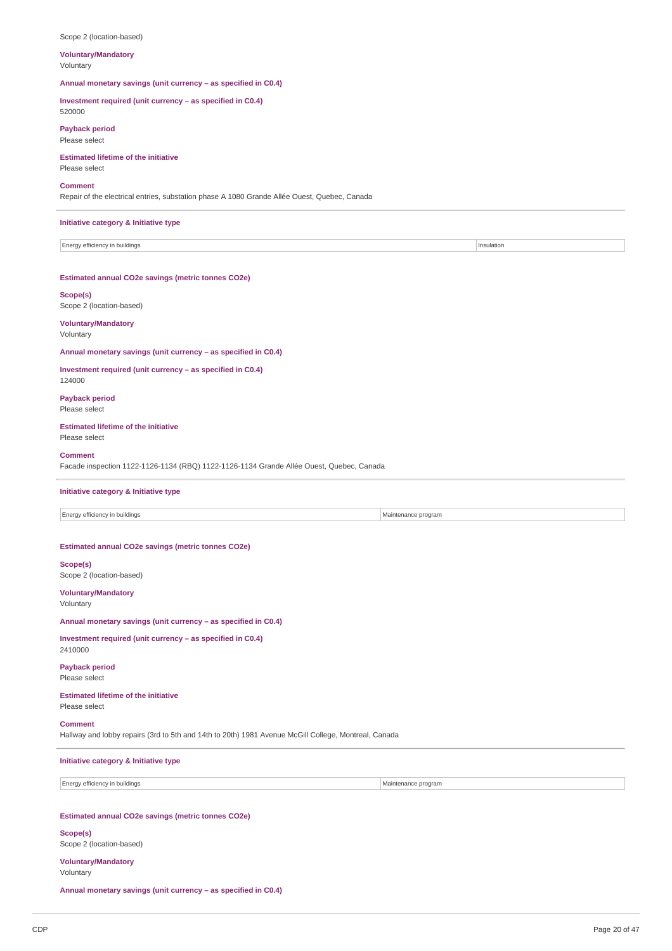#### Scope 2 (location-based)

#### **Voluntary/Mandatory** Voluntary

**Annual monetary savings (unit currency – as specified in C0.4)**

**Investment required (unit currency – as specified in C0.4)**

### 520000

**Payback period** Please select

### **Estimated lifetime of the initiative** Please select

#### **Comment**

Repair of the electrical entries, substation phase A 1080 Grande Allée Ouest, Quebec, Canada

#### **Initiative category & Initiative type**

Energy efficiency in buildings **Insulation Insulation** 

### **Estimated annual CO2e savings (metric tonnes CO2e)**

**Scope(s)** Scope 2 (location-based)

#### **Voluntary/Mandatory** Voluntary

**Annual monetary savings (unit currency – as specified in C0.4)**

#### **Investment required (unit currency – as specified in C0.4)** 124000

**Payback period** Please select

### **Estimated lifetime of the initiative**

Please select

#### **Comment**

Facade inspection 1122-1126-1134 (RBQ) 1122-1126-1134 Grande Allée Ouest, Quebec, Canada

#### **Initiative category & Initiative type**

Energy efficiency in buildings **Maintenance program** Maintenance program

#### **Estimated annual CO2e savings (metric tonnes CO2e)**

**Scope(s)** Scope 2 (location-based)

**Voluntary/Mandatory** Voluntary

#### **Annual monetary savings (unit currency – as specified in C0.4)**

**Investment required (unit currency – as specified in C0.4)** 2410000

#### **Payback period** Please select

### **Estimated lifetime of the initiative** Please select

### **Comment**

Hallway and lobby repairs (3rd to 5th and 14th to 20th) 1981 Avenue McGill College, Montreal, Canada

# **Initiative category & Initiative type**

Energy efficiency in buildings and the contract of the contract of the contract of the Maintenance program

### **Estimated annual CO2e savings (metric tonnes CO2e)**

**Scope(s)** Scope 2 (location-based)

# **Voluntary/Mandatory**

Voluntary

**Annual monetary savings (unit currency – as specified in C0.4)**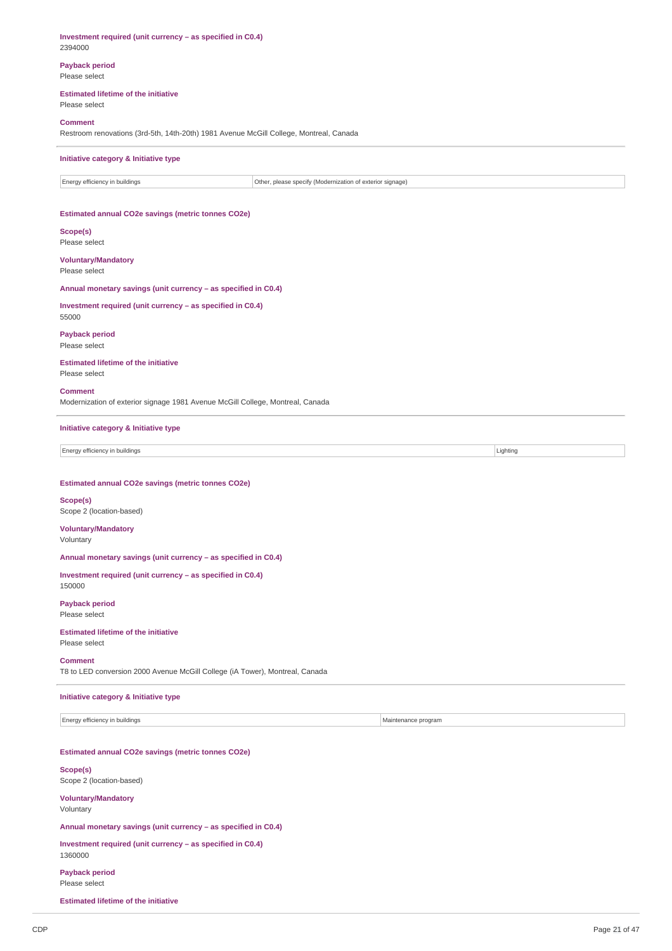| <b>Payback period</b><br>Please select                                                                   |                     |
|----------------------------------------------------------------------------------------------------------|---------------------|
| <b>Estimated lifetime of the initiative</b><br>Please select                                             |                     |
| <b>Comment</b><br>Restroom renovations (3rd-5th, 14th-20th) 1981 Avenue McGill College, Montreal, Canada |                     |
| Initiative category & Initiative type                                                                    |                     |
| Energy efficiency in buildings<br>Other, please specify (Modernization of exterior signage)              |                     |
| Estimated annual CO2e savings (metric tonnes CO2e)                                                       |                     |
| Scope(s)<br>Please select                                                                                |                     |
| <b>Voluntary/Mandatory</b><br>Please select                                                              |                     |
| Annual monetary savings (unit currency - as specified in C0.4)                                           |                     |
| Investment required (unit currency - as specified in C0.4)<br>55000                                      |                     |
| <b>Payback period</b><br>Please select                                                                   |                     |
| <b>Estimated lifetime of the initiative</b><br>Please select                                             |                     |
| Comment<br>Modernization of exterior signage 1981 Avenue McGill College, Montreal, Canada                |                     |
| Initiative category & Initiative type                                                                    |                     |
| Energy efficiency in buildings                                                                           | Lighting            |
|                                                                                                          |                     |
| Estimated annual CO2e savings (metric tonnes CO2e)                                                       |                     |
| Scope(s)<br>Scope 2 (location-based)                                                                     |                     |
| <b>Voluntary/Mandatory</b><br>Voluntary                                                                  |                     |
| Annual monetary savings (unit currency - as specified in C0.4)                                           |                     |
| Investment required (unit currency - as specified in C0.4)<br>150000                                     |                     |
| <b>Payback period</b><br>Please select                                                                   |                     |
| <b>Estimated lifetime of the initiative</b><br>Please select                                             |                     |
| <b>Comment</b><br>T8 to LED conversion 2000 Avenue McGill College (iA Tower), Montreal, Canada           |                     |
| <b>Initiative category &amp; Initiative type</b>                                                         |                     |
| Energy efficiency in buildings                                                                           | Maintenance program |
| Estimated annual CO2e savings (metric tonnes CO2e)                                                       |                     |
| Scope(s)<br>Scope 2 (location-based)                                                                     |                     |
| <b>Voluntary/Mandatory</b><br>Voluntary                                                                  |                     |
| Annual monetary savings (unit currency - as specified in C0.4)                                           |                     |
| Investment required (unit currency - as specified in C0.4)<br>1360000                                    |                     |
| <b>Payback period</b><br>Please select                                                                   |                     |
| <b>Estimated lifetime of the initiative</b>                                                              |                     |

**Investment required (unit currency – as specified in C0.4)**

2394000

l,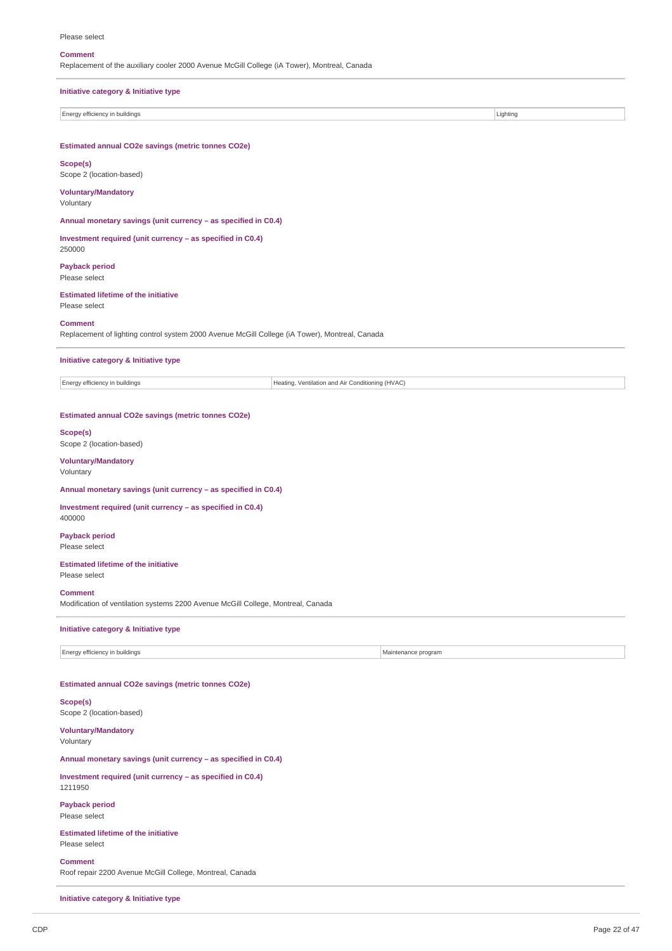### Please select

### **Comment**

| Replacement of the auxiliary cooler 2000 Avenue McGill College (iA Tower), Montreal, Canada                      |                                                  |                     |          |  |
|------------------------------------------------------------------------------------------------------------------|--------------------------------------------------|---------------------|----------|--|
| Initiative category & Initiative type                                                                            |                                                  |                     |          |  |
| Energy efficiency in buildings                                                                                   |                                                  |                     | Lighting |  |
| Estimated annual CO2e savings (metric tonnes CO2e)                                                               |                                                  |                     |          |  |
| Scope(s)<br>Scope 2 (location-based)                                                                             |                                                  |                     |          |  |
| <b>Voluntary/Mandatory</b><br>Voluntary                                                                          |                                                  |                     |          |  |
| Annual monetary savings (unit currency - as specified in C0.4)                                                   |                                                  |                     |          |  |
| Investment required (unit currency - as specified in C0.4)<br>250000                                             |                                                  |                     |          |  |
| <b>Payback period</b><br>Please select                                                                           |                                                  |                     |          |  |
| <b>Estimated lifetime of the initiative</b><br>Please select                                                     |                                                  |                     |          |  |
| <b>Comment</b><br>Replacement of lighting control system 2000 Avenue McGill College (iA Tower), Montreal, Canada |                                                  |                     |          |  |
| Initiative category & Initiative type                                                                            |                                                  |                     |          |  |
| Energy efficiency in buildings                                                                                   | Heating, Ventilation and Air Conditioning (HVAC) |                     |          |  |
| Estimated annual CO2e savings (metric tonnes CO2e)                                                               |                                                  |                     |          |  |
| Scope(s)<br>Scope 2 (location-based)                                                                             |                                                  |                     |          |  |
| <b>Voluntary/Mandatory</b><br>Voluntary                                                                          |                                                  |                     |          |  |
| Annual monetary savings (unit currency - as specified in C0.4)                                                   |                                                  |                     |          |  |
| Investment required (unit currency - as specified in C0.4)<br>400000                                             |                                                  |                     |          |  |
| <b>Payback period</b><br>Please select                                                                           |                                                  |                     |          |  |
| <b>Estimated lifetime of the initiative</b><br>Please select                                                     |                                                  |                     |          |  |
| <b>Comment</b><br>Modification of ventilation systems 2200 Avenue McGill College, Montreal, Canada               |                                                  |                     |          |  |
| Initiative category & Initiative type                                                                            |                                                  |                     |          |  |
| Energy efficiency in buildings                                                                                   |                                                  | Maintenance program |          |  |
|                                                                                                                  |                                                  |                     |          |  |
| Estimated annual CO2e savings (metric tonnes CO2e)                                                               |                                                  |                     |          |  |
| Scope(s)<br>Scope 2 (location-based)                                                                             |                                                  |                     |          |  |
| <b>Voluntary/Mandatory</b><br>Voluntary                                                                          |                                                  |                     |          |  |
| Annual monetary savings (unit currency - as specified in C0.4)                                                   |                                                  |                     |          |  |
| Investment required (unit currency - as specified in C0.4)<br>1211950                                            |                                                  |                     |          |  |
| <b>Payback period</b><br>Please select                                                                           |                                                  |                     |          |  |
| <b>Estimated lifetime of the initiative</b><br>Please select                                                     |                                                  |                     |          |  |
| <b>Comment</b>                                                                                                   |                                                  |                     |          |  |

Roof repair 2200 Avenue McGill College, Montreal, Canada

**Initiative category & Initiative type**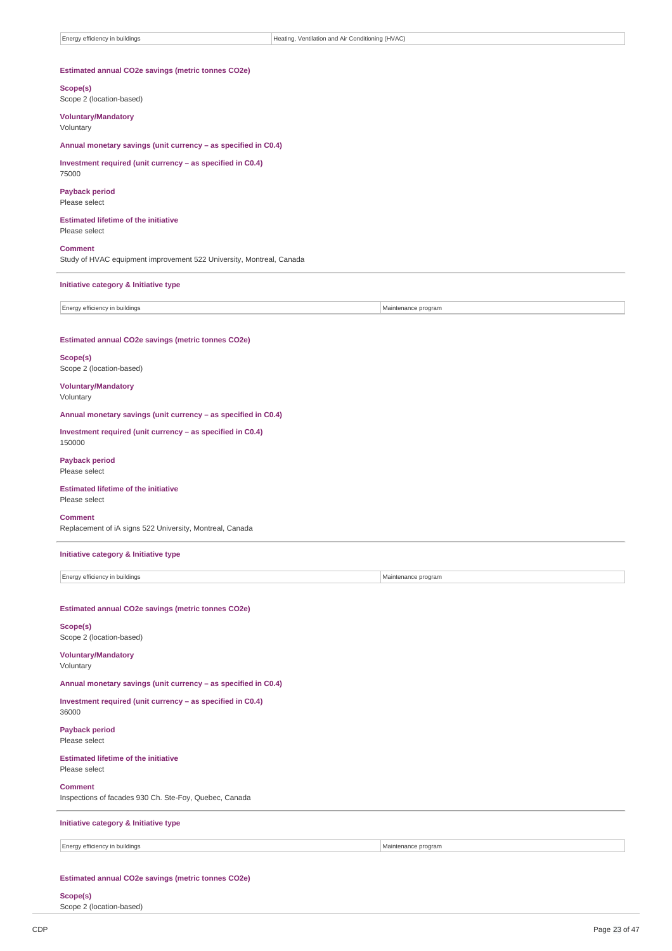### **Estimated annual CO2e savings (metric tonnes CO2e)**

**Scope(s)** Scope 2 (location-based)

**Voluntary/Mandatory** Voluntary

**Annual monetary savings (unit currency – as specified in C0.4)**

**Investment required (unit currency – as specified in C0.4)** 75000

**Payback period** Please select

**Estimated lifetime of the initiative** Please select

**Comment**

Study of HVAC equipment improvement 522 University, Montreal, Canada

#### **Initiative category & Initiative type**

Energy efficiency in buildings and the state of the state of the state of the Maintenance program

### **Estimated annual CO2e savings (metric tonnes CO2e)**

**Scope(s)** Scope 2 (location-based)

#### **Voluntary/Mandatory** Voluntary

**Annual monetary savings (unit currency – as specified in C0.4)**

**Investment required (unit currency – as specified in C0.4)** 150000

**Payback period** Please select

### **Estimated lifetime of the initiative**

Please select

### **Comment**

Replacement of iA signs 522 University, Montreal, Canada

### **Initiative category & Initiative type**

Energy efficiency in buildings and the matrix of the matrix of the Maintenance program Maintenance program

**Estimated annual CO2e savings (metric tonnes CO2e)**

### **Scope(s)**

Scope 2 (location-based)

# **Voluntary/Mandatory**

Voluntary

36000

# **Annual monetary savings (unit currency – as specified in C0.4)**

**Investment required (unit currency – as specified in C0.4)**

**Payback period** Please select

# **Estimated lifetime of the initiative**

# Please select

**Comment** Inspections of facades 930 Ch. Ste-Foy, Quebec, Canada

### **Initiative category & Initiative type**

Energy efficiency in buildings and the contract of the contract of the contract of the Maintenance program

### **Estimated annual CO2e savings (metric tonnes CO2e)**

### **Scope(s)**

Scope 2 (location-based)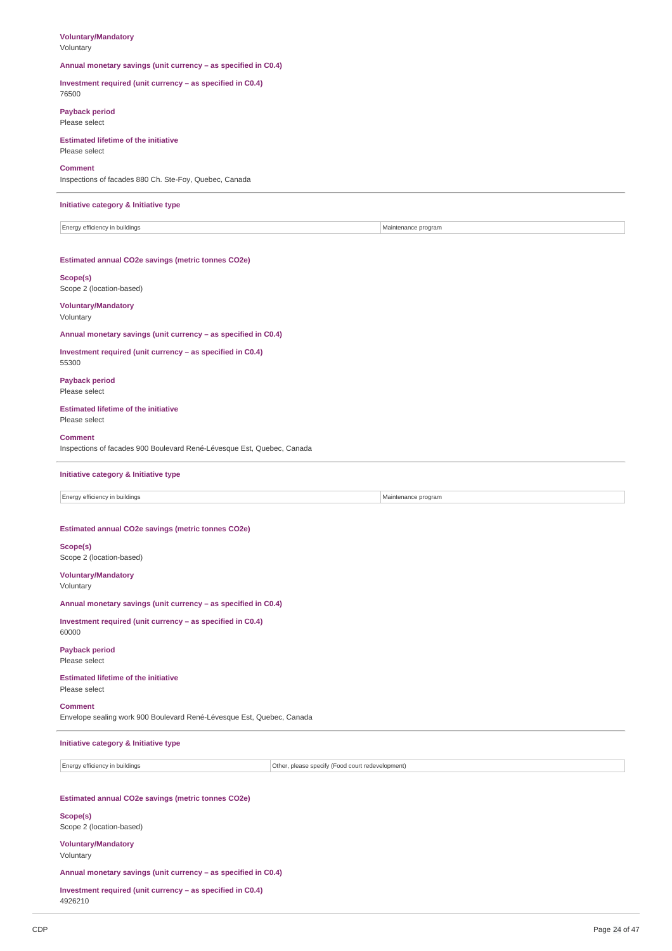## **Voluntary/Mandatory**

Voluntary

#### **Annual monetary savings (unit currency – as specified in C0.4)**

**Investment required (unit currency – as specified in C0.4)** 76500

### **Payback period** Please select

**Estimated lifetime of the initiative**

### Please select

**Comment**

Inspections of facades 880 Ch. Ste-Foy, Quebec, Canada

#### **Initiative category & Initiative type**

Energy efficiency in buildings and the state of the state of the state of the Maintenance program

#### **Estimated annual CO2e savings (metric tonnes CO2e)**

**Scope(s)** Scope 2 (location-based)

#### **Voluntary/Mandatory** Voluntary

**Annual monetary savings (unit currency – as specified in C0.4)**

### **Investment required (unit currency – as specified in C0.4)** 55300

**Payback period** Please select

#### **Estimated lifetime of the initiative** Please select

### **Comment**

Inspections of facades 900 Boulevard René-Lévesque Est, Quebec, Canada

### **Initiative category & Initiative type**

Energy efficiency in buildings and the state of the state of the state of the Maintenance program Maintenance program

#### **Estimated annual CO2e savings (metric tonnes CO2e)**

**Scope(s)** Scope 2 (location-based)

### **Voluntary/Mandatory** Voluntary

**Annual monetary savings (unit currency – as specified in C0.4)**

**Investment required (unit currency – as specified in C0.4)** 60000

#### **Payback period** Please select

#### **Estimated lifetime of the initiative** Please select

### **Comment**

Envelope sealing work 900 Boulevard René-Lévesque Est, Quebec, Canada

### **Initiative category & Initiative type**

Energy efficiency in buildings Other, please specify (Food court redevelopment)

### **Estimated annual CO2e savings (metric tonnes CO2e)**

**Scope(s)** Scope 2 (location-based)

### **Voluntary/Mandatory** Voluntary

### **Annual monetary savings (unit currency – as specified in C0.4)**

**Investment required (unit currency – as specified in C0.4)**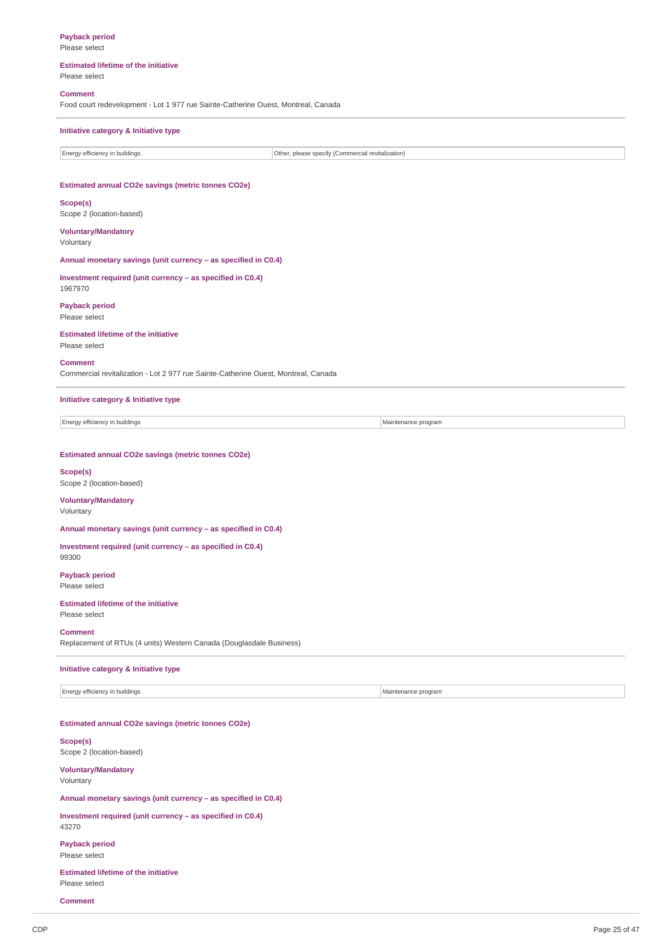**Payback period** Please select

### **Estimated lifetime of the initiative** Please select

# **Comment**

Food court redevelopment - Lot 1 977 rue Sainte-Catherine Ouest, Montreal, Canada

### **Initiative category & Initiative type**

| Energy efficiency in buildings                     | Other, please specify (Commercial revitalization) |  |  |  |
|----------------------------------------------------|---------------------------------------------------|--|--|--|
|                                                    |                                                   |  |  |  |
|                                                    |                                                   |  |  |  |
| Estimated annual CO2e savings (metric tonnes CO2e) |                                                   |  |  |  |
| Scope(s)                                           |                                                   |  |  |  |

Scope 2 (location-based)

**Voluntary/Mandatory** Voluntary

**Annual monetary savings (unit currency – as specified in C0.4)**

**Investment required (unit currency – as specified in C0.4)** 1967970

**Payback period** Please select

### **Estimated lifetime of the initiative**

Please select

#### **Comment**

Commercial revitalization - Lot 2 977 rue Sainte-Catherine Ouest, Montreal, Canada

### **Initiative category & Initiative type**

Energy efficiency in buildings and the state of the state of the Maintenance program Maintenance program

### **Estimated annual CO2e savings (metric tonnes CO2e)**

### **Scope(s)** Scope 2 (location-based)

**Voluntary/Mandatory**

### Voluntary

**Annual monetary savings (unit currency – as specified in C0.4)**

#### **Investment required (unit currency – as specified in C0.4)** 99300

**Payback period** Please select

### **Estimated lifetime of the initiative** Please select

**Comment** Replacement of RTUs (4 units) Western Canada (Douglasdale Business)

#### **Initiative category & Initiative type**

Energy efficiency in buildings and the state of the state of the state of the Maintenance program Maintenance program

**Estimated annual CO2e savings (metric tonnes CO2e)**

### **Scope(s)** Scope 2 (location-based)

**Voluntary/Mandatory** Voluntary

**Annual monetary savings (unit currency – as specified in C0.4)**

**Investment required (unit currency – as specified in C0.4)** 43270

**Payback period** Please select

**Estimated lifetime of the initiative** Please select

**Comment**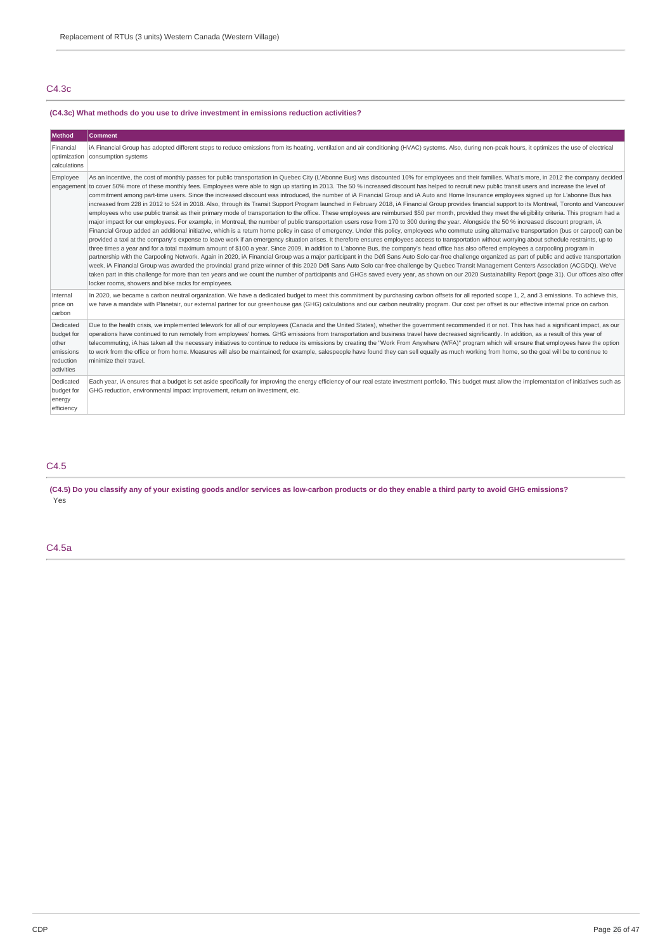# C4.3c

# **(C4.3c) What methods do you use to drive investment in emissions reduction activities?**

| <b>Method</b>                                                            | <b>Comment</b>                                                                                                                                                                                                                                                                                                                                                                                                                                                                                                                                                                                                                                                                                                                                                                                                                                                                                                                                                                                                                                                                                                                                                                                                                                                                                                                                                                                                                                                                                                                                                                                                                                                                                                                                                                                                                                                                                                                                                                                                                                                                                                                                                                                                                                                                                                                                                                                                                                                                                    |
|--------------------------------------------------------------------------|---------------------------------------------------------------------------------------------------------------------------------------------------------------------------------------------------------------------------------------------------------------------------------------------------------------------------------------------------------------------------------------------------------------------------------------------------------------------------------------------------------------------------------------------------------------------------------------------------------------------------------------------------------------------------------------------------------------------------------------------------------------------------------------------------------------------------------------------------------------------------------------------------------------------------------------------------------------------------------------------------------------------------------------------------------------------------------------------------------------------------------------------------------------------------------------------------------------------------------------------------------------------------------------------------------------------------------------------------------------------------------------------------------------------------------------------------------------------------------------------------------------------------------------------------------------------------------------------------------------------------------------------------------------------------------------------------------------------------------------------------------------------------------------------------------------------------------------------------------------------------------------------------------------------------------------------------------------------------------------------------------------------------------------------------------------------------------------------------------------------------------------------------------------------------------------------------------------------------------------------------------------------------------------------------------------------------------------------------------------------------------------------------------------------------------------------------------------------------------------------------|
| Financial<br>calculations                                                | iA Financial Group has adopted different steps to reduce emissions from its heating, ventilation and air conditioning (HVAC) systems. Also, during non-peak hours, it optimizes the use of electrical<br>optimization   consumption systems                                                                                                                                                                                                                                                                                                                                                                                                                                                                                                                                                                                                                                                                                                                                                                                                                                                                                                                                                                                                                                                                                                                                                                                                                                                                                                                                                                                                                                                                                                                                                                                                                                                                                                                                                                                                                                                                                                                                                                                                                                                                                                                                                                                                                                                       |
| Employee<br>engagement                                                   | As an incentive, the cost of monthly passes for public transportation in Quebec City (L'Abonne Bus) was discounted 10% for employees and their families. What's more, in 2012 the company decided<br>to cover 50% more of these monthly fees. Employees were able to sign up starting in 2013. The 50 % increased discount has helped to recruit new public transit users and increase the level of<br>commitment among part-time users. Since the increased discount was introduced, the number of iA Financial Group and iA Auto and Home Insurance employees signed up for L'abonne Bus has<br>increased from 228 in 2012 to 524 in 2018. Also, through its Transit Support Program launched in February 2018, iA Financial Group provides financial support to its Montreal, Toronto and Vancouver<br>employees who use public transit as their primary mode of transportation to the office. These employees are reimbursed \$50 per month, provided they meet the eligibility criteria. This program had a<br>major impact for our employees. For example, in Montreal, the number of public transportation users rose from 170 to 300 during the year. Alongside the 50 % increased discount program, iA<br>Financial Group added an additional initiative, which is a return home policy in case of emergency. Under this policy, employees who commute using alternative transportation (bus or carpool) can be<br>provided a taxi at the company's expense to leave work if an emergency situation arises. It therefore ensures employees access to transportation without worrying about schedule restraints, up to<br>three times a year and for a total maximum amount of \$100 a year. Since 2009, in addition to L'abonne Bus, the company's head office has also offered employees a carpooling program in<br>partnership with the Carpooling Network. Again in 2020, iA Financial Group was a major participant in the Défi Sans Auto Solo car-free challenge organized as part of public and active transportation<br>week. iA Financial Group was awarded the provincial grand prize winner of this 2020 Défi Sans Auto Solo car-free challenge by Quebec Transit Management Centers Association (ACGDQ). We've<br>taken part in this challenge for more than ten years and we count the number of participants and GHGs saved every year, as shown on our 2020 Sustainability Report (page 31). Our offices also offer<br>locker rooms, showers and bike racks for employees. |
| Internal<br>price on<br>carbon                                           | In 2020, we became a carbon neutral organization. We have a dedicated budget to meet this commitment by purchasing carbon offsets for all reported scope 1, 2, and 3 emissions. To achieve this,<br>we have a mandate with Planetair, our external partner for our greenhouse gas (GHG) calculations and our carbon neutrality program. Our cost per offset is our effective internal price on carbon.                                                                                                                                                                                                                                                                                                                                                                                                                                                                                                                                                                                                                                                                                                                                                                                                                                                                                                                                                                                                                                                                                                                                                                                                                                                                                                                                                                                                                                                                                                                                                                                                                                                                                                                                                                                                                                                                                                                                                                                                                                                                                            |
| Dedicated<br>budget for<br>other<br>emissions<br>reduction<br>activities | Due to the health crisis, we implemented telework for all of our employees (Canada and the United States), whether the government recommended it or not. This has had a significant impact, as our<br>operations have continued to run remotely from employees' homes. GHG emissions from transportation and business travel have decreased significantly. In addition, as a result of this year of<br>telecommuting, iA has taken all the necessary initiatives to continue to reduce its emissions by creating the "Work From Anywhere (WFA)" program which will ensure that employees have the option<br>to work from the office or from home. Measures will also be maintained; for example, salespeople have found they can sell equally as much working from home, so the goal will be to continue to<br>minimize their travel.                                                                                                                                                                                                                                                                                                                                                                                                                                                                                                                                                                                                                                                                                                                                                                                                                                                                                                                                                                                                                                                                                                                                                                                                                                                                                                                                                                                                                                                                                                                                                                                                                                                             |
| Dedicated<br>budget for<br>energy<br>efficiency                          | Each year, iA ensures that a budget is set aside specifically for improving the energy efficiency of our real estate investment portfolio. This budget must allow the implementation of initiatives such as<br>GHG reduction, environmental impact improvement, return on investment, etc.                                                                                                                                                                                                                                                                                                                                                                                                                                                                                                                                                                                                                                                                                                                                                                                                                                                                                                                                                                                                                                                                                                                                                                                                                                                                                                                                                                                                                                                                                                                                                                                                                                                                                                                                                                                                                                                                                                                                                                                                                                                                                                                                                                                                        |

# C4.5

(C4.5) Do you classify any of your existing goods and/or services as low-carbon products or do they enable a third party to avoid GHG emissions? .<br>Yes

### C4.5a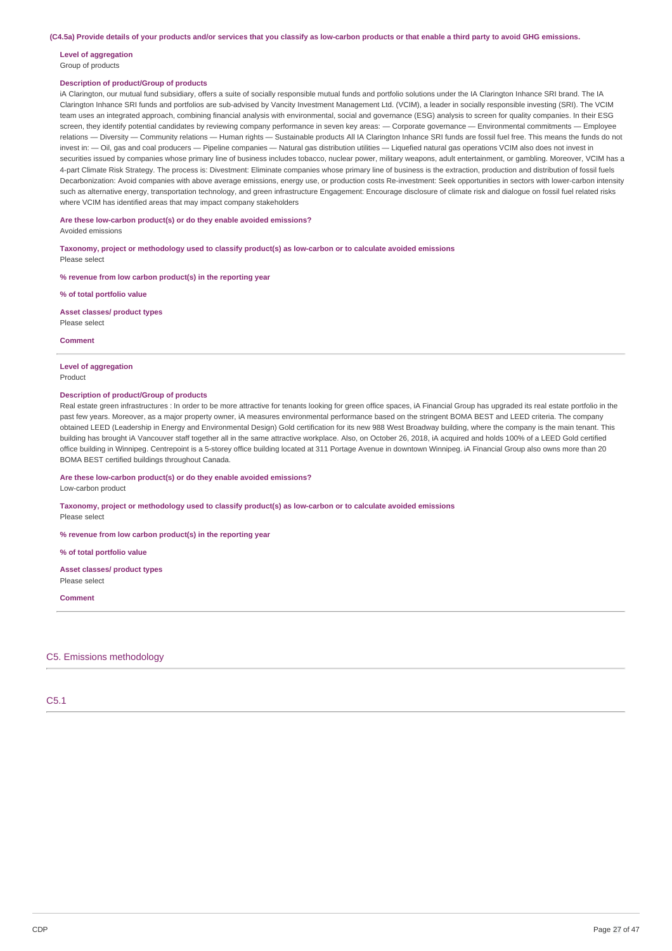(C4.5a) Provide details of your products and/or services that you classify as low-carbon products or that enable a third party to avoid GHG emissions.

# **Level of aggregation**

# Group of products

### **Description of product/Group of products**

iA Clarington, our mutual fund subsidiary, offers a suite of socially responsible mutual funds and portfolio solutions under the IA Clarington Inhance SRI brand. The IA Clarington Inhance SRI funds and portfolios are sub-advised by Vancity Investment Management Ltd. (VCIM), a leader in socially responsible investing (SRI). The VCIM team uses an integrated approach, combining financial analysis with environmental, social and governance (ESG) analysis to screen for quality companies. In their ESG screen, they identify potential candidates by reviewing company performance in seven key areas: - Corporate governance - Environmental commitments - Employee relations — Diversity — Community relations — Human rights — Sustainable products All IA Clarington Inhance SRI funds are fossil fuel free. This means the funds do not invest in: - Oil, gas and coal producers - Pipeline companies - Natural gas distribution utilities - Liquefied natural gas operations VCIM also does not invest in securities issued by companies whose primary line of business includes tobacco, nuclear power, military weapons, adult entertainment, or gambling. Moreover, VCIM has a 4-part Climate Risk Strategy. The process is: Divestment: Eliminate companies whose primary line of business is the extraction, production and distribution of fossil fuels Decarbonization: Avoid companies with above average emissions, energy use, or production costs Re-investment: Seek opportunities in sectors with lower-carbon intensity such as alternative energy, transportation technology, and green infrastructure Engagement: Encourage disclosure of climate risk and dialogue on fossil fuel related risks where VCIM has identified areas that may impact company stakeholders

**Are these low-carbon product(s) or do they enable avoided emissions?**

Avoided emissions

**Taxonomy, project or methodology used to classify product(s) as low-carbon or to calculate avoided emissions** Please select

**% revenue from low carbon product(s) in the reporting year**

**% of total portfolio value**

**Asset classes/ product types** Please select

**Comment**

#### **Level of aggregation**

Product

### **Description of product/Group of products**

Real estate green infrastructures : In order to be more attractive for tenants looking for green office spaces, iA Financial Group has upgraded its real estate portfolio in the past few years. Moreover, as a major property owner, iA measures environmental performance based on the stringent BOMA BEST and LEED criteria. The company obtained LEED (Leadership in Energy and Environmental Design) Gold certification for its new 988 West Broadway building, where the company is the main tenant. This building has brought iA Vancouver staff together all in the same attractive workplace. Also, on October 26, 2018, iA acquired and holds 100% of a LEED Gold certified office building in Winnipeg. Centrepoint is a 5-storey office building located at 311 Portage Avenue in downtown Winnipeg. iA Financial Group also owns more than 20 BOMA BEST certified buildings throughout Canada.

**Are these low-carbon product(s) or do they enable avoided emissions?**

Low-carbon product

**Taxonomy, project or methodology used to classify product(s) as low-carbon or to calculate avoided emissions** Please select

**% revenue from low carbon product(s) in the reporting year**

**% of total portfolio value**

**Asset classes/ product types** Please select

**Comment**

C5. Emissions methodology

C5.1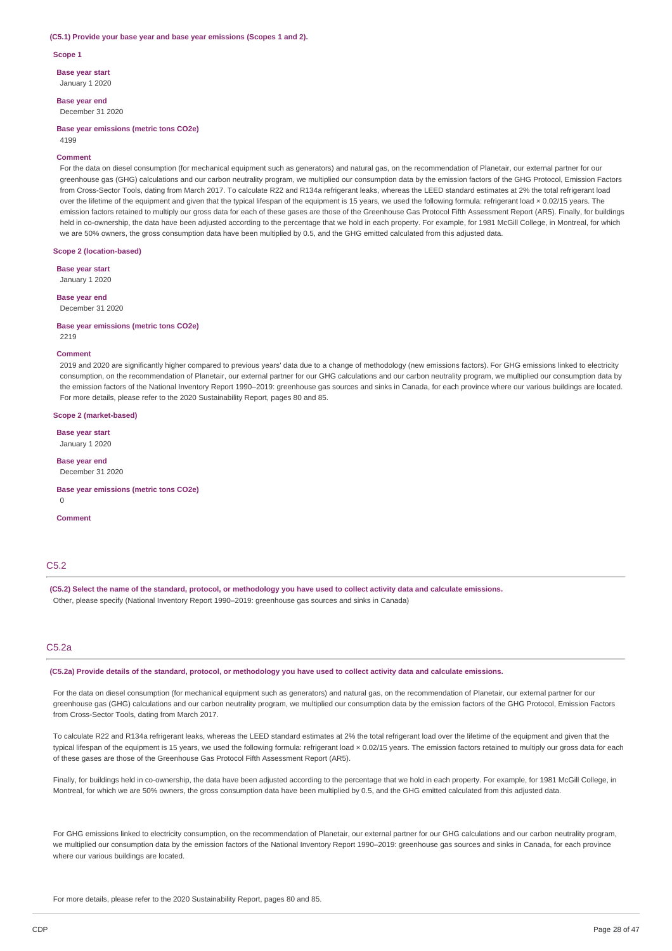#### **(C5.1) Provide your base year and base year emissions (Scopes 1 and 2).**

**Scope 1**

**Base year start**

January 1 2020

**Base year end** December 31 2020

**Base year emissions (metric tons CO2e)** 4199

#### **Comment**

For the data on diesel consumption (for mechanical equipment such as generators) and natural gas, on the recommendation of Planetair, our external partner for our greenhouse gas (GHG) calculations and our carbon neutrality program, we multiplied our consumption data by the emission factors of the GHG Protocol, Emission Factors from Cross-Sector Tools, dating from March 2017. To calculate R22 and R134a refrigerant leaks, whereas the LEED standard estimates at 2% the total refrigerant load over the lifetime of the equipment and given that the typical lifespan of the equipment is 15 years, we used the following formula: refrigerant load × 0.02/15 years. The emission factors retained to multiply our gross data for each of these gases are those of the Greenhouse Gas Protocol Fifth Assessment Report (AR5). Finally, for buildings held in co-ownership, the data have been adjusted according to the percentage that we hold in each property. For example, for 1981 McGill College, in Montreal, for which we are 50% owners, the gross consumption data have been multiplied by 0.5, and the GHG emitted calculated from this adjusted data.

**Scope 2 (location-based)**

**Base year start**

January 1 2020 **Base year end**

December 31 2020

**Base year emissions (metric tons CO2e)** 2219

#### **Comment**

2019 and 2020 are significantly higher compared to previous years' data due to a change of methodology (new emissions factors). For GHG emissions linked to electricity consumption, on the recommendation of Planetair, our external partner for our GHG calculations and our carbon neutrality program, we multiplied our consumption data by the emission factors of the National Inventory Report 1990–2019: greenhouse gas sources and sinks in Canada, for each province where our various buildings are located. For more details, please refer to the 2020 Sustainability Report, pages 80 and 85.

#### **Scope 2 (market-based)**

**Base year start** January 1 2020

**Base year end** December 31 2020

**Base year emissions (metric tons CO2e)**  $\Omega$ 

**Comment**

# C<sub>5.2</sub>

(C5.2) Select the name of the standard, protocol, or methodology you have used to collect activity data and calculate emissions. Other, please specify (National Inventory Report 1990–2019: greenhouse gas sources and sinks in Canada)

# C5.2a

(C5.2a) Provide details of the standard, protocol, or methodology you have used to collect activity data and calculate emissions.

For the data on diesel consumption (for mechanical equipment such as generators) and natural gas, on the recommendation of Planetair, our external partner for our greenhouse gas (GHG) calculations and our carbon neutrality program, we multiplied our consumption data by the emission factors of the GHG Protocol, Emission Factors from Cross-Sector Tools, dating from March 2017.

To calculate R22 and R134a refrigerant leaks, whereas the LEED standard estimates at 2% the total refrigerant load over the lifetime of the equipment and given that the typical lifespan of the equipment is 15 years, we used the following formula: refrigerant load × 0.02/15 years. The emission factors retained to multiply our gross data for each of these gases are those of the Greenhouse Gas Protocol Fifth Assessment Report (AR5).

Finally, for buildings held in co-ownership, the data have been adjusted according to the percentage that we hold in each property. For example, for 1981 McGill College, in Montreal, for which we are 50% owners, the gross consumption data have been multiplied by 0.5, and the GHG emitted calculated from this adjusted data.

For GHG emissions linked to electricity consumption, on the recommendation of Planetair, our external partner for our GHG calculations and our carbon neutrality program, we multiplied our consumption data by the emission factors of the National Inventory Report 1990–2019: greenhouse gas sources and sinks in Canada, for each province where our various buildings are located.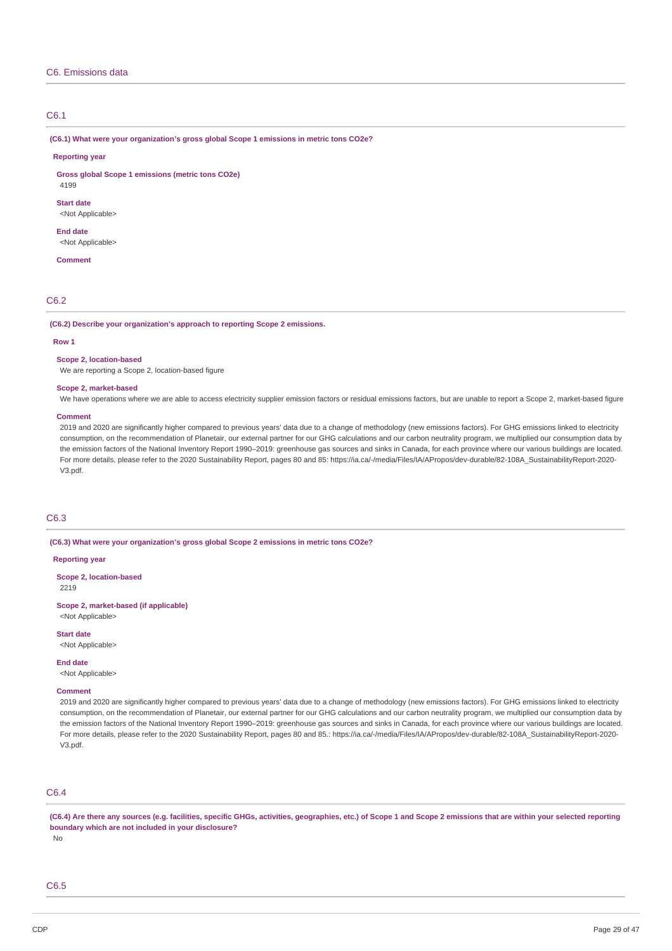### C6. Emissions data

### C6.1

**(C6.1) What were your organization's gross global Scope 1 emissions in metric tons CO2e?**

#### **Reporting year**

**Gross global Scope 1 emissions (metric tons CO2e)**

4199

**Start date** <Not Applicable>

**End date** <Not Applicable>

**Comment**

### C6.2

**(C6.2) Describe your organization's approach to reporting Scope 2 emissions.**

#### **Row 1**

#### **Scope 2, location-based**

We are reporting a Scope 2, location-based figure

#### **Scope 2, market-based**

We have operations where we are able to access electricity supplier emission factors or residual emissions factors, but are unable to report a Scope 2, market-based figure

#### **Comment**

2019 and 2020 are significantly higher compared to previous years' data due to a change of methodology (new emissions factors). For GHG emissions linked to electricity consumption, on the recommendation of Planetair, our external partner for our GHG calculations and our carbon neutrality program, we multiplied our consumption data by the emission factors of the National Inventory Report 1990–2019: greenhouse gas sources and sinks in Canada, for each province where our various buildings are located. For more details, please refer to the 2020 Sustainability Report, pages 80 and 85: https://ia.ca/-/media/Files/IA/APropos/dev-durable/82-108A\_SustainabilityReport-2020-V3.pdf.

### C6.3

**(C6.3) What were your organization's gross global Scope 2 emissions in metric tons CO2e?**

#### **Reporting year**

**Scope 2, location-based** 2219

**Scope 2, market-based (if applicable)** <Not Applicable>

**Start date**

<Not Applicable>

**End date**

<Not Applicable>

### **Comment**

2019 and 2020 are significantly higher compared to previous years' data due to a change of methodology (new emissions factors). For GHG emissions linked to electricity consumption, on the recommendation of Planetair, our external partner for our GHG calculations and our carbon neutrality program, we multiplied our consumption data by the emission factors of the National Inventory Report 1990–2019: greenhouse gas sources and sinks in Canada, for each province where our various buildings are located. For more details, please refer to the 2020 Sustainability Report, pages 80 and 85.: https://ia.ca/-/media/Files/IA/APropos/dev-durable/82-108A\_SustainabilityReport-2020-V3.pdf.

### C6.4

(C6.4) Are there any sources (e.g. facilities, specific GHGs, activities, geographies, etc.) of Scope 1 and Scope 2 emissions that are within your selected reporting **boundary which are not included in your disclosure?**

No

# C6.5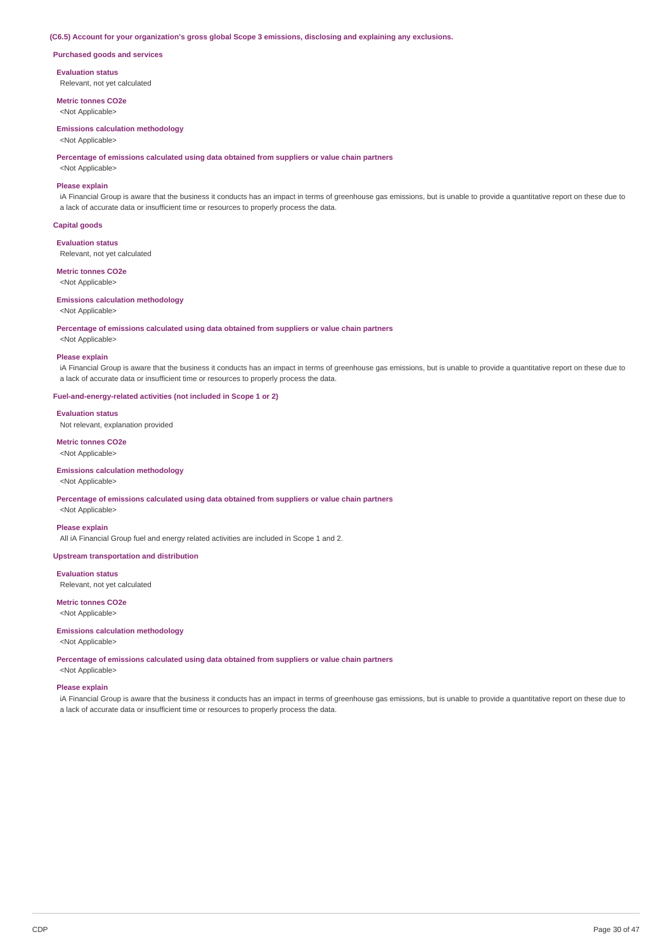#### **(C6.5) Account for your organization's gross global Scope 3 emissions, disclosing and explaining any exclusions.**

**Purchased goods and services**

**Evaluation status**

Relevant, not yet calculated

**Metric tonnes CO2e** <Not Applicable>

#### **Emissions calculation methodology**

<Not Applicable>

**Percentage of emissions calculated using data obtained from suppliers or value chain partners**

<Not Applicable>

### **Please explain**

iA Financial Group is aware that the business it conducts has an impact in terms of greenhouse gas emissions, but is unable to provide a quantitative report on these due to a lack of accurate data or insufficient time or resources to properly process the data.

#### **Capital goods**

**Evaluation status**

Relevant, not yet calculated

**Metric tonnes CO2e** <Not Applicable>

# **Emissions calculation methodology**

<Not Applicable>

#### **Percentage of emissions calculated using data obtained from suppliers or value chain partners**

<Not Applicable>

#### **Please explain**

iA Financial Group is aware that the business it conducts has an impact in terms of greenhouse gas emissions, but is unable to provide a quantitative report on these due to a lack of accurate data or insufficient time or resources to properly process the data.

#### **Fuel-and-energy-related activities (not included in Scope 1 or 2)**

#### **Evaluation status**

Not relevant, explanation provided

**Metric tonnes CO2e** <Not Applicable>

#### **Emissions calculation methodology**

<Not Applicable>

### **Percentage of emissions calculated using data obtained from suppliers or value chain partners**

<Not Applicable>

### **Please explain**

All iA Financial Group fuel and energy related activities are included in Scope 1 and 2.

### **Upstream transportation and distribution**

**Evaluation status**

Relevant, not yet calculated

# **Metric tonnes CO2e**

<Not Applicable>

#### **Emissions calculation methodology**

<Not Applicable>

**Percentage of emissions calculated using data obtained from suppliers or value chain partners**

# <Not Applicable> **Please explain**

iA Financial Group is aware that the business it conducts has an impact in terms of greenhouse gas emissions, but is unable to provide a quantitative report on these due to a lack of accurate data or insufficient time or resources to properly process the data.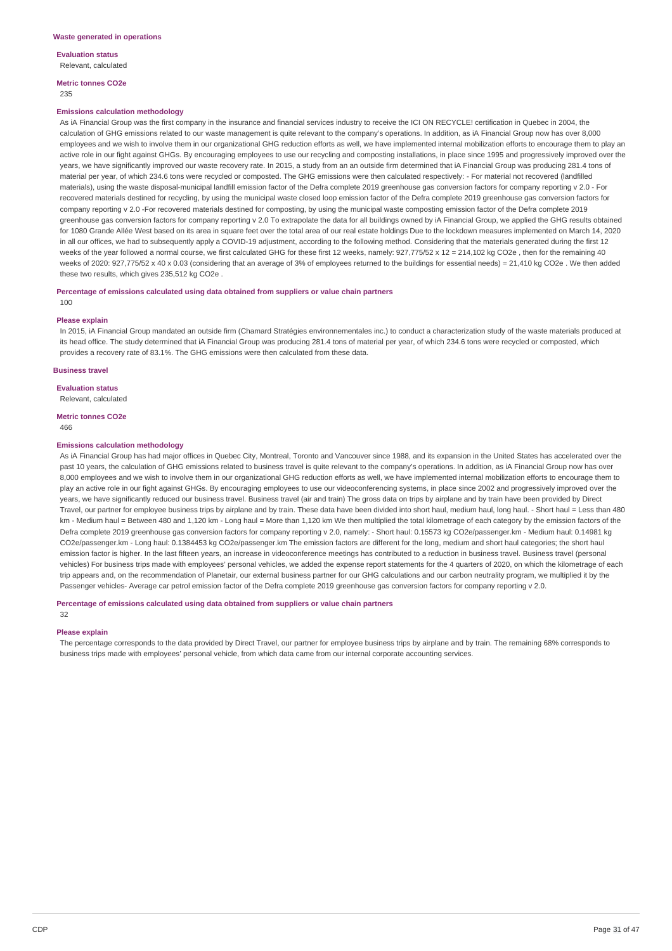**Evaluation status**

Relevant, calculated

**Metric tonnes CO2e** 235

#### **Emissions calculation methodology**

As iA Financial Group was the first company in the insurance and financial services industry to receive the ICI ON RECYCLE! certification in Quebec in 2004, the calculation of GHG emissions related to our waste management is quite relevant to the company's operations. In addition, as iA Financial Group now has over 8,000 employees and we wish to involve them in our organizational GHG reduction efforts as well, we have implemented internal mobilization efforts to encourage them to play an active role in our fight against GHGs. By encouraging employees to use our recycling and composting installations, in place since 1995 and progressively improved over the years, we have significantly improved our waste recovery rate. In 2015, a study from an an outside firm determined that iA Financial Group was producing 281.4 tons of material per year, of which 234.6 tons were recycled or composted. The GHG emissions were then calculated respectively: - For material not recovered (landfilled materials), using the waste disposal-municipal landfill emission factor of the Defra complete 2019 greenhouse gas conversion factors for company reporting v 2.0 - For recovered materials destined for recycling, by using the municipal waste closed loop emission factor of the Defra complete 2019 greenhouse gas conversion factors for company reporting v 2.0 -For recovered materials destined for composting, by using the municipal waste composting emission factor of the Defra complete 2019 greenhouse gas conversion factors for company reporting v 2.0 To extrapolate the data for all buildings owned by iA Financial Group, we applied the GHG results obtained for 1080 Grande Allée West based on its area in square feet over the total area of our real estate holdings Due to the lockdown measures implemented on March 14, 2020 in all our offices, we had to subsequently apply a COVID-19 adjustment, according to the following method. Considering that the materials generated during the first 12 weeks of the year followed a normal course, we first calculated GHG for these first 12 weeks, namely: 927,775/52 x 12 = 214,102 kg CO2e , then for the remaining 40 weeks of 2020: 927,775/52 x 40 x 0.03 (considering that an average of 3% of employees returned to the buildings for essential needs) = 21,410 kg CO2e. We then added these two results, which gives 235,512 kg CO2e .

#### **Percentage of emissions calculated using data obtained from suppliers or value chain partners** 100

#### **Please explain**

In 2015, iA Financial Group mandated an outside firm (Chamard Stratégies environnementales inc.) to conduct a characterization study of the waste materials produced at its head office. The study determined that iA Financial Group was producing 281.4 tons of material per year, of which 234.6 tons were recycled or composted, which provides a recovery rate of 83.1%. The GHG emissions were then calculated from these data.

#### **Business travel**

### **Evaluation status**

Relevant, calculated

### **Metric tonnes CO2e**

466

#### **Emissions calculation methodology**

As iA Financial Group has had major offices in Quebec City, Montreal, Toronto and Vancouver since 1988, and its expansion in the United States has accelerated over the past 10 years, the calculation of GHG emissions related to business travel is quite relevant to the company's operations. In addition, as iA Financial Group now has over 8,000 employees and we wish to involve them in our organizational GHG reduction efforts as well, we have implemented internal mobilization efforts to encourage them to play an active role in our fight against GHGs. By encouraging employees to use our videoconferencing systems, in place since 2002 and progressively improved over the years, we have significantly reduced our business travel. Business travel (air and train) The gross data on trips by airplane and by train have been provided by Direct Travel, our partner for employee business trips by airplane and by train. These data have been divided into short haul, medium haul, long haul. - Short haul = Less than 480 km - Medium haul = Between 480 and 1,120 km - Long haul = More than 1,120 km We then multiplied the total kilometrage of each category by the emission factors of the Defra complete 2019 greenhouse gas conversion factors for company reporting v 2.0, namely: - Short haul: 0.15573 kg CO2e/passenger.km - Medium haul: 0.14981 kg CO2e/passenger.km - Long haul: 0.1384453 kg CO2e/passenger.km The emission factors are different for the long, medium and short haul categories; the short haul emission factor is higher. In the last fifteen years, an increase in videoconference meetings has contributed to a reduction in business travel. Business travel (personal vehicles) For business trips made with employees' personal vehicles, we added the expense report statements for the 4 quarters of 2020, on which the kilometrage of each trip appears and, on the recommendation of Planetair, our external business partner for our GHG calculations and our carbon neutrality program, we multiplied it by the Passenger vehicles- Average car petrol emission factor of the Defra complete 2019 greenhouse gas conversion factors for company reporting v 2.0.

#### **Percentage of emissions calculated using data obtained from suppliers or value chain partners**

32

#### **Please explain**

The percentage corresponds to the data provided by Direct Travel, our partner for employee business trips by airplane and by train. The remaining 68% corresponds to business trips made with employees' personal vehicle, from which data came from our internal corporate accounting services.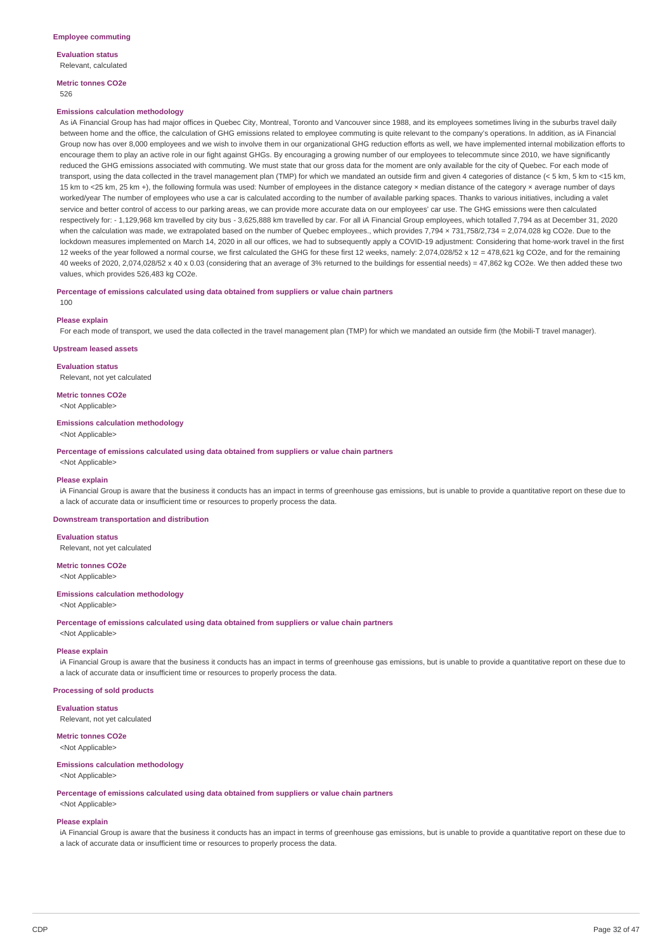**Evaluation status** Relevant, calculated

**Metric tonnes CO2e** 526

#### **Emissions calculation methodology**

As iA Financial Group has had major offices in Quebec City, Montreal, Toronto and Vancouver since 1988, and its employees sometimes living in the suburbs travel daily between home and the office, the calculation of GHG emissions related to employee commuting is quite relevant to the company's operations. In addition, as iA Financial Group now has over 8,000 employees and we wish to involve them in our organizational GHG reduction efforts as well, we have implemented internal mobilization efforts to encourage them to play an active role in our fight against GHGs. By encouraging a growing number of our employees to telecommute since 2010, we have significantly reduced the GHG emissions associated with commuting. We must state that our gross data for the moment are only available for the city of Quebec. For each mode of transport, using the data collected in the travel management plan (TMP) for which we mandated an outside firm and given 4 categories of distance (< 5 km, 5 km to <15 km, 15 km to <25 km, 25 km +), the following formula was used: Number of employees in the distance category × median distance of the category × average number of days worked/year The number of employees who use a car is calculated according to the number of available parking spaces. Thanks to various initiatives, including a valet service and better control of access to our parking areas, we can provide more accurate data on our employees' car use. The GHG emissions were then calculated respectively for: - 1,129,968 km travelled by city bus - 3,625,888 km travelled by car. For all iA Financial Group employees, which totalled 7,794 as at December 31, 2020 when the calculation was made, we extrapolated based on the number of Quebec employees., which provides 7,794 × 731,758/2,734 = 2,074,028 kg CO2e. Due to the lockdown measures implemented on March 14, 2020 in all our offices, we had to subsequently apply a COVID-19 adjustment: Considering that home-work travel in the first 12 weeks of the year followed a normal course, we first calculated the GHG for these first 12 weeks, namely: 2,074,028/52 x 12 = 478,621 kg CO2e, and for the remaining 40 weeks of 2020, 2,074,028/52 x 40 x 0.03 (considering that an average of 3% returned to the buildings for essential needs) = 47,862 kg CO2e. We then added these two values, which provides 526,483 kg CO2e.

#### **Percentage of emissions calculated using data obtained from suppliers or value chain partners** 100

#### **Please explain**

For each mode of transport, we used the data collected in the travel management plan (TMP) for which we mandated an outside firm (the Mobili-T travel manager).

#### **Upstream leased assets**

**Evaluation status**

Relevant, not yet calculated

### **Metric tonnes CO2e**

<Not Applicable>

# **Emissions calculation methodology**

<Not Applicable>

**Percentage of emissions calculated using data obtained from suppliers or value chain partners**

<Not Applicable>

#### **Please explain**

iA Financial Group is aware that the business it conducts has an impact in terms of greenhouse gas emissions, but is unable to provide a quantitative report on these due to a lack of accurate data or insufficient time or resources to properly process the data.

#### **Downstream transportation and distribution**

#### **Evaluation status**

Relevant, not yet calculated

### **Metric tonnes CO2e**

<Not Applicable>

### **Emissions calculation methodology**

<Not Applicable>

**Percentage of emissions calculated using data obtained from suppliers or value chain partners**

<Not Applicable>

### **Please explain**

iA Financial Group is aware that the business it conducts has an impact in terms of greenhouse gas emissions, but is unable to provide a quantitative report on these due to a lack of accurate data or insufficient time or resources to properly process the data.

#### **Processing of sold products**

**Evaluation status** Relevant, not yet calculated

#### **Metric tonnes CO2e**

<Not Applicable>

#### **Emissions calculation methodology**

<Not Applicable>

**Percentage of emissions calculated using data obtained from suppliers or value chain partners** <Not Applicable>

**Please explain**

iA Financial Group is aware that the business it conducts has an impact in terms of greenhouse gas emissions, but is unable to provide a quantitative report on these due to a lack of accurate data or insufficient time or resources to properly process the data.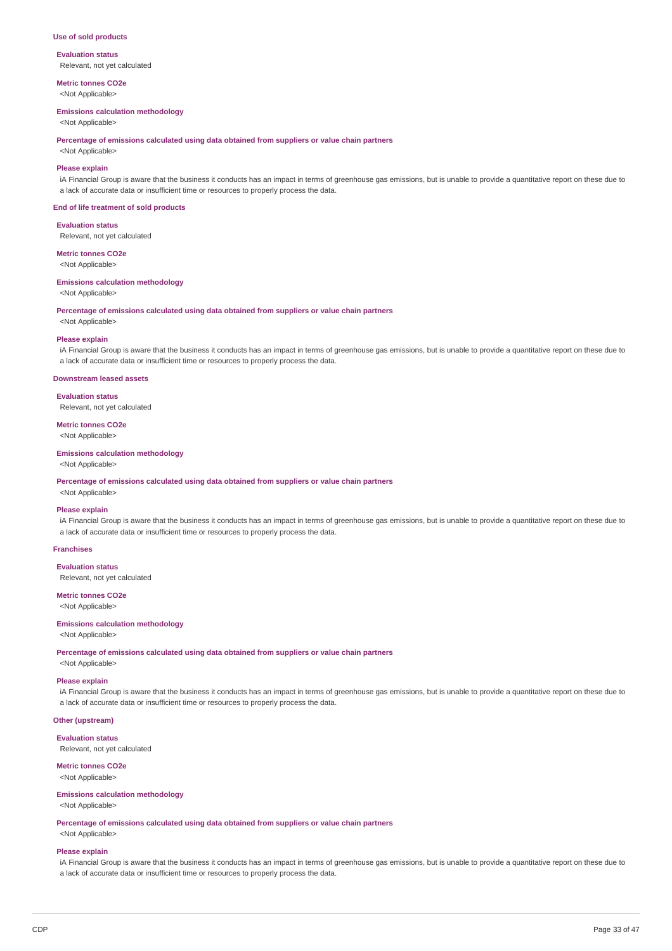#### **Use of sold products**

**Evaluation status** Relevant, not yet calculated

**Metric tonnes CO2e** <Not Applicable>

#### **Emissions calculation methodology**

<Not Applicable>

**Percentage of emissions calculated using data obtained from suppliers or value chain partners**

<Not Applicable>

### **Please explain**

iA Financial Group is aware that the business it conducts has an impact in terms of greenhouse gas emissions, but is unable to provide a quantitative report on these due to a lack of accurate data or insufficient time or resources to properly process the data.

#### **End of life treatment of sold products**

**Evaluation status**

Relevant, not yet calculated

**Metric tonnes CO2e**

<Not Applicable>

### **Emissions calculation methodology**

<Not Applicable>

**Percentage of emissions calculated using data obtained from suppliers or value chain partners**

<Not Applicable>

#### **Please explain**

iA Financial Group is aware that the business it conducts has an impact in terms of greenhouse gas emissions, but is unable to provide a quantitative report on these due to a lack of accurate data or insufficient time or resources to properly process the data.

#### **Downstream leased assets**

#### **Evaluation status**

Relevant, not yet calculated

**Metric tonnes CO2e** <Not Applicable>

**Emissions calculation methodology** <Not Applicable>

**Percentage of emissions calculated using data obtained from suppliers or value chain partners**

# <Not Applicable>

**Please explain**

iA Financial Group is aware that the business it conducts has an impact in terms of greenhouse gas emissions, but is unable to provide a quantitative report on these due to a lack of accurate data or insufficient time or resources to properly process the data.

#### **Franchises**

#### **Evaluation status**

Relevant, not yet calculated

**Metric tonnes CO2e** <Not Applicable>

### **Emissions calculation methodology**

<Not Applicable>

**Percentage of emissions calculated using data obtained from suppliers or value chain partners**

<Not Applicable>

### **Please explain**

iA Financial Group is aware that the business it conducts has an impact in terms of greenhouse gas emissions, but is unable to provide a quantitative report on these due to a lack of accurate data or insufficient time or resources to properly process the data.

### **Other (upstream)**

**Evaluation status** Relevant, not yet calculated

#### **Metric tonnes CO2e**

<Not Applicable>

#### **Emissions calculation methodology** <Not Applicable>

**Percentage of emissions calculated using data obtained from suppliers or value chain partners** <Not Applicable>

#### **Please explain**

iA Financial Group is aware that the business it conducts has an impact in terms of greenhouse gas emissions, but is unable to provide a quantitative report on these due to a lack of accurate data or insufficient time or resources to properly process the data.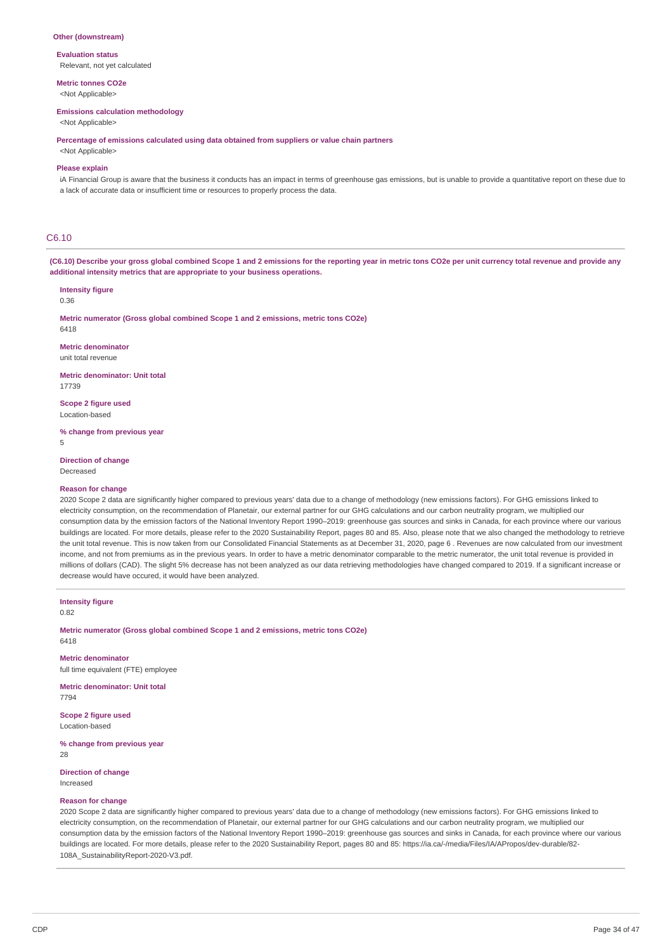#### **Other (downstream)**

**Evaluation status** Relevant, not yet calculated

**Metric tonnes CO2e**

<Not Applicable>

### **Emissions calculation methodology**

<Not Applicable>

**Percentage of emissions calculated using data obtained from suppliers or value chain partners**

<Not Applicable>

### **Please explain**

iA Financial Group is aware that the business it conducts has an impact in terms of greenhouse gas emissions, but is unable to provide a quantitative report on these due to a lack of accurate data or insufficient time or resources to properly process the data.

### C6.10

(C6.10) Describe your gross global combined Scope 1 and 2 emissions for the reporting year in metric tons CO2e per unit currency total revenue and provide any **additional intensity metrics that are appropriate to your business operations.**

#### **Intensity figure**

0.36

**Metric numerator (Gross global combined Scope 1 and 2 emissions, metric tons CO2e)** 6418

**Metric denominator** unit total revenue

**Metric denominator: Unit total** 17739

**Scope 2 figure used** Location-based

**% change from previous year**

5

**Direction of change** Decreased

#### **Reason for change**

2020 Scope 2 data are significantly higher compared to previous years' data due to a change of methodology (new emissions factors). For GHG emissions linked to electricity consumption, on the recommendation of Planetair, our external partner for our GHG calculations and our carbon neutrality program, we multiplied our consumption data by the emission factors of the National Inventory Report 1990–2019: greenhouse gas sources and sinks in Canada, for each province where our various buildings are located. For more details, please refer to the 2020 Sustainability Report, pages 80 and 85. Also, please note that we also changed the methodology to retrieve the unit total revenue. This is now taken from our Consolidated Financial Statements as at December 31, 2020, page 6 . Revenues are now calculated from our investment income, and not from premiums as in the previous years. In order to have a metric denominator comparable to the metric numerator, the unit total revenue is provided in millions of dollars (CAD). The slight 5% decrease has not been analyzed as our data retrieving methodologies have changed compared to 2019. If a significant increase or decrease would have occured, it would have been analyzed.

**Intensity figure** 0.82

**Metric numerator (Gross global combined Scope 1 and 2 emissions, metric tons CO2e)** 6418

**Metric denominator** full time equivalent (FTE) employee

**Metric denominator: Unit total** 7794

**Scope 2 figure used** Location-based

**% change from previous year** 28

**Direction of change** Increased

#### **Reason for change**

2020 Scope 2 data are significantly higher compared to previous years' data due to a change of methodology (new emissions factors). For GHG emissions linked to electricity consumption, on the recommendation of Planetair, our external partner for our GHG calculations and our carbon neutrality program, we multiplied our consumption data by the emission factors of the National Inventory Report 1990–2019: greenhouse gas sources and sinks in Canada, for each province where our various buildings are located. For more details, please refer to the 2020 Sustainability Report, pages 80 and 85: https://ia.ca/-/media/Files/IA/APropos/dev-durable/82-108A\_SustainabilityReport-2020-V3.pdf.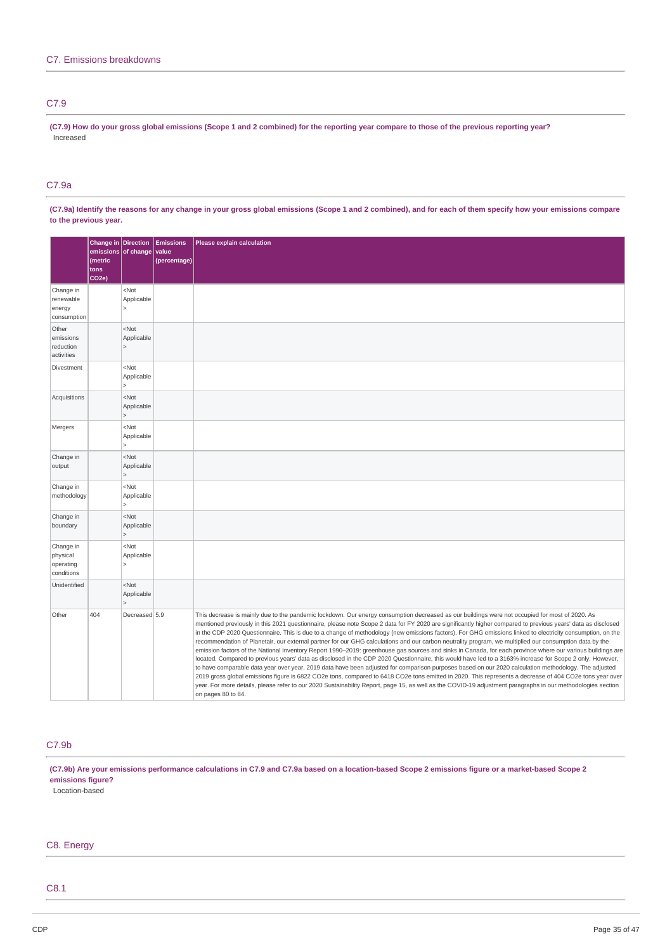### C7.9

(C7.9) How do your gross global emissions (Scope 1 and 2 combined) for the reporting year compare to those of the previous reporting year? Increased

# C7.9a

(C7.9a) Identify the reasons for any change in your gross global emissions (Scope 1 and 2 combined), and for each of them specify how your emissions compare **to the previous year.**

|                                                  | Change in Direction<br>emissions of change<br>(metric<br>tons<br>CO <sub>2e</sub> ) |                                         | <b>Emissions</b><br>value<br>(percentage) | Please explain calculation                                                                                                                                                                                                                                                                                                                                                                                                                                                                                                                                                                                                                                                                                                                                                                                                                                                                                                                                                                                                                                                                                                                                                                                                                                                                                                                                                                                                                                                |
|--------------------------------------------------|-------------------------------------------------------------------------------------|-----------------------------------------|-------------------------------------------|---------------------------------------------------------------------------------------------------------------------------------------------------------------------------------------------------------------------------------------------------------------------------------------------------------------------------------------------------------------------------------------------------------------------------------------------------------------------------------------------------------------------------------------------------------------------------------------------------------------------------------------------------------------------------------------------------------------------------------------------------------------------------------------------------------------------------------------------------------------------------------------------------------------------------------------------------------------------------------------------------------------------------------------------------------------------------------------------------------------------------------------------------------------------------------------------------------------------------------------------------------------------------------------------------------------------------------------------------------------------------------------------------------------------------------------------------------------------------|
| Change in<br>renewable<br>energy<br>consumption  |                                                                                     | <not<br>Applicable</not<br>             |                                           |                                                                                                                                                                                                                                                                                                                                                                                                                                                                                                                                                                                                                                                                                                                                                                                                                                                                                                                                                                                                                                                                                                                                                                                                                                                                                                                                                                                                                                                                           |
| Other<br>emissions<br>reduction<br>activities    |                                                                                     | $<$ Not<br>Applicable                   |                                           |                                                                                                                                                                                                                                                                                                                                                                                                                                                                                                                                                                                                                                                                                                                                                                                                                                                                                                                                                                                                                                                                                                                                                                                                                                                                                                                                                                                                                                                                           |
| Divestment                                       |                                                                                     | $<$ Not<br>Applicable                   |                                           |                                                                                                                                                                                                                                                                                                                                                                                                                                                                                                                                                                                                                                                                                                                                                                                                                                                                                                                                                                                                                                                                                                                                                                                                                                                                                                                                                                                                                                                                           |
| Acquisitions                                     |                                                                                     | $<$ Not<br>Applicable<br>$\geq$         |                                           |                                                                                                                                                                                                                                                                                                                                                                                                                                                                                                                                                                                                                                                                                                                                                                                                                                                                                                                                                                                                                                                                                                                                                                                                                                                                                                                                                                                                                                                                           |
| Mergers                                          |                                                                                     | $<$ Not<br>Applicable                   |                                           |                                                                                                                                                                                                                                                                                                                                                                                                                                                                                                                                                                                                                                                                                                                                                                                                                                                                                                                                                                                                                                                                                                                                                                                                                                                                                                                                                                                                                                                                           |
| Change in<br>output                              |                                                                                     | $<$ Not<br>Applicable<br>$\geq$         |                                           |                                                                                                                                                                                                                                                                                                                                                                                                                                                                                                                                                                                                                                                                                                                                                                                                                                                                                                                                                                                                                                                                                                                                                                                                                                                                                                                                                                                                                                                                           |
| Change in<br>methodology                         |                                                                                     | $<$ Not<br>Applicable                   |                                           |                                                                                                                                                                                                                                                                                                                                                                                                                                                                                                                                                                                                                                                                                                                                                                                                                                                                                                                                                                                                                                                                                                                                                                                                                                                                                                                                                                                                                                                                           |
| Change in<br>boundary                            |                                                                                     | $<$ Not<br>Applicable<br>$\overline{ }$ |                                           |                                                                                                                                                                                                                                                                                                                                                                                                                                                                                                                                                                                                                                                                                                                                                                                                                                                                                                                                                                                                                                                                                                                                                                                                                                                                                                                                                                                                                                                                           |
| Change in<br>physical<br>operating<br>conditions |                                                                                     | $<$ Not<br>Applicable                   |                                           |                                                                                                                                                                                                                                                                                                                                                                                                                                                                                                                                                                                                                                                                                                                                                                                                                                                                                                                                                                                                                                                                                                                                                                                                                                                                                                                                                                                                                                                                           |
| Unidentified                                     |                                                                                     | $<$ Not<br>Applicable<br>$\overline{ }$ |                                           |                                                                                                                                                                                                                                                                                                                                                                                                                                                                                                                                                                                                                                                                                                                                                                                                                                                                                                                                                                                                                                                                                                                                                                                                                                                                                                                                                                                                                                                                           |
| Other                                            | 404                                                                                 | Decreased 5.9                           |                                           | This decrease is mainly due to the pandemic lockdown. Our energy consumption decreased as our buildings were not occupied for most of 2020. As<br>mentioned previously in this 2021 questionnaire, please note Scope 2 data for FY 2020 are significantly higher compared to previous years' data as disclosed<br>in the CDP 2020 Questionnaire. This is due to a change of methodology (new emissions factors). For GHG emissions linked to electricity consumption, on the<br>recommendation of Planetair, our external partner for our GHG calculations and our carbon neutrality program, we multiplied our consumption data by the<br>emission factors of the National Inventory Report 1990-2019: greenhouse gas sources and sinks in Canada, for each province where our various buildings are<br>located. Compared to previous years' data as disclosed in the CDP 2020 Questionnaire, this would have led to a 3163% increase for Scope 2 only. However,<br>to have comparable data year over year, 2019 data have been adjusted for comparison purposes based on our 2020 calculation methodology. The adjusted<br>2019 gross global emissions figure is 6822 CO2e tons, compared to 6418 CO2e tons emitted in 2020. This represents a decrease of 404 CO2e tons year over<br>year. For more details, please refer to our 2020 Sustainability Report, page 15, as well as the COVID-19 adjustment paragraphs in our methodologies section<br>on pages 80 to 84. |

### C7.9b

(C7.9b) Are your emissions performance calculations in C7.9 and C7.9a based on a location-based Scope 2 emissions figure or a market-based Scope 2 **emissions figure?**

Location-based

### C8. Energy

C8.1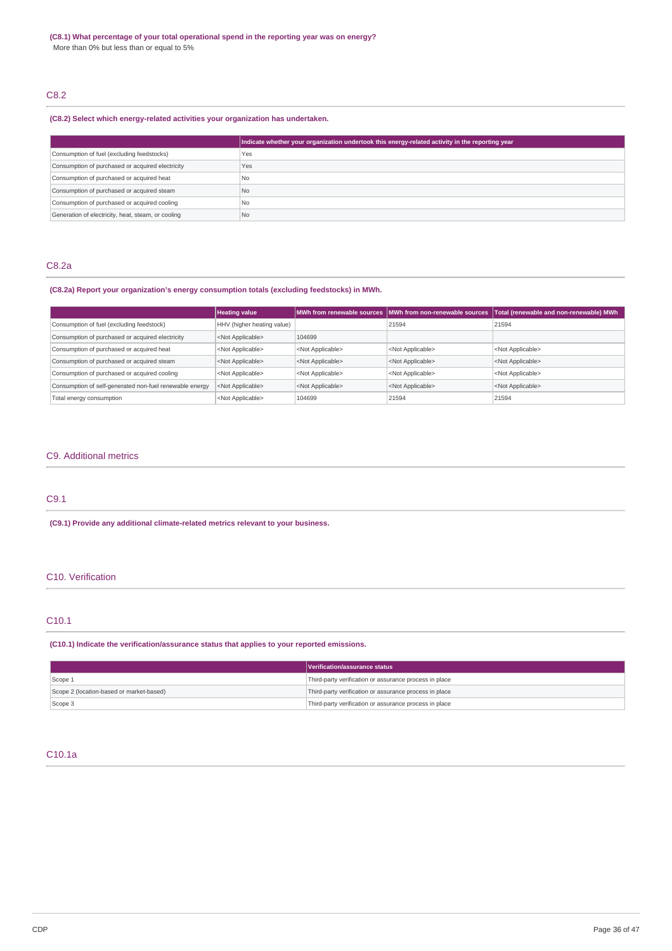# C8.2

### **(C8.2) Select which energy-related activities your organization has undertaken.**

|                                                    | Indicate whether your organization undertook this energy-related activity in the reporting year |
|----------------------------------------------------|-------------------------------------------------------------------------------------------------|
| Consumption of fuel (excluding feedstocks)         | Yes                                                                                             |
| Consumption of purchased or acquired electricity   | Yes                                                                                             |
| Consumption of purchased or acquired heat          | No                                                                                              |
| Consumption of purchased or acquired steam         | N <sub>0</sub>                                                                                  |
| Consumption of purchased or acquired cooling       | N <sub>0</sub>                                                                                  |
| Generation of electricity, heat, steam, or cooling | No                                                                                              |

# C8.2a

# **(C8.2a) Report your organization's energy consumption totals (excluding feedstocks) in MWh.**

|                                                         | <b>Heating value</b>       |                           | MWh from renewable sources MWh from non-renewable sources | Total (renewable and non-renewable) MWh |
|---------------------------------------------------------|----------------------------|---------------------------|-----------------------------------------------------------|-----------------------------------------|
| Consumption of fuel (excluding feedstock)               | HHV (higher heating value) |                           | 21594                                                     | 21594                                   |
| Consumption of purchased or acquired electricity        | <not applicable=""></not>  | 104699                    |                                                           |                                         |
| Consumption of purchased or acquired heat               | <not applicable=""></not>  | <not applicable=""></not> | <not applicable=""></not>                                 | <not applicable=""></not>               |
| Consumption of purchased or acquired steam              | <not applicable=""></not>  | <not applicable=""></not> | <not applicable=""></not>                                 | <not applicable=""></not>               |
| Consumption of purchased or acquired cooling            | <not applicable=""></not>  | <not applicable=""></not> | <not applicable=""></not>                                 | <not applicable=""></not>               |
| Consumption of self-generated non-fuel renewable energy | <not applicable=""></not>  | <not applicable=""></not> | <not applicable=""></not>                                 | <not applicable=""></not>               |
| Total energy consumption                                | <not applicable=""></not>  | 104699                    | 21594                                                     | 21594                                   |

# C9. Additional metrics

C9.1

**(C9.1) Provide any additional climate-related metrics relevant to your business.**

### C10. Verification

### C10.1

### **(C10.1) Indicate the verification/assurance status that applies to your reported emissions.**

|                                          | Verification/assurance status                          |
|------------------------------------------|--------------------------------------------------------|
| Scope 1                                  | Third-party verification or assurance process in place |
| Scope 2 (location-based or market-based) | Third-party verification or assurance process in place |
| Scope 3                                  | Third-party verification or assurance process in place |

### C10.1a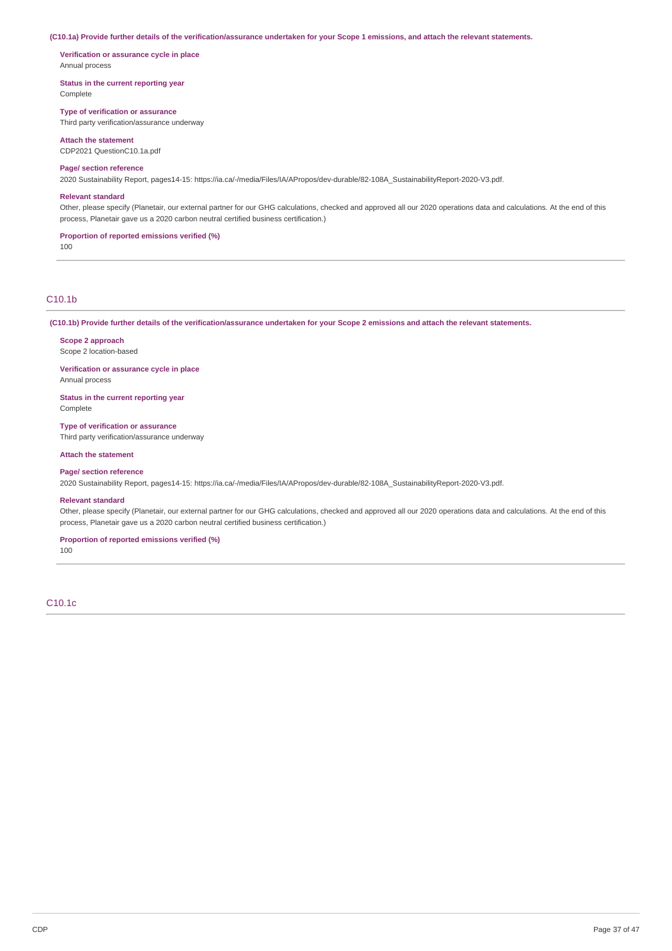#### (C10.1a) Provide further details of the verification/assurance undertaken for your Scope 1 emissions, and attach the relevant statements.

**Verification or assurance cycle in place** Annual process

**Status in the current reporting year** Complete

**Type of verification or assurance**

Third party verification/assurance underway

### **Attach the statement**

CDP2021 QuestionC10.1a.pdf

### **Page/ section reference**

2020 Sustainability Report, pages14-15: https://ia.ca/-/media/Files/IA/APropos/dev-durable/82-108A\_SustainabilityReport-2020-V3.pdf.

#### **Relevant standard**

Other, please specify (Planetair, our external partner for our GHG calculations, checked and approved all our 2020 operations data and calculations. At the end of this process, Planetair gave us a 2020 carbon neutral certified business certification.)

#### **Proportion of reported emissions verified (%)**

100

### C10.1b

(C10.1b) Provide further details of the verification/assurance undertaken for your Scope 2 emissions and attach the relevant statements.

### **Scope 2 approach** Scope 2 location-based

**Verification or assurance cycle in place** Annual process

**Status in the current reporting year** Complete

**Type of verification or assurance** Third party verification/assurance underway

#### **Attach the statement**

**Page/ section reference**

2020 Sustainability Report, pages14-15: https://ia.ca/-/media/Files/IA/APropos/dev-durable/82-108A\_SustainabilityReport-2020-V3.pdf.

#### **Relevant standard**

Other, please specify (Planetair, our external partner for our GHG calculations, checked and approved all our 2020 operations data and calculations. At the end of this process, Planetair gave us a 2020 carbon neutral certified business certification.)

### **Proportion of reported emissions verified (%)**

100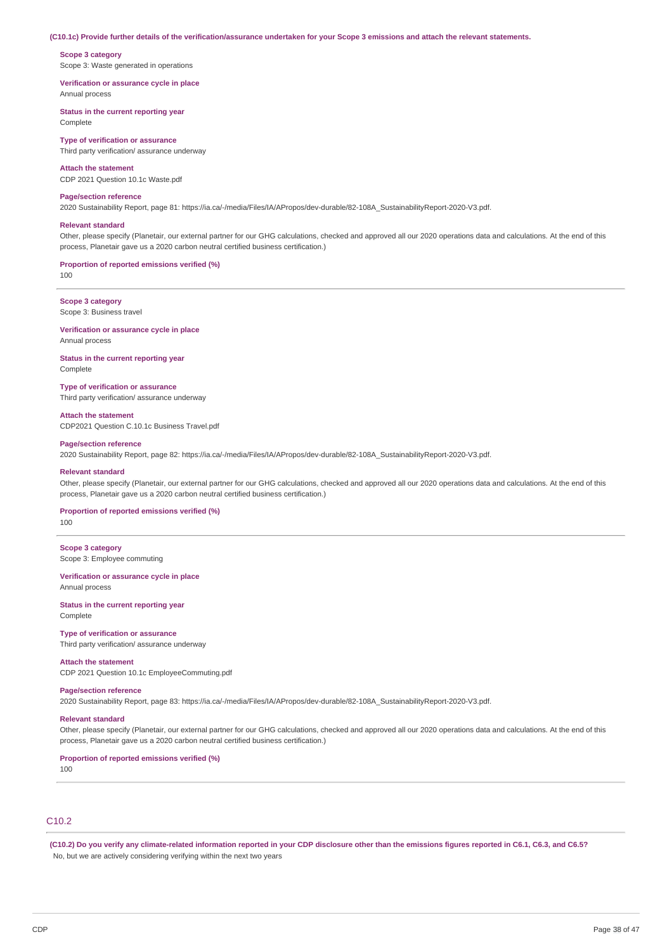#### (C10.1c) Provide further details of the verification/assurance undertaken for your Scope 3 emissions and attach the relevant statements.

#### **Scope 3 category**

Scope 3: Waste generated in operations

#### **Verification or assurance cycle in place** Annual process

**Status in the current reporting year**

Complete

#### **Type of verification or assurance**

Third party verification/ assurance underway

### **Attach the statement**

CDP 2021 Question 10.1c Waste.pdf

#### **Page/section reference**

2020 Sustainability Report, page 81: https://ia.ca/-/media/Files/IA/APropos/dev-durable/82-108A\_SustainabilityReport-2020-V3.pdf.

#### **Relevant standard**

Other, please specify (Planetair, our external partner for our GHG calculations, checked and approved all our 2020 operations data and calculations. At the end of this process, Planetair gave us a 2020 carbon neutral certified business certification.)

### **Proportion of reported emissions verified (%)**

100

#### **Scope 3 category** Scope 3: Business travel

**Verification or assurance cycle in place** Annual process

#### **Status in the current reporting year Complete**

#### **Type of verification or assurance**

Third party verification/ assurance underway

### **Attach the statement**

CDP2021 Question C.10.1c Business Travel.pdf

### **Page/section reference**

2020 Sustainability Report, page 82: https://ia.ca/-/media/Files/IA/APropos/dev-durable/82-108A\_SustainabilityReport-2020-V3.pdf.

#### **Relevant standard**

Other, please specify (Planetair, our external partner for our GHG calculations, checked and approved all our 2020 operations data and calculations. At the end of this process, Planetair gave us a 2020 carbon neutral certified business certification.)

### **Proportion of reported emissions verified (%)**

100

### **Scope 3 category** Scope 3: Employee commuting

# **Verification or assurance cycle in place**

Annual process

#### **Status in the current reporting year** Complete

**Type of verification or assurance** Third party verification/ assurance underway

#### **Attach the statement**

CDP 2021 Question 10.1c EmployeeCommuting.pdf

#### **Page/section reference**

2020 Sustainability Report, page 83: https://ia.ca/-/media/Files/IA/APropos/dev-durable/82-108A\_SustainabilityReport-2020-V3.pdf.

#### **Relevant standard**

Other, please specify (Planetair, our external partner for our GHG calculations, checked and approved all our 2020 operations data and calculations. At the end of this process, Planetair gave us a 2020 carbon neutral certified business certification.)

### **Proportion of reported emissions verified (%)**

100

# C10.2

(C10.2) Do you verify any climate-related information reported in your CDP disclosure other than the emissions figures reported in C6.1, C6.3, and C6.5? No, but we are actively considering verifying within the next two years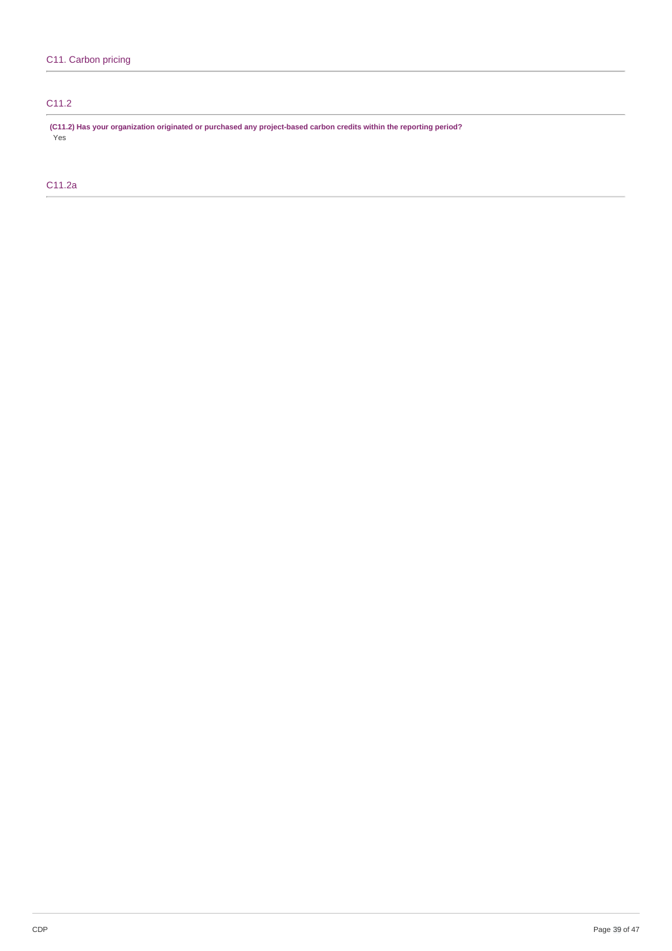# C11.2

**(C11.2) Has your organization originated or purchased any project-based carbon credits within the reporting period?** Yes

C11.2a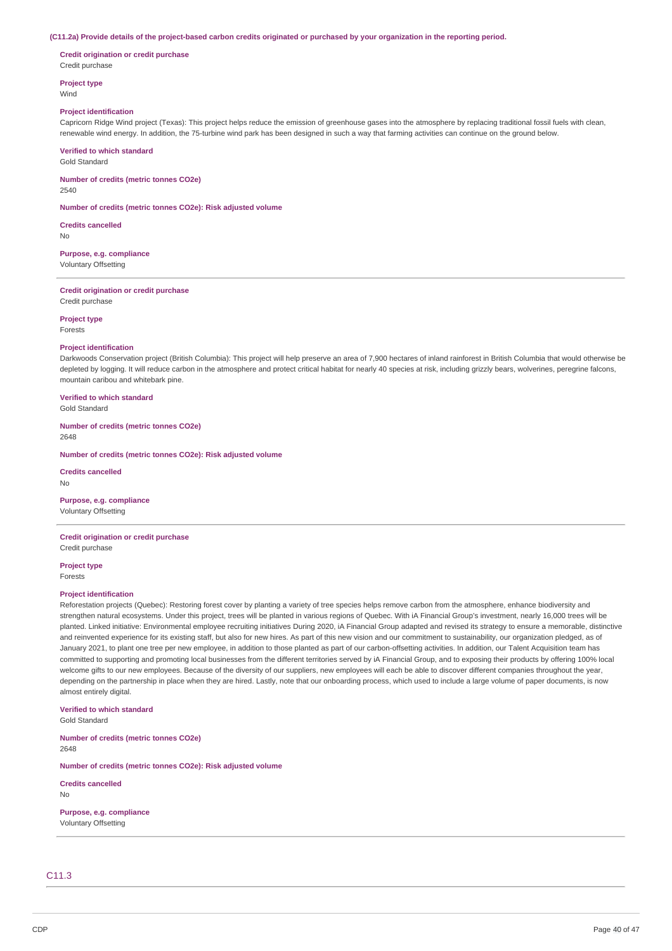#### (C11.2a) Provide details of the project-based carbon credits originated or purchased by your organization in the reporting period.

**Credit origination or credit purchase** Credit purchase

**Project type** Wind

#### **Project identification**

Capricorn Ridge Wind project (Texas): This project helps reduce the emission of greenhouse gases into the atmosphere by replacing traditional fossil fuels with clean, renewable wind energy. In addition, the 75-turbine wind park has been designed in such a way that farming activities can continue on the ground below.

#### **Verified to which standard**

Gold Standard

**Number of credits (metric tonnes CO2e)** 2540

**Number of credits (metric tonnes CO2e): Risk adjusted volume**

**Credits cancelled** No

**Purpose, e.g. compliance** Voluntary Offsetting

**Credit origination or credit purchase**

Credit purchase

**Project type** Forests

#### **Project identification**

Darkwoods Conservation project (British Columbia): This project will help preserve an area of 7,900 hectares of inland rainforest in British Columbia that would otherwise be depleted by logging. It will reduce carbon in the atmosphere and protect critical habitat for nearly 40 species at risk, including grizzly bears, wolverines, peregrine falcons, mountain caribou and whitebark pine.

**Verified to which standard**

Gold Standard

**Number of credits (metric tonnes CO2e)** 2648

**Number of credits (metric tonnes CO2e): Risk adjusted volume**

**Credits cancelled**

No

#### **Purpose, e.g. compliance**

Voluntary Offsetting

# **Credit origination or credit purchase**

Credit purchase

**Project type**

Forests

#### **Project identification**

Reforestation projects (Quebec): Restoring forest cover by planting a variety of tree species helps remove carbon from the atmosphere, enhance biodiversity and strengthen natural ecosystems. Under this project, trees will be planted in various regions of Quebec. With iA Financial Group's investment, nearly 16,000 trees will be planted. Linked initiative: Environmental employee recruiting initiatives During 2020, iA Financial Group adapted and revised its strategy to ensure a memorable, distinctive and reinvented experience for its existing staff, but also for new hires. As part of this new vision and our commitment to sustainability, our organization pledged, as of January 2021, to plant one tree per new employee, in addition to those planted as part of our carbon-offsetting activities. In addition, our Talent Acquisition team has committed to supporting and promoting local businesses from the different territories served by iA Financial Group, and to exposing their products by offering 100% local welcome gifts to our new employees. Because of the diversity of our suppliers, new employees will each be able to discover different companies throughout the year. depending on the partnership in place when they are hired. Lastly, note that our onboarding process, which used to include a large volume of paper documents, is now almost entirely digital.

**Verified to which standard**

Gold Standard

**Number of credits (metric tonnes CO2e)** 2648

**Number of credits (metric tonnes CO2e): Risk adjusted volume**

**Credits cancelled**

No

**Purpose, e.g. compliance** Voluntary Offsetting

### C11.3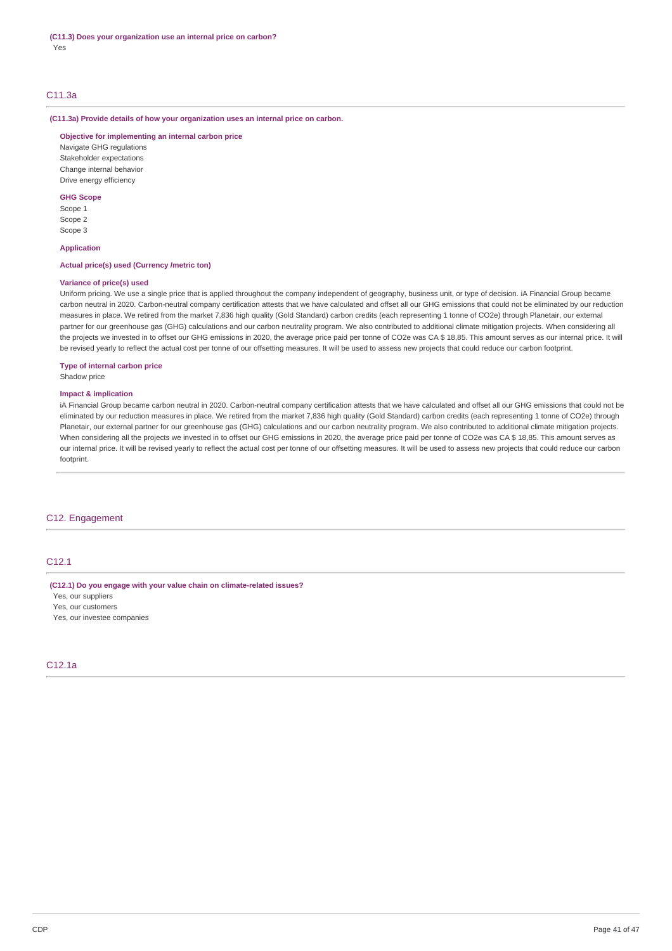### C11.3a

**(C11.3a) Provide details of how your organization uses an internal price on carbon.**

**Objective for implementing an internal carbon price**

Navigate GHG regulations Stakeholder expectations Change internal behavior Drive energy efficiency

### **GHG Scope**

Scope 1 Scope 2 Scope 3

### **Application**

### **Actual price(s) used (Currency /metric ton)**

### **Variance of price(s) used**

Uniform pricing. We use a single price that is applied throughout the company independent of geography, business unit, or type of decision. iA Financial Group became carbon neutral in 2020. Carbon-neutral company certification attests that we have calculated and offset all our GHG emissions that could not be eliminated by our reduction measures in place. We retired from the market 7,836 high quality (Gold Standard) carbon credits (each representing 1 tonne of CO2e) through Planetair, our external partner for our greenhouse gas (GHG) calculations and our carbon neutrality program. We also contributed to additional climate mitigation projects. When considering all the projects we invested in to offset our GHG emissions in 2020, the average price paid per tonne of CO2e was CA \$ 18,85. This amount serves as our internal price. It will be revised yearly to reflect the actual cost per tonne of our offsetting measures. It will be used to assess new projects that could reduce our carbon footprint.

### **Type of internal carbon price**

Shadow price

### **Impact & implication**

iA Financial Group became carbon neutral in 2020. Carbon-neutral company certification attests that we have calculated and offset all our GHG emissions that could not be eliminated by our reduction measures in place. We retired from the market 7.836 high quality (Gold Standard) carbon credits (each representing 1 tonne of CO2e) through Planetair, our external partner for our greenhouse gas (GHG) calculations and our carbon neutrality program. We also contributed to additional climate mitigation projects. When considering all the projects we invested in to offset our GHG emissions in 2020, the average price paid per tonne of CO2e was CA \$ 18,85. This amount serves as our internal price. It will be revised yearly to reflect the actual cost per tonne of our offsetting measures. It will be used to assess new projects that could reduce our carbon footprint.

### C12. Engagement

### C12.1

**(C12.1) Do you engage with your value chain on climate-related issues?**

Yes, our suppliers

Yes, our customers

Yes, our investee companies

### C12.1a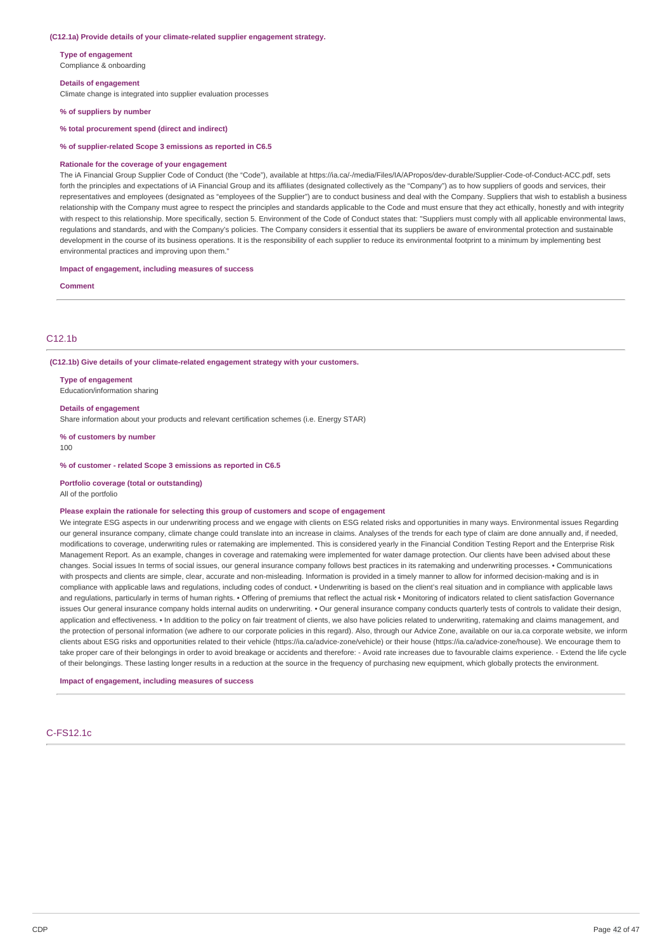#### **(C12.1a) Provide details of your climate-related supplier engagement strategy.**

**Type of engagement** Compliance & onboarding

**Details of engagement** Climate change is integrated into supplier evaluation processes

**% of suppliers by number**

**% total procurement spend (direct and indirect)**

**% of supplier-related Scope 3 emissions as reported in C6.5**

#### **Rationale for the coverage of your engagement**

The iA Financial Group Supplier Code of Conduct (the "Code"), available at https://ia.ca/-/media/Files/IA/APropos/dev-durable/Supplier-Code-of-Conduct-ACC.pdf, sets forth the principles and expectations of iA Financial Group and its affiliates (designated collectively as the "Company") as to how suppliers of goods and services, their representatives and employees (designated as "employees of the Supplier") are to conduct business and deal with the Company. Suppliers that wish to establish a business relationship with the Company must agree to respect the principles and standards applicable to the Code and must ensure that they act ethically, honestly and with integrity with respect to this relationship. More specifically, section 5. Environment of the Code of Conduct states that: "Suppliers must comply with all applicable environmental laws, regulations and standards, and with the Company's policies. The Company considers it essential that its suppliers be aware of environmental protection and sustainable development in the course of its business operations. It is the responsibility of each supplier to reduce its environmental footprint to a minimum by implementing best environmental practices and improving upon them."

**Impact of engagement, including measures of success**

**Comment**

### C12.1b

**(C12.1b) Give details of your climate-related engagement strategy with your customers.**

**Type of engagement** Education/information sharing

**Details of engagement** Share information about your products and relevant certification schemes (i.e. Energy STAR)

**% of customers by number**

100

**% of customer - related Scope 3 emissions as reported in C6.5**

**Portfolio coverage (total or outstanding)**

All of the portfolio

#### **Please explain the rationale for selecting this group of customers and scope of engagement**

We integrate ESG aspects in our underwriting process and we engage with clients on ESG related risks and opportunities in many ways. Environmental issues Regarding our general insurance company, climate change could translate into an increase in claims. Analyses of the trends for each type of claim are done annually and, if needed, modifications to coverage, underwriting rules or ratemaking are implemented. This is considered yearly in the Financial Condition Testing Report and the Enterprise Risk Management Report. As an example, changes in coverage and ratemaking were implemented for water damage protection. Our clients have been advised about these changes. Social issues In terms of social issues, our general insurance company follows best practices in its ratemaking and underwriting processes. • Communications with prospects and clients are simple, clear, accurate and non-misleading. Information is provided in a timely manner to allow for informed decision-making and is in compliance with applicable laws and regulations, including codes of conduct. • Underwriting is based on the client's real situation and in compliance with applicable laws and regulations, particularly in terms of human rights. • Offering of premiums that reflect the actual risk • Monitoring of indicators related to client satisfaction Governance issues Our general insurance company holds internal audits on underwriting. • Our general insurance company conducts quarterly tests of controls to validate their design, application and effectiveness. • In addition to the policy on fair treatment of clients, we also have policies related to underwriting, ratemaking and claims management, and the protection of personal information (we adhere to our corporate policies in this regard). Also, through our Advice Zone, available on our ia.ca corporate website, we inform clients about ESG risks and opportunities related to their vehicle (https://ia.ca/advice-zone/vehicle) or their house (https://ia.ca/advice-zone/house). We encourage them to take proper care of their belongings in order to avoid breakage or accidents and therefore: - Avoid rate increases due to favourable claims experience. - Extend the life cycle of their belongings. These lasting longer results in a reduction at the source in the frequency of purchasing new equipment, which globally protects the environment.

**Impact of engagement, including measures of success**

### C-FS12.1c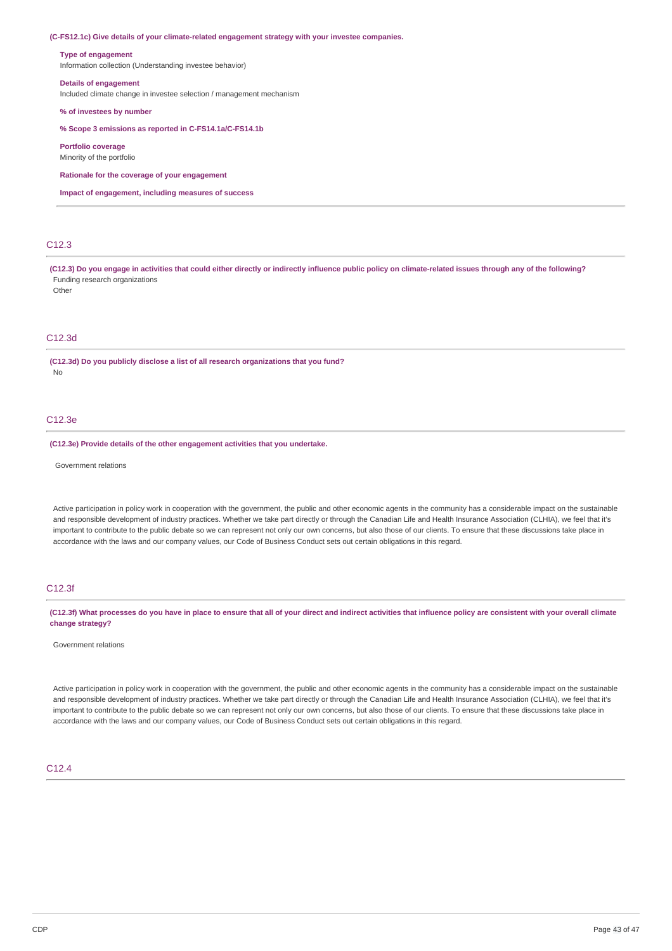**(C-FS12.1c) Give details of your climate-related engagement strategy with your investee companies.**

#### **Type of engagement**

Information collection (Understanding investee behavior)

### **Details of engagement**

Included climate change in investee selection / management mechanism

#### **% of investees by number**

**% Scope 3 emissions as reported in C-FS14.1a/C-FS14.1b**

**Portfolio coverage**

Minority of the portfolio

**Rationale for the coverage of your engagement**

**Impact of engagement, including measures of success**

# C12.3

(C12.3) Do you engage in activities that could either directly or indirectly influence public policy on climate-related issues through any of the following? Funding research organizations Other

### C12.3d

**(C12.3d) Do you publicly disclose a list of all research organizations that you fund?** No

### $C12.3e$

**(C12.3e) Provide details of the other engagement activities that you undertake.**

Government relations

Active participation in policy work in cooperation with the government, the public and other economic agents in the community has a considerable impact on the sustainable and responsible development of industry practices. Whether we take part directly or through the Canadian Life and Health Insurance Association (CLHIA), we feel that it's important to contribute to the public debate so we can represent not only our own concerns, but also those of our clients. To ensure that these discussions take place in accordance with the laws and our company values, our Code of Business Conduct sets out certain obligations in this regard.

### C12.3f

(C12.3f) What processes do you have in place to ensure that all of your direct and indirect activities that influence policy are consistent with your overall climate **change strategy?**

#### Government relations

Active participation in policy work in cooperation with the government, the public and other economic agents in the community has a considerable impact on the sustainable and responsible development of industry practices. Whether we take part directly or through the Canadian Life and Health Insurance Association (CLHIA), we feel that it's important to contribute to the public debate so we can represent not only our own concerns, but also those of our clients. To ensure that these discussions take place in accordance with the laws and our company values, our Code of Business Conduct sets out certain obligations in this regard.

### C12.4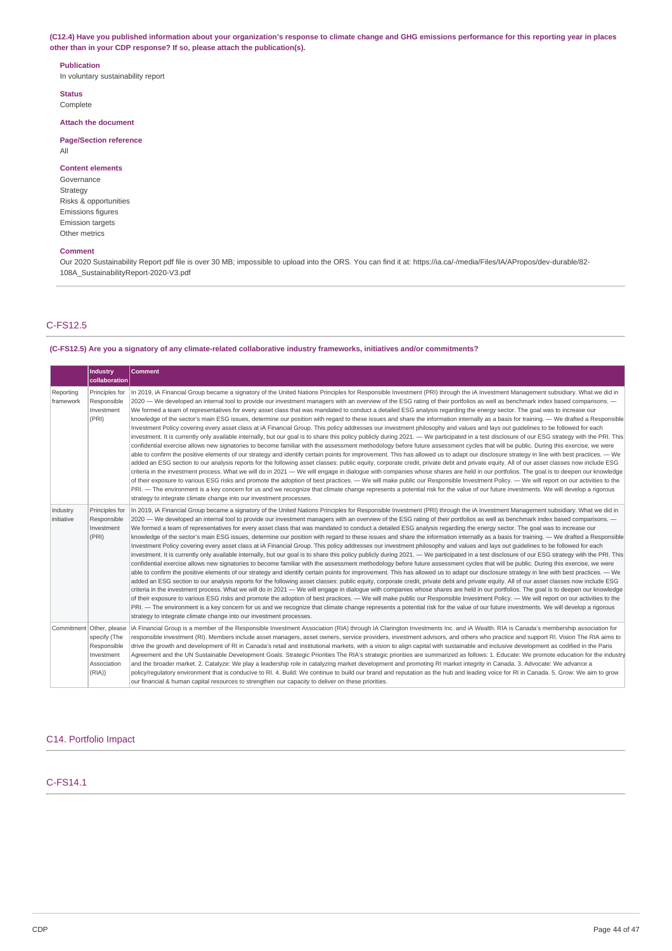(C12.4) Have you published information about your organization's response to climate change and GHG emissions performance for this reporting year in places **other than in your CDP response? If so, please attach the publication(s).**

#### **Publication**

In voluntary sustainability report

**Status** Complete

**Attach the document**

### **Page/Section reference** All

# **Content elements**

Governance Strategy Risks & opportunities Emissions figures Emission targets Other metrics

### **Comment**

Our 2020 Sustainability Report pdf file is over 30 MB; impossible to upload into the ORS. You can find it at: https://ia.ca/-/media/Files/IA/APropos/dev-durable/82- 108A\_SustainabilityReport-2020-V3.pdf

# C-FS12.5

#### **(C-FS12.5) Are you a signatory of any climate-related collaborative industry frameworks, initiatives and/or commitments?**

|                        | Industry<br>collaboration                                                                     | <b>Comment</b>                                                                                                                                                                                                                                                                                                                                                                                                                                                                                                                                                                                                                                                                                                                                                                                                                                                                                                                                                                                                                                                                                                                                                                                                                                                                                                                                                                                                                                                                                                                                                                                                                                                                                                                                                                                                                                                                                                                                                                                                                                                                                                                                                                                                                                                                                                                                              |
|------------------------|-----------------------------------------------------------------------------------------------|-------------------------------------------------------------------------------------------------------------------------------------------------------------------------------------------------------------------------------------------------------------------------------------------------------------------------------------------------------------------------------------------------------------------------------------------------------------------------------------------------------------------------------------------------------------------------------------------------------------------------------------------------------------------------------------------------------------------------------------------------------------------------------------------------------------------------------------------------------------------------------------------------------------------------------------------------------------------------------------------------------------------------------------------------------------------------------------------------------------------------------------------------------------------------------------------------------------------------------------------------------------------------------------------------------------------------------------------------------------------------------------------------------------------------------------------------------------------------------------------------------------------------------------------------------------------------------------------------------------------------------------------------------------------------------------------------------------------------------------------------------------------------------------------------------------------------------------------------------------------------------------------------------------------------------------------------------------------------------------------------------------------------------------------------------------------------------------------------------------------------------------------------------------------------------------------------------------------------------------------------------------------------------------------------------------------------------------------------------------|
| Reporting<br>framework | Principles for<br>Responsible<br>Investment<br>(PRI)                                          | In 2019, iA Financial Group became a signatory of the United Nations Principles for Responsible Investment (PRI) through the iA Investment Management subsidiary. What we did in<br>2020 — We developed an internal tool to provide our investment managers with an overview of the ESG rating of their portfolios as well as benchmark index based comparisons. —<br>We formed a team of representatives for every asset class that was mandated to conduct a detailed ESG analysis regarding the energy sector. The goal was to increase our<br>knowledge of the sector's main ESG issues, determine our position with regard to these issues and share the information internally as a basis for training. - We drafted a Responsible<br>Investment Policy covering every asset class at iA Financial Group. This policy addresses our investment philosophy and values and lays out quidelines to be followed for each<br>investment. It is currently only available internally, but our goal is to share this policy publicly during 2021. — We participated in a test disclosure of our ESG strategy with the PRI. This<br>confidential exercise allows new signatories to become familiar with the assessment methodology before future assessment cycles that will be public. During this exercise, we were<br>able to confirm the positive elements of our strategy and identify certain points for improvement. This has allowed us to adapt our disclosure strategy in line with best practices. — We<br>added an ESG section to our analysis reports for the following asset classes: public equity, corporate credit, private debt and private equity. All of our asset classes now include ESG<br>criteria in the investment process. What we will do in 2021 — We will engage in dialogue with companies whose shares are held in our portfolios. The goal is to deepen our knowledge<br>of their exposure to various ESG risks and promote the adoption of best practices. - We will make public our Responsible Investment Policy. - We will report on our activities to the<br>PRI. - The environment is a key concern for us and we recognize that climate change represents a potential risk for the value of our future investments. We will develop a rigorous<br>strategy to integrate climate change into our investment processes. |
| Industry<br>initiative | Principles for<br>Responsible<br>Investment<br>(PRI)                                          | In 2019, iA Financial Group became a signatory of the United Nations Principles for Responsible Investment (PRI) through the iA Investment Management subsidiary. What we did in<br>2020 - We developed an internal tool to provide our investment managers with an overview of the ESG rating of their portfolios as well as benchmark index based comparisons. -<br>We formed a team of representatives for every asset class that was mandated to conduct a detailed ESG analysis regarding the energy sector. The goal was to increase our<br>knowledge of the sector's main ESG issues, determine our position with regard to these issues and share the information internally as a basis for training. - We drafted a Responsible<br>Investment Policy covering every asset class at iA Financial Group. This policy addresses our investment philosophy and values and lays out guidelines to be followed for each<br>investment. It is currently only available internally, but our goal is to share this policy publicly during 2021. - We participated in a test disclosure of our ESG strategy with the PRI. This<br>confidential exercise allows new signatories to become familiar with the assessment methodology before future assessment cycles that will be public. During this exercise, we were<br>able to confirm the positive elements of our strategy and identify certain points for improvement. This has allowed us to adapt our disclosure strategy in line with best practices. — We<br>added an ESG section to our analysis reports for the following asset classes: public equity, corporate credit, private debt and private equity. All of our asset classes now include ESG<br>criteria in the investment process. What we will do in 2021 - We will engage in dialogue with companies whose shares are held in our portfolios. The goal is to deepen our knowledge<br>of their exposure to various ESG risks and promote the adoption of best practices. - We will make public our Responsible Investment Policy. - We will report on our activities to the<br>PRI. - The environment is a key concern for us and we recognize that climate change represents a potential risk for the value of our future investments. We will develop a rigorous<br>strategy to integrate climate change into our investment processes. |
|                        | Commitment Other, please<br>specify (The<br>Responsible<br>Investment<br>Association<br>(RIA) | iA Financial Group is a member of the Responsible Investment Association (RIA) through IA Clarington Investments Inc. and iA Wealth. RIA is Canada's membership association for<br>responsible investment (RI). Members include asset managers, asset owners, service providers, investment advisors, and others who practice and support RI. Vision The RIA aims to<br>drive the growth and development of RI in Canada's retail and institutional markets, with a vision to align capital with sustainable and inclusive development as codified in the Paris<br>Agreement and the UN Sustainable Development Goals. Strategic Priorities The RIA's strategic priorities are summarized as follows: 1. Educate: We promote education for the industry<br>and the broader market. 2. Catalyze: We play a leadership role in catalyzing market development and promoting RI market integrity in Canada. 3. Advocate: We advance a<br>policy/regulatory environment that is conducive to RI. 4. Build: We continue to build our brand and reputation as the hub and leading voice for RI in Canada. 5. Grow: We aim to grow<br>our financial & human capital resources to strengthen our capacity to deliver on these priorities.                                                                                                                                                                                                                                                                                                                                                                                                                                                                                                                                                                                                                                                                                                                                                                                                                                                                                                                                                                                                                                                                                                                            |

# C14. Portfolio Impact

### C-FS14.1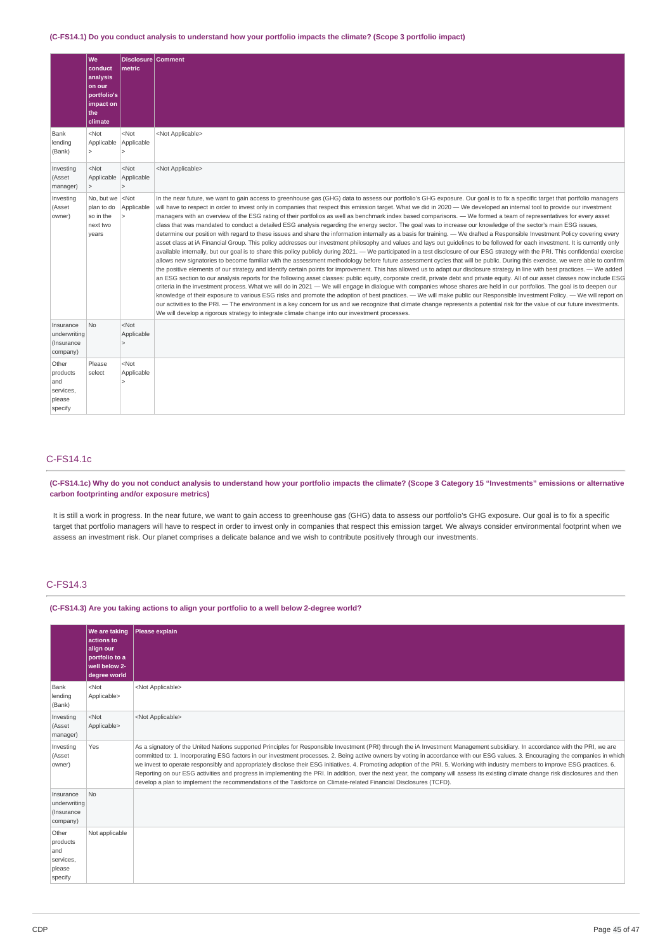### (C-FS14.1) Do you conduct analysis to understand how your portfolio impacts the climate? (Scope 3 portfolio impact)

|                                                            | We<br>conduct<br>analysis<br>on our<br>portfolio's<br>impact on<br>the<br>climate | Disclosure Comment<br>metric    |                                                                                                                                                                                                                                                                                                                                                                                                                                                                                                                                                                                                                                                                                                                                                                                                                                                                                                                                                                                                                                                                                                                                                                                                                                                                                                                                                                                                                                                                                                                                                                                                                                                                                                                                                                                                                                                                                                                                                                                                                                                                                                                                                                                                                                                                                                                                                                                                                                                                        |
|------------------------------------------------------------|-----------------------------------------------------------------------------------|---------------------------------|------------------------------------------------------------------------------------------------------------------------------------------------------------------------------------------------------------------------------------------------------------------------------------------------------------------------------------------------------------------------------------------------------------------------------------------------------------------------------------------------------------------------------------------------------------------------------------------------------------------------------------------------------------------------------------------------------------------------------------------------------------------------------------------------------------------------------------------------------------------------------------------------------------------------------------------------------------------------------------------------------------------------------------------------------------------------------------------------------------------------------------------------------------------------------------------------------------------------------------------------------------------------------------------------------------------------------------------------------------------------------------------------------------------------------------------------------------------------------------------------------------------------------------------------------------------------------------------------------------------------------------------------------------------------------------------------------------------------------------------------------------------------------------------------------------------------------------------------------------------------------------------------------------------------------------------------------------------------------------------------------------------------------------------------------------------------------------------------------------------------------------------------------------------------------------------------------------------------------------------------------------------------------------------------------------------------------------------------------------------------------------------------------------------------------------------------------------------------|
| Bank<br>lending<br>(Bank)                                  | $<$ Not<br>Applicable Applicable<br>$\overline{\phantom{a}}$                      | $<$ Not<br>$\overline{ }$       | <not applicable=""></not>                                                                                                                                                                                                                                                                                                                                                                                                                                                                                                                                                                                                                                                                                                                                                                                                                                                                                                                                                                                                                                                                                                                                                                                                                                                                                                                                                                                                                                                                                                                                                                                                                                                                                                                                                                                                                                                                                                                                                                                                                                                                                                                                                                                                                                                                                                                                                                                                                                              |
| Investing<br>(Asset<br>manager)                            | $<$ Not<br>Applicable<br>$\geq$                                                   | $<$ Not<br>Applicable<br>$\geq$ | <not applicable=""></not>                                                                                                                                                                                                                                                                                                                                                                                                                                                                                                                                                                                                                                                                                                                                                                                                                                                                                                                                                                                                                                                                                                                                                                                                                                                                                                                                                                                                                                                                                                                                                                                                                                                                                                                                                                                                                                                                                                                                                                                                                                                                                                                                                                                                                                                                                                                                                                                                                                              |
| Investing<br>(Asset<br>owner)                              | No, but we<br>plan to do<br>so in the<br>next two<br>years                        | $<$ Not<br>Applicable           | In the near future, we want to gain access to greenhouse gas (GHG) data to assess our portfolio's GHG exposure. Our goal is to fix a specific target that portfolio managers<br>will have to respect in order to invest only in companies that respect this emission target. What we did in 2020 - We developed an internal tool to provide our investment<br>managers with an overview of the ESG rating of their portfolios as well as benchmark index based comparisons. — We formed a team of representatives for every asset<br>class that was mandated to conduct a detailed ESG analysis regarding the energy sector. The goal was to increase our knowledge of the sector's main ESG issues,<br>determine our position with regard to these issues and share the information internally as a basis for training. - We drafted a Responsible Investment Policy covering every<br>asset class at iA Financial Group. This policy addresses our investment philosophy and values and lays out quidelines to be followed for each investment. It is currently only<br>available internally, but our goal is to share this policy publicly during 2021. — We participated in a test disclosure of our ESG strategy with the PRI. This confidential exercise<br>allows new signatories to become familiar with the assessment methodology before future assessment cycles that will be public. During this exercise, we were able to confirm<br>the positive elements of our strategy and identify certain points for improvement. This has allowed us to adapt our disclosure strategy in line with best practices. — We added<br>an ESG section to our analysis reports for the following asset classes: public equity, corporate credit, private debt and private equity. All of our asset classes now include ESG<br>criteria in the investment process. What we will do in 2021 - We will engage in dialoque with companies whose shares are held in our portfolios. The goal is to deepen our<br>knowledge of their exposure to various ESG risks and promote the adoption of best practices. - We will make public our Responsible Investment Policy. - We will report on<br>our activities to the PRI. - The environment is a key concern for us and we recognize that climate change represents a potential risk for the value of our future investments.<br>We will develop a rigorous strategy to integrate climate change into our investment processes. |
| Insurance<br>underwriting<br>(Insurance<br>company)        | N <sub>o</sub>                                                                    | $<$ Not<br>Applicable<br>$\geq$ |                                                                                                                                                                                                                                                                                                                                                                                                                                                                                                                                                                                                                                                                                                                                                                                                                                                                                                                                                                                                                                                                                                                                                                                                                                                                                                                                                                                                                                                                                                                                                                                                                                                                                                                                                                                                                                                                                                                                                                                                                                                                                                                                                                                                                                                                                                                                                                                                                                                                        |
| Other<br>products<br>and<br>services,<br>please<br>specify | Please<br>select                                                                  | $<$ Not<br>Applicable           |                                                                                                                                                                                                                                                                                                                                                                                                                                                                                                                                                                                                                                                                                                                                                                                                                                                                                                                                                                                                                                                                                                                                                                                                                                                                                                                                                                                                                                                                                                                                                                                                                                                                                                                                                                                                                                                                                                                                                                                                                                                                                                                                                                                                                                                                                                                                                                                                                                                                        |

### C-FS14.1c

### (C-FS14.1c) Why do you not conduct analysis to understand how your portfolio impacts the climate? (Scope 3 Category 15 "Investments" emissions or alternative **carbon footprinting and/or exposure metrics)**

It is still a work in progress. In the near future, we want to gain access to greenhouse gas (GHG) data to assess our portfolio's GHG exposure. Our goal is to fix a specific target that portfolio managers will have to respect in order to invest only in companies that respect this emission target. We always consider environmental footprint when we assess an investment risk. Our planet comprises a delicate balance and we wish to contribute positively through our investments.

# C-FS14.3

#### **(C-FS14.3) Are you taking actions to align your portfolio to a well below 2-degree world?**

|                                                            | <b>We are taking</b><br>actions to<br>align our<br>portfolio to a<br>well below 2-<br>degree world | Please explain                                                                                                                                                                                                                                                                                                                                                                                                                                                                                                                                                                                                                                                                                                                                                                                                                                                         |
|------------------------------------------------------------|----------------------------------------------------------------------------------------------------|------------------------------------------------------------------------------------------------------------------------------------------------------------------------------------------------------------------------------------------------------------------------------------------------------------------------------------------------------------------------------------------------------------------------------------------------------------------------------------------------------------------------------------------------------------------------------------------------------------------------------------------------------------------------------------------------------------------------------------------------------------------------------------------------------------------------------------------------------------------------|
| Bank<br>lending<br>(Bank)                                  | $<$ Not<br>Applicable>                                                                             | <not applicable=""></not>                                                                                                                                                                                                                                                                                                                                                                                                                                                                                                                                                                                                                                                                                                                                                                                                                                              |
| Investing<br>(Asset<br>manager)                            | $<$ Not<br>Applicable>                                                                             | <not applicable=""></not>                                                                                                                                                                                                                                                                                                                                                                                                                                                                                                                                                                                                                                                                                                                                                                                                                                              |
| Investing<br>(Asset<br>owner)                              | Yes                                                                                                | As a signatory of the United Nations supported Principles for Responsible Investment (PRI) through the iA Investment Management subsidiary. In accordance with the PRI, we are<br>committed to: 1. Incorporating ESG factors in our investment processes. 2. Being active owners by voting in accordance with our ESG values. 3. Encouraging the companies in which<br>we invest to operate responsibly and appropriately disclose their ESG initiatives. 4. Promoting adoption of the PRI. 5. Working with industry members to improve ESG practices. 6.<br>Reporting on our ESG activities and progress in implementing the PRI. In addition, over the next year, the company will assess its existing climate change risk disclosures and then<br>develop a plan to implement the recommendations of the Taskforce on Climate-related Financial Disclosures (TCFD). |
| Insurance<br>underwriting<br>(Insurance<br>company)        | No                                                                                                 |                                                                                                                                                                                                                                                                                                                                                                                                                                                                                                                                                                                                                                                                                                                                                                                                                                                                        |
| Other<br>products<br>and<br>services,<br>please<br>specify | Not applicable                                                                                     |                                                                                                                                                                                                                                                                                                                                                                                                                                                                                                                                                                                                                                                                                                                                                                                                                                                                        |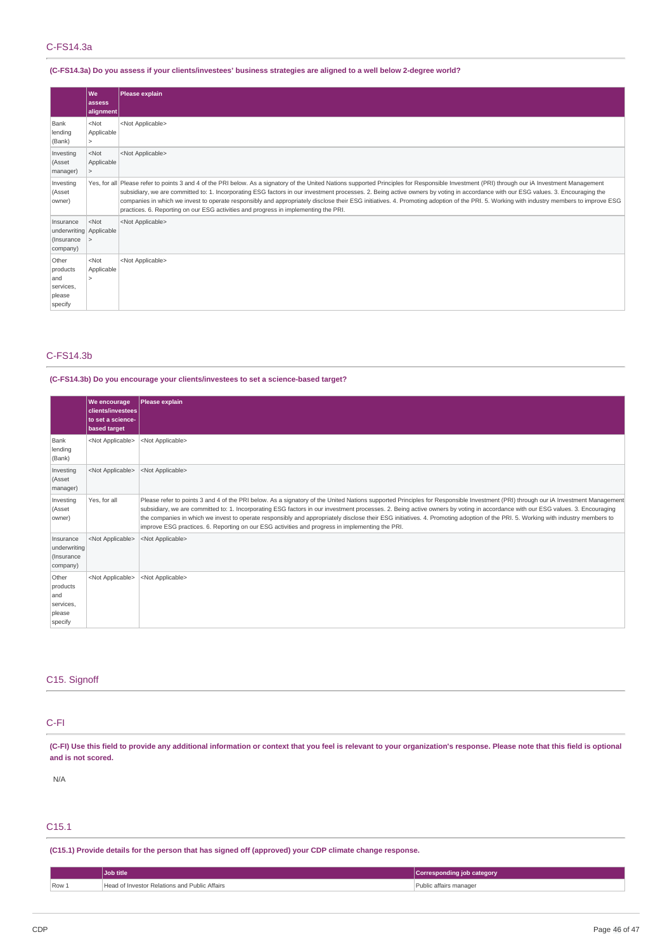### C-FS14.3a

## (C-FS14.3a) Do you assess if your clients/investees' business strategies are aligned to a well below 2-degree world?

|                                                                | lwe<br>assess<br>alignment                        | Please explain                                                                                                                                                                                                                                                                                                                                                                                                                                                                                                                                                                                                                                                       |
|----------------------------------------------------------------|---------------------------------------------------|----------------------------------------------------------------------------------------------------------------------------------------------------------------------------------------------------------------------------------------------------------------------------------------------------------------------------------------------------------------------------------------------------------------------------------------------------------------------------------------------------------------------------------------------------------------------------------------------------------------------------------------------------------------------|
| Bank<br>lending<br>(Bank)                                      | $<$ Not<br>Applicable<br>$\overline{\phantom{0}}$ | <not applicable=""></not>                                                                                                                                                                                                                                                                                                                                                                                                                                                                                                                                                                                                                                            |
| Investing<br>(Asset<br>manager)                                | $<$ Not<br>Applicable<br>$\overline{ }$           | <not applicable=""></not>                                                                                                                                                                                                                                                                                                                                                                                                                                                                                                                                                                                                                                            |
| Investing<br>(Asset<br>owner)                                  |                                                   | Yes, for all Please refer to points 3 and 4 of the PRI below. As a signatory of the United Nations supported Principles for Responsible Investment (PRI) through our iA Investment Management<br>subsidiary, we are committed to: 1. Incorporating ESG factors in our investment processes. 2. Being active owners by voting in accordance with our ESG values. 3. Encouraging the<br>companies in which we invest to operate responsibly and appropriately disclose their ESG initiatives. 4. Promoting adoption of the PRI. 5. Working with industry members to improve ESG<br>practices. 6. Reporting on our ESG activities and progress in implementing the PRI. |
| Insurance<br>underwriting Applicable<br>(Insurance<br>company) | $<$ Not                                           | <not applicable=""></not>                                                                                                                                                                                                                                                                                                                                                                                                                                                                                                                                                                                                                                            |
| Other<br>products<br>and<br>services,<br>please<br>specify     | $<$ Not<br>Applicable                             | <not applicable=""></not>                                                                                                                                                                                                                                                                                                                                                                                                                                                                                                                                                                                                                                            |

### C-FS14.3b

### **(C-FS14.3b) Do you encourage your clients/investees to set a science-based target?**

|                                                            | We encourage<br>clients/investees<br>to set a science-<br>based target | Please explain                                                                                                                                                                                                                                                                                                                                                                                                                                                                                                                                                                                                                                          |
|------------------------------------------------------------|------------------------------------------------------------------------|---------------------------------------------------------------------------------------------------------------------------------------------------------------------------------------------------------------------------------------------------------------------------------------------------------------------------------------------------------------------------------------------------------------------------------------------------------------------------------------------------------------------------------------------------------------------------------------------------------------------------------------------------------|
| Bank<br>lending<br>(Bank)                                  | <not applicable=""></not>                                              | <not applicable=""></not>                                                                                                                                                                                                                                                                                                                                                                                                                                                                                                                                                                                                                               |
| Investing<br>(Asset<br>manager)                            | <not applicable=""></not>                                              | <not applicable=""></not>                                                                                                                                                                                                                                                                                                                                                                                                                                                                                                                                                                                                                               |
| Investing<br>(Asset<br>owner)                              | Yes, for all                                                           | Please refer to points 3 and 4 of the PRI below. As a signatory of the United Nations supported Principles for Responsible Investment (PRI) through our iA Investment Management<br>subsidiary, we are committed to: 1. Incorporating ESG factors in our investment processes. 2. Being active owners by voting in accordance with our ESG values. 3. Encouraging<br>the companies in which we invest to operate responsibly and appropriately disclose their ESG initiatives. 4. Promoting adoption of the PRI. 5. Working with industry members to<br>improve ESG practices. 6. Reporting on our ESG activities and progress in implementing the PRI. |
| Insurance<br>underwriting<br>(Insurance<br>company)        | <not applicable=""></not>                                              | <not applicable=""></not>                                                                                                                                                                                                                                                                                                                                                                                                                                                                                                                                                                                                                               |
| Other<br>products<br>and<br>services,<br>please<br>specify | <not applicable=""></not>                                              | <not applicable=""></not>                                                                                                                                                                                                                                                                                                                                                                                                                                                                                                                                                                                                                               |

### C15. Signoff

# C-FI

(C-FI) Use this field to provide any additional information or context that you feel is relevant to your organization's response. Please note that this field is optional **and is not scored.**

N/A

# C15.1

**(C15.1) Provide details for the person that has signed off (approved) your CDP climate change response.**

|       | Job title                                     | Corresponding job category |
|-------|-----------------------------------------------|----------------------------|
| Row 1 | Head of Investor Relations and Public Affairs | Public affairs manager     |